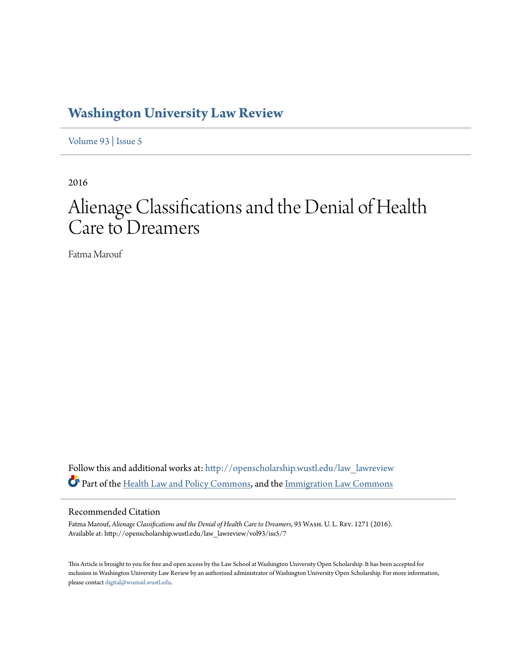# **[Washington University Law Review](http://openscholarship.wustl.edu/law_lawreview?utm_source=openscholarship.wustl.edu%2Flaw_lawreview%2Fvol93%2Fiss5%2F7&utm_medium=PDF&utm_campaign=PDFCoverPages)**

[Volume 93](http://openscholarship.wustl.edu/law_lawreview/vol93?utm_source=openscholarship.wustl.edu%2Flaw_lawreview%2Fvol93%2Fiss5%2F7&utm_medium=PDF&utm_campaign=PDFCoverPages) | [Issue 5](http://openscholarship.wustl.edu/law_lawreview/vol93/iss5?utm_source=openscholarship.wustl.edu%2Flaw_lawreview%2Fvol93%2Fiss5%2F7&utm_medium=PDF&utm_campaign=PDFCoverPages)

2016

# Alienage Classifications and the Denial of Health Care to Dreamers

Fatma Marouf

Follow this and additional works at: [http://openscholarship.wustl.edu/law\\_lawreview](http://openscholarship.wustl.edu/law_lawreview?utm_source=openscholarship.wustl.edu%2Flaw_lawreview%2Fvol93%2Fiss5%2F7&utm_medium=PDF&utm_campaign=PDFCoverPages) Part of the [Health Law and Policy Commons](http://network.bepress.com/hgg/discipline/901?utm_source=openscholarship.wustl.edu%2Flaw_lawreview%2Fvol93%2Fiss5%2F7&utm_medium=PDF&utm_campaign=PDFCoverPages), and the [Immigration Law Commons](http://network.bepress.com/hgg/discipline/604?utm_source=openscholarship.wustl.edu%2Flaw_lawreview%2Fvol93%2Fiss5%2F7&utm_medium=PDF&utm_campaign=PDFCoverPages)

# Recommended Citation

Fatma Marouf, *Alienage Classifications and the Denial of Health Care to Dreamers*, 93 Wash. U. L. Rev. 1271 (2016). Available at: http://openscholarship.wustl.edu/law\_lawreview/vol93/iss5/7

This Article is brought to you for free and open access by the Law School at Washington University Open Scholarship. It has been accepted for inclusion in Washington University Law Review by an authorized administrator of Washington University Open Scholarship. For more information, please contact [digital@wumail.wustl.edu.](mailto:digital@wumail.wustl.edu)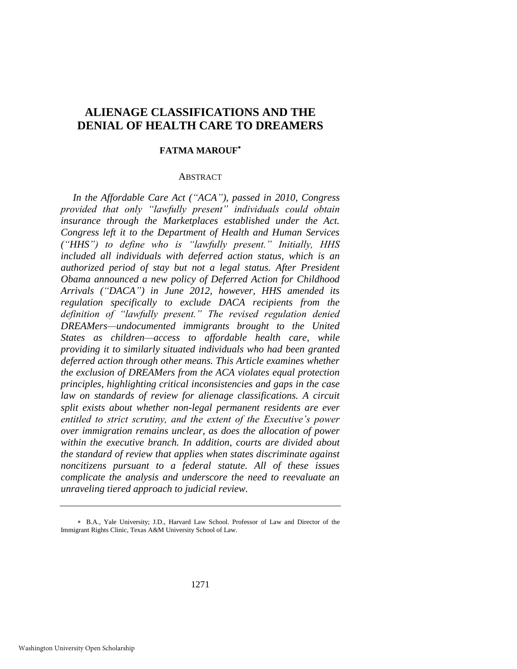# **ALIENAGE CLASSIFICATIONS AND THE DENIAL OF HEALTH CARE TO DREAMERS**

# **FATMA MAROUF**

# **ABSTRACT**

*In the Affordable Care Act ("ACA"), passed in 2010, Congress provided that only "lawfully present" individuals could obtain insurance through the Marketplaces established under the Act. Congress left it to the Department of Health and Human Services ("HHS") to define who is "lawfully present." Initially, HHS included all individuals with deferred action status, which is an authorized period of stay but not a legal status. After President Obama announced a new policy of Deferred Action for Childhood Arrivals ("DACA") in June 2012, however, HHS amended its regulation specifically to exclude DACA recipients from the definition of "lawfully present." The revised regulation denied DREAMers—undocumented immigrants brought to the United States as children—access to affordable health care, while providing it to similarly situated individuals who had been granted deferred action through other means. This Article examines whether the exclusion of DREAMers from the ACA violates equal protection principles, highlighting critical inconsistencies and gaps in the case law on standards of review for alienage classifications. A circuit split exists about whether non-legal permanent residents are ever entitled to strict scrutiny, and the extent of the Executive's power over immigration remains unclear, as does the allocation of power within the executive branch. In addition, courts are divided about the standard of review that applies when states discriminate against noncitizens pursuant to a federal statute. All of these issues complicate the analysis and underscore the need to reevaluate an unraveling tiered approach to judicial review.*

B.A., Yale University; J.D., Harvard Law School. Professor of Law and Director of the Immigrant Rights Clinic, Texas A&M University School of Law.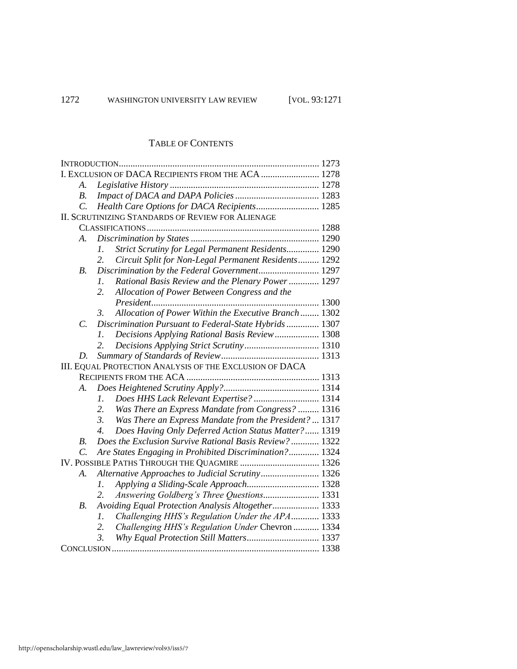# TABLE OF CONTENTS

| I. EXCLUSION OF DACA RECIPIENTS FROM THE ACA  1278       |                                                                          |  |
|----------------------------------------------------------|--------------------------------------------------------------------------|--|
| A.                                                       |                                                                          |  |
| <i>B</i> .                                               |                                                                          |  |
| $\mathcal{C}$ .                                          | Health Care Options for DACA Recipients 1285                             |  |
| <b>II. SCRUTINIZING STANDARDS OF REVIEW FOR ALIENAGE</b> |                                                                          |  |
|                                                          |                                                                          |  |
| A.                                                       |                                                                          |  |
|                                                          | Strict Scrutiny for Legal Permanent Residents 1290<br>1.                 |  |
|                                                          | Circuit Split for Non-Legal Permanent Residents 1292<br>2.               |  |
| B.                                                       | Discrimination by the Federal Government 1297                            |  |
|                                                          | Rational Basis Review and the Plenary Power 1297<br>1.                   |  |
|                                                          | 2.<br>Allocation of Power Between Congress and the                       |  |
|                                                          |                                                                          |  |
|                                                          | Allocation of Power Within the Executive Branch 1302<br>3.               |  |
| C.                                                       | Discrimination Pursuant to Federal-State Hybrids 1307                    |  |
|                                                          | Decisions Applying Rational Basis Review 1308<br>1.                      |  |
|                                                          | 2.                                                                       |  |
| D.                                                       |                                                                          |  |
| III. EQUAL PROTECTION ANALYSIS OF THE EXCLUSION OF DACA  |                                                                          |  |
|                                                          |                                                                          |  |
| А.                                                       |                                                                          |  |
|                                                          | Does HHS Lack Relevant Expertise?  1314<br>1.                            |  |
|                                                          | 2.<br>Was There an Express Mandate from Congress?  1316                  |  |
|                                                          | 3.<br>Was There an Express Mandate from the President?  1317             |  |
|                                                          | $\overline{4}$ .<br>Does Having Only Deferred Action Status Matter? 1319 |  |
| <i>B</i> .                                               | Does the Exclusion Survive Rational Basis Review?  1322                  |  |
| $\overline{C}$ .                                         | Are States Engaging in Prohibited Discrimination? 1324                   |  |
| IV. POSSIBLE PATHS THROUGH THE QUAGMIRE  1326            |                                                                          |  |
| A.                                                       | Alternative Approaches to Judicial Scrutiny 1326                         |  |
|                                                          | Applying a Sliding-Scale Approach 1328<br>$\mathfrak{1}.$                |  |
|                                                          | 2.<br>Answering Goldberg's Three Questions 1331                          |  |
| B.                                                       | Avoiding Equal Protection Analysis Altogether 1333                       |  |
|                                                          | Challenging HHS's Regulation Under the APA 1333<br>$\mathfrak{1}.$       |  |
|                                                          | 2.<br>Challenging HHS's Regulation Under Chevron  1334                   |  |
|                                                          | $\mathfrak{Z}$ .<br>Why Equal Protection Still Matters 1337              |  |
|                                                          |                                                                          |  |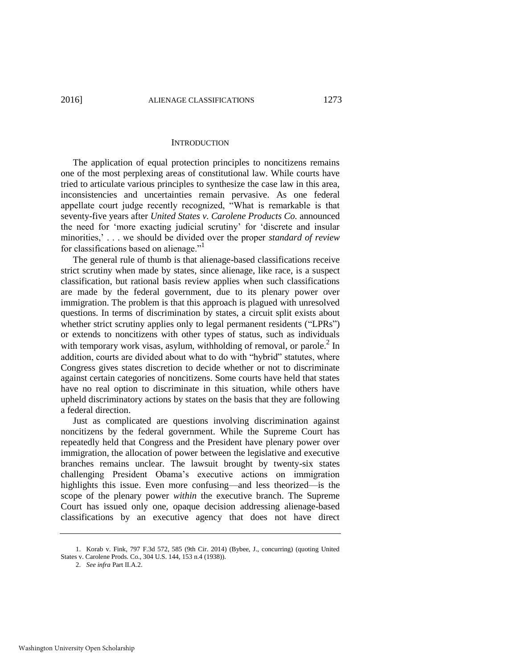#### **INTRODUCTION**

The application of equal protection principles to noncitizens remains one of the most perplexing areas of constitutional law. While courts have tried to articulate various principles to synthesize the case law in this area, inconsistencies and uncertainties remain pervasive. As one federal appellate court judge recently recognized, "What is remarkable is that seventy-five years after *United States v. Carolene Products Co.* announced the need for 'more exacting judicial scrutiny' for 'discrete and insular minorities,' . . . we should be divided over the proper *standard of review*  for classifications based on alienage."<sup>1</sup>

The general rule of thumb is that alienage-based classifications receive strict scrutiny when made by states, since alienage, like race, is a suspect classification, but rational basis review applies when such classifications are made by the federal government, due to its plenary power over immigration. The problem is that this approach is plagued with unresolved questions. In terms of discrimination by states, a circuit split exists about whether strict scrutiny applies only to legal permanent residents ("LPRs") or extends to noncitizens with other types of status, such as individuals with temporary work visas, asylum, withholding of removal, or parole. $2 \text{ In }$ addition, courts are divided about what to do with "hybrid" statutes, where Congress gives states discretion to decide whether or not to discriminate against certain categories of noncitizens. Some courts have held that states have no real option to discriminate in this situation, while others have upheld discriminatory actions by states on the basis that they are following a federal direction.

Just as complicated are questions involving discrimination against noncitizens by the federal government. While the Supreme Court has repeatedly held that Congress and the President have plenary power over immigration, the allocation of power between the legislative and executive branches remains unclear. The lawsuit brought by twenty-six states challenging President Obama's executive actions on immigration highlights this issue. Even more confusing—and less theorized—is the scope of the plenary power *within* the executive branch. The Supreme Court has issued only one, opaque decision addressing alienage-based classifications by an executive agency that does not have direct

<sup>1.</sup> Korab v. Fink, 797 F.3d 572, 585 (9th Cir. 2014) (Bybee, J., concurring) (quoting United States v. Carolene Prods. Co., 304 U.S. 144, 153 n.4 (1938)).

<sup>2.</sup> *See infra* Part II.A.2.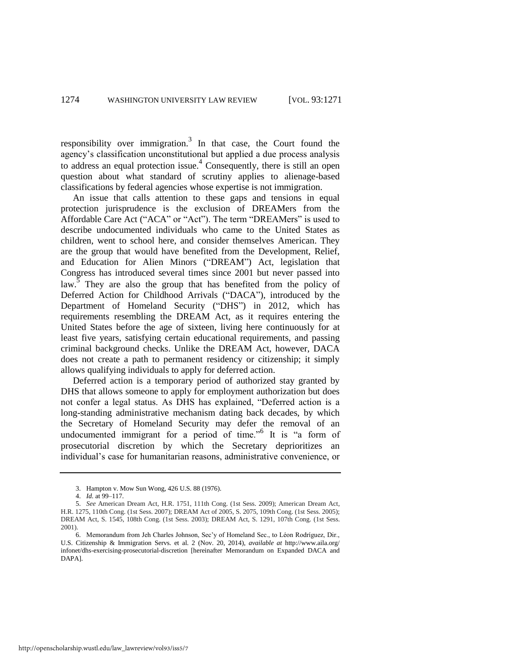responsibility over immigration.<sup>3</sup> In that case, the Court found the agency's classification unconstitutional but applied a due process analysis to address an equal protection issue.<sup>4</sup> Consequently, there is still an open question about what standard of scrutiny applies to alienage-based classifications by federal agencies whose expertise is not immigration.

An issue that calls attention to these gaps and tensions in equal protection jurisprudence is the exclusion of DREAMers from the Affordable Care Act ("ACA" or "Act"). The term "DREAMers" is used to describe undocumented individuals who came to the United States as children, went to school here, and consider themselves American. They are the group that would have benefited from the Development, Relief, and Education for Alien Minors ("DREAM") Act, legislation that Congress has introduced several times since 2001 but never passed into law.<sup>5</sup> They are also the group that has benefited from the policy of Deferred Action for Childhood Arrivals ("DACA"), introduced by the Department of Homeland Security ("DHS") in 2012, which has requirements resembling the DREAM Act, as it requires entering the United States before the age of sixteen, living here continuously for at least five years, satisfying certain educational requirements, and passing criminal background checks. Unlike the DREAM Act, however, DACA does not create a path to permanent residency or citizenship; it simply allows qualifying individuals to apply for deferred action.

Deferred action is a temporary period of authorized stay granted by DHS that allows someone to apply for employment authorization but does not confer a legal status. As DHS has explained, "Deferred action is a long-standing administrative mechanism dating back decades, by which the Secretary of Homeland Security may defer the removal of an undocumented immigrant for a period of time."<sup>6</sup> It is "a form of prosecutorial discretion by which the Secretary deprioritizes an individual's case for humanitarian reasons, administrative convenience, or

<span id="page-4-0"></span><sup>3.</sup> Hampton v. Mow Sun Wong, 426 U.S. 88 (1976).

<sup>4.</sup> *Id.* at 99–117.

<sup>5.</sup> *See* American Dream Act, H.R. 1751, 111th Cong. (1st Sess. 2009); American Dream Act, H.R. 1275, 110th Cong. (1st Sess. 2007); DREAM Act of 2005, S. 2075, 109th Cong. (1st Sess. 2005); DREAM Act, S. 1545, 108th Cong. (1st Sess. 2003); DREAM Act, S. 1291, 107th Cong. (1st Sess. 2001).

<sup>6.</sup> Memorandum from Jeh Charles Johnson, Sec'y of Homeland Sec., to Léon Rodríguez, Dir., U.S. Citizenship & Immigration Servs. et al. 2 (Nov. 20, 2014), *available at* http://www.aila.org/ infonet/dhs-exercising-prosecutorial-discretion [hereinafter Memorandum on Expanded DACA and DAPA].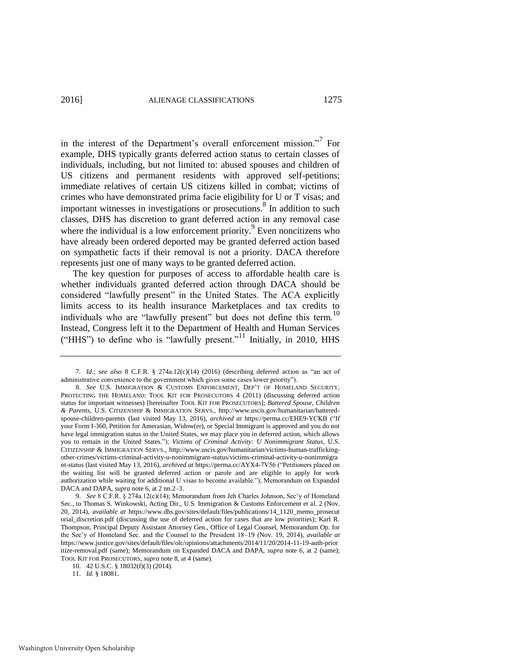<span id="page-5-0"></span>in the interest of the Department's overall enforcement mission."<sup>7</sup> For example, DHS typically grants deferred action status to certain classes of individuals, including, but not limited to: abused spouses and children of US citizens and permanent residents with approved self-petitions; immediate relatives of certain US citizens killed in combat; victims of crimes who have demonstrated prima facie eligibility for U or T visas; and important witnesses in investigations or prosecutions.<sup>8</sup> In addition to such classes, DHS has discretion to grant deferred action in any removal case where the individual is a low enforcement priority.<sup>9</sup> Even noncitizens who have already been ordered deported may be granted deferred action based on sympathetic facts if their removal is not a priority. DACA therefore represents just one of many ways to be granted deferred action.

The key question for purposes of access to affordable health care is whether individuals granted deferred action through DACA should be considered "lawfully present" in the United States. The ACA explicitly limits access to its health insurance Marketplaces and tax credits to individuals who are "lawfully present" but does not define this term.<sup>10</sup> Instead, Congress left it to the Department of Health and Human Services ("HHS") to define who is "lawfully present."11 Initially, in 2010, HHS

<sup>7</sup>*. Id.*; *see also* 8 C.F.R. § 274a.12(c)(14) (2016) (describing deferred action as "an act of administrative convenience to the government which gives some cases lower priority").

<sup>8.</sup> *See* U.S. IMMIGRATION & CUSTOMS ENFORCEMENT, DEP'T OF HOMELAND SECURITY, PROTECTING THE HOMELAND: TOOL KIT FOR PROSECUTORS 4 (2011) (discussing deferred action status for important witnesses) [hereinafter TOOL KIT FOR PROSECUTORS]; *Battered Spouse, Children & Parents*, U.S. CITIZENSHIP & IMMIGRATION SERVS., http://www.uscis.gov/humanitarian/batteredspouse-children-parents (last visited May 13, 2016), *archived at* https://perma.cc/EHE9-YCKB ("If your Form I-360, Petition for Amerasian, Widow(er), or Special Immigrant is approved and you do not have legal immigration status in the United States, we may place you in deferred action, which allows you to remain in the United States."); *Victims of Criminal Activity: U Nonimmigrant Status*, U.S. CITIZENSHIP & IMMIGRATION SERVS., http://www.uscis.gov/humanitarian/victims-human-traffickingother-crimes/victims-criminal-activity-u-nonimmigrant-status/victims-criminal-activity-u-nonimmigra nt-status (last visited May 13, 2016), *archived at* https://perma.cc/AYX4-7V56 ("Petitioners placed on the waiting list will be granted deferred action or parole and are eligible to apply for work authorization while waiting for additional U visas to become available."); Memorandum on Expanded DACA and DAPA, *supra* not[e 6,](#page-4-0) at 2 nn.2-3.

<sup>9.</sup> *See* 8 C.F.R. § 274a.12(c)(14); Memorandum from Jeh Charles Johnson, Sec'y of Homeland Sec., to Thomas S. Winkowski, Acting Dir., U.S. Immigration & Customs Enforcement et al. 2 (Nov. 20, 2014), *available at* https://www.dhs.gov/sites/default/files/publications/14\_1120\_memo\_prosecut orial\_discretion.pdf (discussing the use of deferred action for cases that are low priorities); Karl R. Thompson, Principal Deputy Assistant Attorney Gen., Office of Legal Counsel, Memorandum Op. for the Sec'y of Homeland Sec. and the Counsel to the President 18–19 (Nov. 19, 2014), *available at* https://www.justice.gov/sites/default/files/olc/opinions/attachments/2014/11/20/2014-11-19-auth-prior itize-removal.pdf (same); Memorandum on Expanded DACA and DAPA, *supra* note [6,](#page-4-0) at 2 (same); TOOL KIT FOR PROSECUTORS, *supra* not[e 8,](#page-5-0) at 4 (same).

<sup>10. 42</sup> U.S.C. § 18032(f)(3) (2014).

<sup>11.</sup> *Id.* § 18081.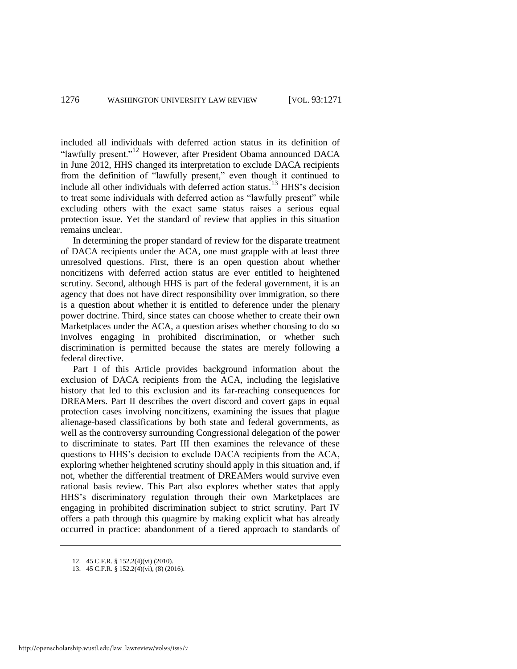included all individuals with deferred action status in its definition of "lawfully present."<sup>12</sup> However, after President Obama announced DACA in June 2012, HHS changed its interpretation to exclude DACA recipients from the definition of "lawfully present," even though it continued to include all other individuals with deferred action status.<sup>13</sup> HHS's decision to treat some individuals with deferred action as "lawfully present" while excluding others with the exact same status raises a serious equal protection issue. Yet the standard of review that applies in this situation remains unclear.

In determining the proper standard of review for the disparate treatment of DACA recipients under the ACA, one must grapple with at least three unresolved questions. First, there is an open question about whether noncitizens with deferred action status are ever entitled to heightened scrutiny. Second, although HHS is part of the federal government, it is an agency that does not have direct responsibility over immigration, so there is a question about whether it is entitled to deference under the plenary power doctrine. Third, since states can choose whether to create their own Marketplaces under the ACA, a question arises whether choosing to do so involves engaging in prohibited discrimination, or whether such discrimination is permitted because the states are merely following a federal directive.

Part I of this Article provides background information about the exclusion of DACA recipients from the ACA, including the legislative history that led to this exclusion and its far-reaching consequences for DREAMers. Part II describes the overt discord and covert gaps in equal protection cases involving noncitizens, examining the issues that plague alienage-based classifications by both state and federal governments, as well as the controversy surrounding Congressional delegation of the power to discriminate to states. Part III then examines the relevance of these questions to HHS's decision to exclude DACA recipients from the ACA, exploring whether heightened scrutiny should apply in this situation and, if not, whether the differential treatment of DREAMers would survive even rational basis review. This Part also explores whether states that apply HHS's discriminatory regulation through their own Marketplaces are engaging in prohibited discrimination subject to strict scrutiny. Part IV offers a path through this quagmire by making explicit what has already occurred in practice: abandonment of a tiered approach to standards of

<sup>12. 45</sup> C.F.R. § 152.2(4)(vi) (2010).

<sup>13. 45</sup> C.F.R. § 152.2(4)(vi), (8) (2016).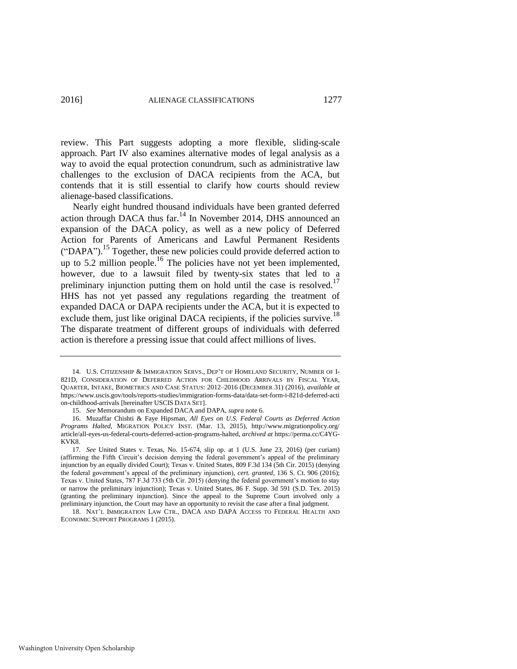review. This Part suggests adopting a more flexible, sliding-scale approach. Part IV also examines alternative modes of legal analysis as a way to avoid the equal protection conundrum, such as administrative law challenges to the exclusion of DACA recipients from the ACA, but contends that it is still essential to clarify how courts should review alienage-based classifications.

<span id="page-7-3"></span><span id="page-7-2"></span><span id="page-7-1"></span><span id="page-7-0"></span>Nearly eight hundred thousand individuals have been granted deferred action through DACA thus far.<sup>14</sup> In November 2014, DHS announced an expansion of the DACA policy, as well as a new policy of Deferred Action for Parents of Americans and Lawful Permanent Residents ("DAPA").<sup>15</sup> Together, these new policies could provide deferred action to up to 5.2 million people.<sup>16</sup> The policies have not yet been implemented, however, due to a lawsuit filed by twenty-six states that led to a preliminary injunction putting them on hold until the case is resolved.<sup>17</sup> HHS has not yet passed any regulations regarding the treatment of expanded DACA or DAPA recipients under the ACA, but it is expected to exclude them, just like original DACA recipients, if the policies survive.<sup>18</sup> The disparate treatment of different groups of individuals with deferred action is therefore a pressing issue that could affect millions of lives.

<sup>14.</sup> U.S. CITIZENSHIP & IMMIGRATION SERVS., DEP'T OF HOMELAND SECURITY, NUMBER OF I-821D, CONSIDERATION OF DEFERRED ACTION FOR CHILDHOOD ARRIVALS BY FISCAL YEAR, QUARTER, INTAKE, BIOMETRICS AND CASE STATUS: 2012–2016 (DECEMBER 31) (2016), *available at* <https://www.uscis.gov/tools/reports-studies/immigration-forms-data/data-set-form-i-821d-deferred-acti> on-childhood-arrivals [hereinafter USCIS DATA SET].

<sup>15.</sup> *See* Memorandum on Expanded DACA and DAPA, *supra* not[e 6.](#page-4-0) 

<sup>16.</sup> Muzaffar Chishti & Faye Hipsman, *All Eyes on U.S. Federal Courts as Deferred Action Programs Halted*, MIGRATION POLICY INST. (Mar. 13, 2015), http://www.migrationpolicy.org/ article/all-eyes-us-federal-courts-deferred-action-programs-halted, *archived at* https://perma.cc/C4YG-KVK8.

<sup>17</sup>*. See* United States v. Texas, No. 15-674, slip op. at 1 (U.S. June 23, 2016) (per curiam) (affirming the Fifth Circuit's decision denying the federal government's appeal of the preliminary injunction by an equally divided Court); Texas v. United States, 809 F.3d 134 (5th Cir. 2015) (denying the federal government's appeal of the preliminary injunction), *cert. granted*, 136 S. Ct. 906 (2016); Texas v. United States, 787 F.3d 733 (5th Cir. 2015) (denying the federal government's motion to stay or narrow the preliminary injunction); Texas v. United States, 86 F. Supp. 3d 591 (S.D. Tex. 2015) (granting the preliminary injunction). Since the appeal to the Supreme Court involved only a preliminary injunction, the Court may have an opportunity to revisit the case after a final judgment.

<sup>18.</sup> NAT'L IMMIGRATION LAW CTR., DACA AND DAPA ACCESS TO FEDERAL HEALTH AND ECONOMIC SUPPORT PROGRAMS 1 (2015).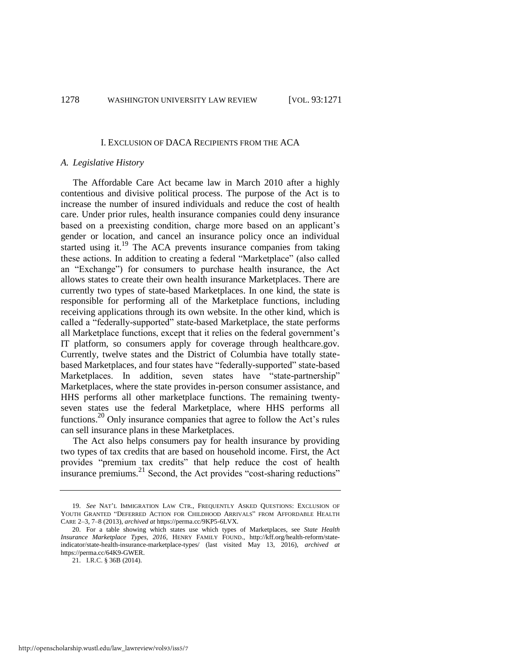#### I. EXCLUSION OF DACA RECIPIENTS FROM THE ACA

# *A. Legislative History*

The Affordable Care Act became law in March 2010 after a highly contentious and divisive political process. The purpose of the Act is to increase the number of insured individuals and reduce the cost of health care. Under prior rules, health insurance companies could deny insurance based on a preexisting condition, charge more based on an applicant's gender or location, and cancel an insurance policy once an individual started using it.<sup>19</sup> The ACA prevents insurance companies from taking these actions. In addition to creating a federal "Marketplace" (also called an "Exchange") for consumers to purchase health insurance, the Act allows states to create their own health insurance Marketplaces. There are currently two types of state-based Marketplaces. In one kind, the state is responsible for performing all of the Marketplace functions, including receiving applications through its own website. In the other kind, which is called a "federally-supported" state-based Marketplace, the state performs all Marketplace functions, except that it relies on the federal government's IT platform, so consumers apply for coverage through healthcare.gov. Currently, twelve states and the District of Columbia have totally statebased Marketplaces, and four states have "federally-supported" state-based Marketplaces. In addition, seven states have "state-partnership" Marketplaces, where the state provides in-person consumer assistance, and HHS performs all other marketplace functions. The remaining twentyseven states use the federal Marketplace, where HHS performs all functions.<sup>20</sup> Only insurance companies that agree to follow the Act's rules can sell insurance plans in these Marketplaces.

The Act also helps consumers pay for health insurance by providing two types of tax credits that are based on household income. First, the Act provides "premium tax credits" that help reduce the cost of health insurance premiums.<sup>21</sup> Second, the Act provides "cost-sharing reductions"

<sup>19.</sup> *See* NAT'L IMMIGRATION LAW CTR., FREQUENTLY ASKED QUESTIONS: EXCLUSION OF YOUTH GRANTED "DEFERRED ACTION FOR CHILDHOOD ARRIVALS" FROM AFFORDABLE HEALTH CARE 2–3, 7–8 (2013), *archived at* https://perma.cc/9KP5-6LVX.

<sup>20.</sup> For a table showing which states use which types of Marketplaces, see *State Health Insurance Marketplace Types, 2016*, HENRY FAMILY FOUND., http://kff.org/health-reform/stateindicator/state-health-insurance-marketplace-types/ (last visited May 13, 2016), *archived at* https://perma.cc/64K9-GWER.

<sup>21.</sup> I.R.C. § 36B (2014).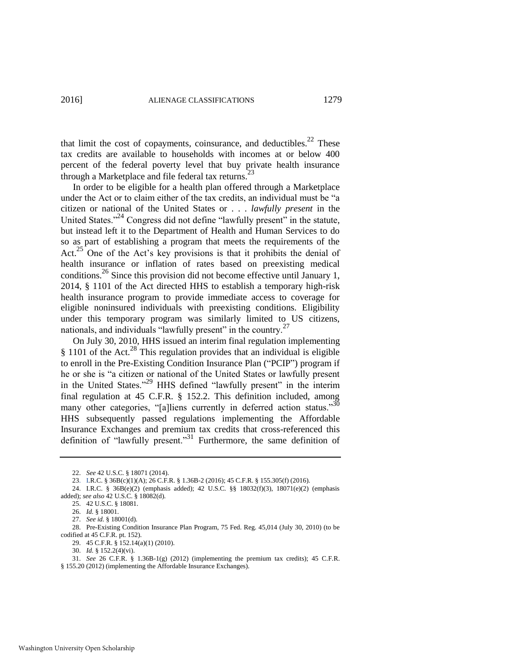that limit the cost of copayments, coinsurance, and deductibles. $22$  These tax credits are available to households with incomes at or below 400 percent of the federal poverty level that buy private health insurance through a Marketplace and file federal tax returns. $23$ 

In order to be eligible for a health plan offered through a Marketplace under the Act or to claim either of the tax credits, an individual must be "a citizen or national of the United States or . . . *lawfully present* in the United States."<sup>24</sup> Congress did not define "lawfully present" in the statute, but instead left it to the Department of Health and Human Services to do so as part of establishing a program that meets the requirements of the Act.<sup>25</sup> One of the Act's key provisions is that it prohibits the denial of health insurance or inflation of rates based on preexisting medical conditions.26 Since this provision did not become effective until January 1, 2014, § 1101 of the Act directed HHS to establish a temporary high-risk health insurance program to provide immediate access to coverage for eligible noninsured individuals with preexisting conditions. Eligibility under this temporary program was similarly limited to US citizens, nationals, and individuals "lawfully present" in the country.<sup>27</sup>

On July 30, 2010, HHS issued an interim final regulation implementing § 1101 of the Act.<sup>28</sup> This regulation provides that an individual is eligible to enroll in the Pre-Existing Condition Insurance Plan ("PCIP") program if he or she is "a citizen or national of the United States or lawfully present in the United States.<sup>29</sup> HHS defined "lawfully present" in the interim final regulation at 45 C.F.R. § 152.2. This definition included, among many other categories, "[a]liens currently in deferred action status."<sup>30</sup> HHS subsequently passed regulations implementing the Affordable Insurance Exchanges and premium tax credits that cross-referenced this definition of "lawfully present."<sup>31</sup> Furthermore, the same definition of

<span id="page-9-0"></span><sup>22.</sup> *See* 42 U.S.C. § 18071 (2014).

<sup>23.</sup> I.R.C. § 36B(c)(1)(A); 26 C.F.R. § 1.36B-2 (2016); 45 C.F.R. § 155.305(f) (2016).

<sup>24.</sup> I.R.C. § 36B(e)(2) (emphasis added); 42 U.S.C. §§ 18032(f)(3), 18071(e)(2) (emphasis added); *see also* 42 U.S.C. § 18082(d).

<sup>25. 42</sup> U.S.C. § 18081.

<sup>26.</sup> *Id.* § 18001.

<sup>27.</sup> *See id.* § 18001(d).

<sup>28.</sup> Pre-Existing Condition Insurance Plan Program, 75 Fed. Reg. 45,014 (July 30, 2010) (to be codified at 45 C.F.R. pt. 152).

<sup>29. 45</sup> C.F.R. § 152.14(a)(1) (2010).

<sup>30.</sup> *Id.* § 152.2(4)(vi).

<sup>31.</sup> *See* 26 C.F.R. § 1.36B-1(g) (2012) (implementing the premium tax credits); 45 C.F.R. § 155.20 (2012) (implementing the Affordable Insurance Exchanges).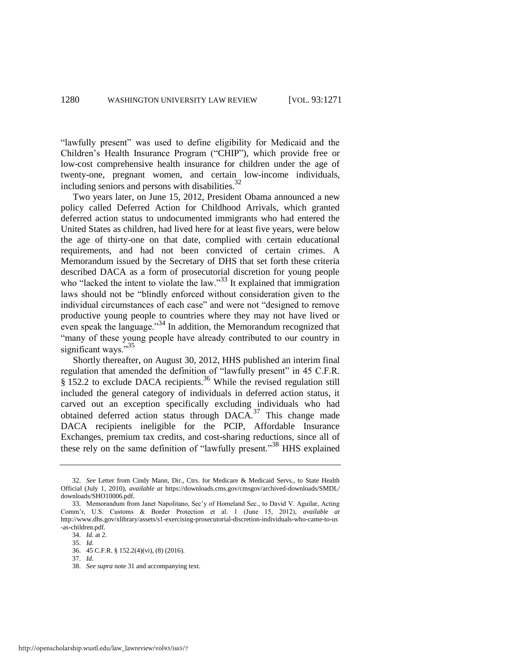"lawfully present" was used to define eligibility for Medicaid and the Children's Health Insurance Program ("CHIP"), which provide free or low-cost comprehensive health insurance for children under the age of twenty-one, pregnant women, and certain low-income individuals, including seniors and persons with disabilities.<sup>32</sup>

<span id="page-10-0"></span>Two years later, on June 15, 2012, President Obama announced a new policy called Deferred Action for Childhood Arrivals, which granted deferred action status to undocumented immigrants who had entered the United States as children, had lived here for at least five years, were below the age of thirty-one on that date, complied with certain educational requirements, and had not been convicted of certain crimes. A Memorandum issued by the Secretary of DHS that set forth these criteria described DACA as a form of prosecutorial discretion for young people who "lacked the intent to violate the law." $33$  It explained that immigration laws should not be "blindly enforced without consideration given to the individual circumstances of each case" and were not "designed to remove productive young people to countries where they may not have lived or even speak the language."<sup>34</sup> In addition, the Memorandum recognized that "many of these young people have already contributed to our country in significant ways."<sup>35</sup>

Shortly thereafter, on August 30, 2012, HHS published an interim final regulation that amended the definition of "lawfully present" in 45 C.F.R.  $\frac{8}{9}$  152.2 to exclude DACA recipients.<sup>36</sup> While the revised regulation still included the general category of individuals in deferred action status, it carved out an exception specifically excluding individuals who had obtained deferred action status through  $DACA$ .<sup>37</sup> This change made DACA recipients ineligible for the PCIP, Affordable Insurance Exchanges, premium tax credits, and cost-sharing reductions, since all of these rely on the same definition of "lawfully present."<sup>38</sup> HHS explained

<sup>32.</sup> *See* Letter from Cindy Mann, Dir., Ctrs. for Medicare & Medicaid Servs., to State Health Official (July 1, 2010), *available at* https://downloads.cms.gov/cmsgov/archived-downloads/SMDL/ downloads/SHO10006.pdf.

<sup>33.</sup> Memorandum from Janet Napolitano, Sec'y of Homeland Sec., to David V. Aguilar, Acting Comm'r, U.S. Customs & Border Protection et al. 1 (June 15, 2012), *available at* http://www.dhs.gov/xlibrary/assets/s1-exercising-prosecutorial-discretion-individuals-who-came-to-us -as-children.pdf.

<sup>34.</sup> *Id.* at 2.

<sup>35.</sup> *Id.* 

<sup>36. 45</sup> C.F.R. § 152.2(4)(vi), (8) (2016).

<sup>37.</sup> *Id.*

<sup>38.</sup> *See supra* not[e 31 a](#page-9-0)nd accompanying text.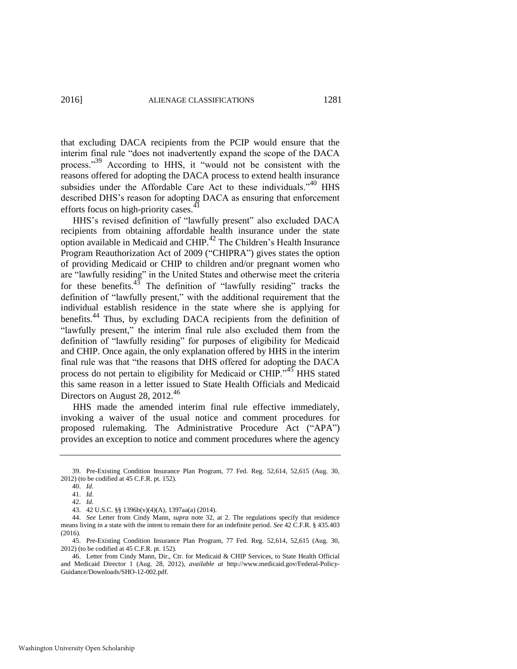that excluding DACA recipients from the PCIP would ensure that the interim final rule "does not inadvertently expand the scope of the DACA process."<sup>39</sup> According to HHS, it "would not be consistent with the reasons offered for adopting the DACA process to extend health insurance subsidies under the Affordable Care Act to these individuals.<sup>40</sup> HHS described DHS's reason for adopting DACA as ensuring that enforcement efforts focus on high-priority cases.<sup>41</sup>

HHS's revised definition of "lawfully present" also excluded DACA recipients from obtaining affordable health insurance under the state option available in Medicaid and CHIP.<sup>42</sup> The Children's Health Insurance Program Reauthorization Act of 2009 ("CHIPRA") gives states the option of providing Medicaid or CHIP to children and/or pregnant women who are "lawfully residing" in the United States and otherwise meet the criteria for these benefits. $45$  The definition of "lawfully residing" tracks the definition of "lawfully present," with the additional requirement that the individual establish residence in the state where she is applying for benefits.<sup>44</sup> Thus, by excluding DACA recipients from the definition of "lawfully present," the interim final rule also excluded them from the definition of "lawfully residing" for purposes of eligibility for Medicaid and CHIP. Once again, the only explanation offered by HHS in the interim final rule was that "the reasons that DHS offered for adopting the DACA process do not pertain to eligibility for Medicaid or CHIP."<sup>45</sup> HHS stated this same reason in a letter issued to State Health Officials and Medicaid Directors on August 28,  $2012^{46}$ 

HHS made the amended interim final rule effective immediately, invoking a waiver of the usual notice and comment procedures for proposed rulemaking. The Administrative Procedure Act ("APA") provides an exception to notice and comment procedures where the agency

44. *See* Letter from Cindy Mann, *supra* note [32,](#page-10-0) at 2. The regulations specify that residence means living in a state with the intent to remain there for an indefinite period. *See* 42 C.F.R. § 435.403 (2016).

<sup>39.</sup> Pre-Existing Condition Insurance Plan Program, 77 Fed. Reg. 52,614, 52,615 (Aug. 30, 2012) (to be codified at 45 C.F.R. pt. 152).

<sup>40.</sup> *Id.* 

<sup>41.</sup> *Id.* 

<sup>42.</sup> *Id.* 

<sup>43. 42</sup> U.S.C. §§ 1396b(v)(4)(A), 1397aa(a) (2014).

<sup>45.</sup> Pre-Existing Condition Insurance Plan Program, 77 Fed. Reg. 52,614, 52,615 (Aug. 30, 2012) (to be codified at 45 C.F.R. pt. 152).

<sup>46.</sup> Letter from Cindy Mann, Dir., Ctr. for Medicaid & CHIP Services, to State Health Official and Medicaid Director 1 (Aug. 28, 2012), *available at* http://www.medicaid.gov/Federal-Policy-Guidance/Downloads/SHO-12-002.pdf.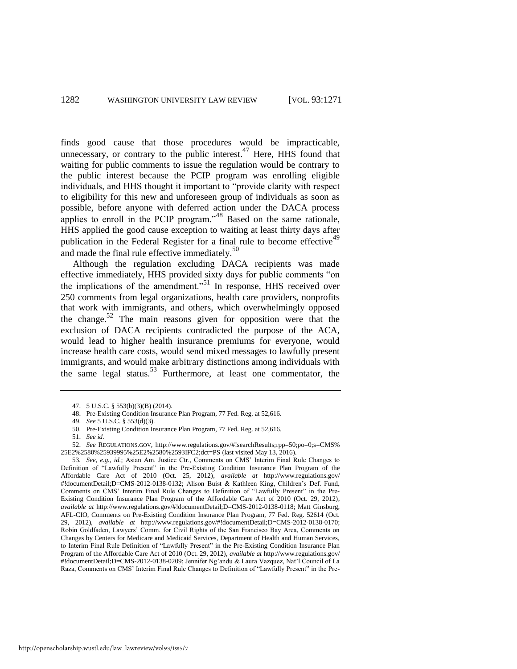finds good cause that those procedures would be impracticable, unnecessary, or contrary to the public interest.<sup>47</sup> Here, HHS found that waiting for public comments to issue the regulation would be contrary to the public interest because the PCIP program was enrolling eligible individuals, and HHS thought it important to "provide clarity with respect to eligibility for this new and unforeseen group of individuals as soon as possible, before anyone with deferred action under the DACA process applies to enroll in the PCIP program.<sup>348</sup> Based on the same rationale, HHS applied the good cause exception to waiting at least thirty days after publication in the Federal Register for a final rule to become effective<sup>49</sup> and made the final rule effective immediately.<sup>50</sup>

Although the regulation excluding DACA recipients was made effective immediately, HHS provided sixty days for public comments "on the implications of the amendment."<sup>51</sup> In response, HHS received over 250 comments from legal organizations, health care providers, nonprofits that work with immigrants, and others, which overwhelmingly opposed the change.<sup>52</sup> The main reasons given for opposition were that the exclusion of DACA recipients contradicted the purpose of the ACA, would lead to higher health insurance premiums for everyone, would increase health care costs, would send mixed messages to lawfully present immigrants, and would make arbitrary distinctions among individuals with the same legal status.<sup>53</sup> Furthermore, at least one commentator, the

50. Pre-Existing Condition Insurance Plan Program, 77 Fed. Reg. at 52,616.

<sup>47. 5</sup> U.S.C. § 553(b)(3)(B) (2014).

<sup>48.</sup> Pre-Existing Condition Insurance Plan Program, 77 Fed. Reg. at 52,616.

<sup>49.</sup> *See* 5 U.S.C. § 553(d)(3).

<sup>51.</sup> *See id.*

<sup>52.</sup> *See* REGULATIONS.GOV, http://www.regulations.gov/#!searchResults;rpp=50;po=0;s=CMS% 25E2%2580%25939995%25E2%2580%2593IFC2;dct=PS (last visited May 13, 2016).

<sup>53</sup>*. See, e.g.*, *id.*; Asian Am. Justice Ctr., Comments on CMS' Interim Final Rule Changes to Definition of "Lawfully Present" in the Pre-Existing Condition Insurance Plan Program of the Affordable Care Act of 2010 (Oct. 25, 2012), *available at* http://www.regulations.gov/ #!documentDetail;D=CMS-2012-0138-0132; Alison Buist & Kathleen King, Children's Def. Fund, Comments on CMS' Interim Final Rule Changes to Definition of "Lawfully Present" in the Pre-Existing Condition Insurance Plan Program of the Affordable Care Act of 2010 (Oct. 29, 2012), *available at* http://www.regulations.gov/#!documentDetail;D=CMS-2012-0138-0118; Matt Ginsburg, AFL-CIO, Comments on Pre-Existing Condition Insurance Plan Program, 77 Fed. Reg. 52614 (Oct. 29, 2012), *available at* http://www.regulations.gov/#!documentDetail;D=CMS-2012-0138-0170; Robin Goldfaden, Lawyers' Comm. for Civil Rights of the San Francisco Bay Area, Comments on Changes by Centers for Medicare and Medicaid Services, Department of Health and Human Services, to Interim Final Rule Definition of "Lawfully Present" in the Pre-Existing Condition Insurance Plan Program of the Affordable Care Act of 2010 (Oct. 29, 2012), *available at* http://www.regulations.gov/ #!documentDetail;D=CMS-2012-0138-0209; Jennifer Ng'andu & Laura Vazquez, Nat'l Council of La Raza, Comments on CMS' Interim Final Rule Changes to Definition of "Lawfully Present" in the Pre-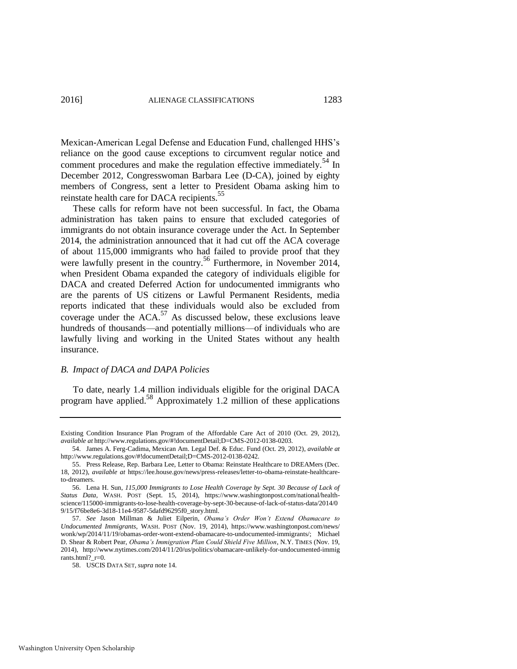Mexican-American Legal Defense and Education Fund, challenged HHS's reliance on the good cause exceptions to circumvent regular notice and comment procedures and make the regulation effective immediately.<sup>54</sup> In December 2012, Congresswoman Barbara Lee (D-CA), joined by eighty members of Congress, sent a letter to President Obama asking him to reinstate health care for DACA recipients.<sup>55</sup>

These calls for reform have not been successful. In fact, the Obama administration has taken pains to ensure that excluded categories of immigrants do not obtain insurance coverage under the Act. In September 2014, the administration announced that it had cut off the ACA coverage of about 115,000 immigrants who had failed to provide proof that they were lawfully present in the country.<sup>56</sup> Furthermore, in November 2014, when President Obama expanded the category of individuals eligible for DACA and created Deferred Action for undocumented immigrants who are the parents of US citizens or Lawful Permanent Residents, media reports indicated that these individuals would also be excluded from coverage under the  $ACA$ <sup>57</sup> As discussed below, these exclusions leave hundreds of thousands—and potentially millions—of individuals who are lawfully living and working in the United States without any health insurance.

#### <span id="page-13-0"></span>*B. Impact of DACA and DAPA Policies*

To date, nearly 1.4 million individuals eligible for the original DACA program have applied.58 Approximately 1.2 million of these applications

Existing Condition Insurance Plan Program of the Affordable Care Act of 2010 (Oct. 29, 2012), *available at* http://www.regulations.gov/#!documentDetail;D=CMS-2012-0138-0203.

<sup>54.</sup> James A. Ferg-Cadima, Mexican Am. Legal Def. & Educ. Fund (Oct. 29, 2012), *available at*  http://www.regulations.gov/#!documentDetail;D=CMS-2012-0138-0242.

<sup>55.</sup> Press Release, Rep. Barbara Lee, Letter to Obama: Reinstate Healthcare to DREAMers (Dec. 18, 2012), *available at* https://lee.house.gov/news/press-releases/letter-to-obama-reinstate-healthcareto-dreamers.

<sup>56.</sup> Lena H. Sun, *115,000 Immigrants to Lose Health Coverage by Sept. 30 Because of Lack of Status Data*, WASH. POST (Sept. 15, 2014), https://www.washingtonpost.com/national/healthscience/115000-immigrants-to-lose-health-coverage-by-sept-30-because-of-lack-of-status-data/2014/0 9/15/f76be8e6-3d18-11e4-9587-5dafd96295f0\_story.html.

<sup>57.</sup> *See* Jason Millman & Juliet Eilperin, *Obama's Order Won't Extend Obamacare to Undocumented Immigrants*, WASH. POST (Nov. 19, 2014), [https://www.washingtonpost.com/n](https://www.washingtonpost.com/)ews/ wonk/wp/2014/11/19/obamas-order-wont-extend-obamacare-to-undocumented-immigrants/; Michael D. Shear & Robert Pear, *Obama's Immigration Plan Could Shield Five Million*, N.Y. TIMES (Nov. 19, 2014), http://www.nytimes.com/2014/11/20/us/politics/obamacare-unlikely-for-undocumented-immig rants.html?\_r=0.

<sup>58.</sup> USCIS DATA SET, *supra* not[e 14.](#page-7-0)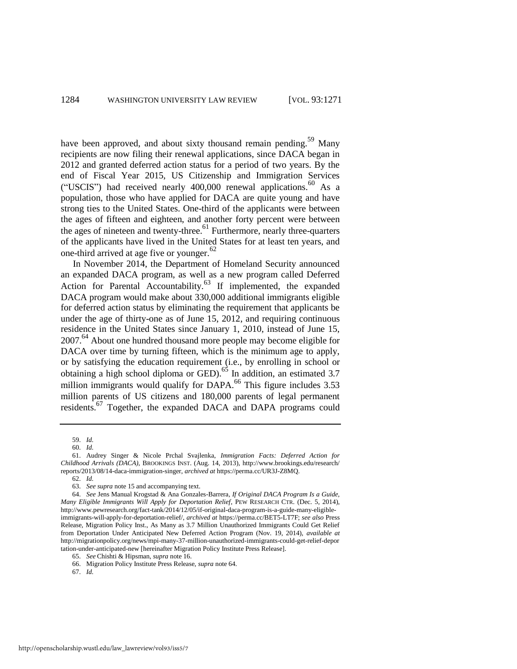have been approved, and about sixty thousand remain pending.<sup>59</sup> Many recipients are now filing their renewal applications, since DACA began in 2012 and granted deferred action status for a period of two years. By the end of Fiscal Year 2015, US Citizenship and Immigration Services ("USCIS") had received nearly  $400,000$  renewal applications.<sup>60</sup> As a population, those who have applied for DACA are quite young and have strong ties to the United States. One-third of the applicants were between the ages of fifteen and eighteen, and another forty percent were between the ages of nineteen and twenty-three.<sup>61</sup> Furthermore, nearly three-quarters of the applicants have lived in the United States for at least ten years, and one-third arrived at age five or younger. $62$ 

<span id="page-14-0"></span>In November 2014, the Department of Homeland Security announced an expanded DACA program, as well as a new program called Deferred Action for Parental Accountability.<sup>63</sup> If implemented, the expanded DACA program would make about 330,000 additional immigrants eligible for deferred action status by eliminating the requirement that applicants be under the age of thirty-one as of June 15, 2012, and requiring continuous residence in the United States since January 1, 2010, instead of June 15, 2007.<sup>64</sup> About one hundred thousand more people may become eligible for DACA over time by turning fifteen, which is the minimum age to apply, or by satisfying the education requirement (i.e., by enrolling in school or obtaining a high school diploma or GED).<sup>65</sup> In addition, an estimated 3.7 million immigrants would qualify for DAPA.<sup>66</sup> This figure includes 3.53 million parents of US citizens and 180,000 parents of legal permanent residents.<sup>67</sup> Together, the expanded DACA and DAPA programs could

67. *Id.* 

<sup>59.</sup> *Id.*

<sup>60.</sup> *Id.* 

<sup>61.</sup> Audrey Singer & Nicole Prchal Svajlenka, *Immigration Facts: Deferred Action for Childhood Arrivals (DACA)*, BROOKINGS INST. (Aug. 14, 2013), http://www.brookings.edu/research/ reports/2013/08/14-daca-immigration-singer, *archived at* https://perma.cc/UR3J-Z8MQ.

<sup>62.</sup> *Id.* 

<sup>63.</sup> *See supra* not[e 15 a](#page-7-1)nd accompanying text.

<sup>64.</sup> *See* Jens Manual Krogstad & Ana Gonzales-Barrera, *If Original DACA Program Is a Guide, Many Eligible Immigrants Will Apply for Deportation Relief*, PEW RESEARCH CTR. (Dec. 5, 2014), http://www.pewresearch.org/fact-tank/2014/12/05/if-original-daca-program-is-a-guide-many-eligibleimmigrants-will-apply-for-deportation-relief/, *archived at* https://perma.cc/BET5-LT7F; *see also* Press Release, Migration Policy Inst., As Many as 3.7 Million Unauthorized Immigrants Could Get Relief from Deportation Under Anticipated New Deferred Action Program (Nov. 19, 2014), *available at* <http://migrationpolicy.org/news/mpi-many-37-million-unauthorized-immigrants-could-get-relief-depor> tation-under-anticipated-new [hereinafter Migration Policy Institute Press Release].

<sup>65.</sup> *See* Chishti & Hipsman, *supra* not[e 16.](#page-7-2)

<sup>66.</sup> Migration Policy Institute Press Release, *supra* not[e 64.](#page-14-0)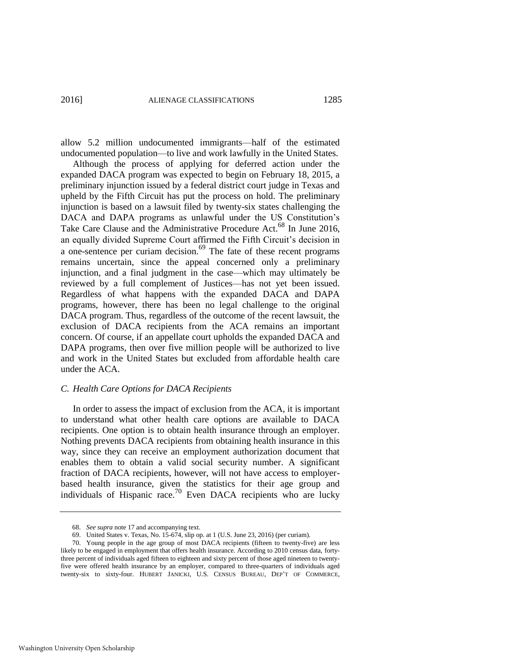allow 5.2 million undocumented immigrants—half of the estimated undocumented population—to live and work lawfully in the United States.

Although the process of applying for deferred action under the expanded DACA program was expected to begin on February 18, 2015, a preliminary injunction issued by a federal district court judge in Texas and upheld by the Fifth Circuit has put the process on hold. The preliminary injunction is based on a lawsuit filed by twenty-six states challenging the DACA and DAPA programs as unlawful under the US Constitution's Take Care Clause and the Administrative Procedure Act.<sup>68</sup> In June 2016, an equally divided Supreme Court affirmed the Fifth Circuit's decision in a one-sentence per curiam decision.<sup> $69$ </sup> The fate of these recent programs remains uncertain, since the appeal concerned only a preliminary injunction, and a final judgment in the case—which may ultimately be reviewed by a full complement of Justices—has not yet been issued. Regardless of what happens with the expanded DACA and DAPA programs, however, there has been no legal challenge to the original DACA program. Thus, regardless of the outcome of the recent lawsuit, the exclusion of DACA recipients from the ACA remains an important concern. Of course, if an appellate court upholds the expanded DACA and DAPA programs, then over five million people will be authorized to live and work in the United States but excluded from affordable health care under the ACA.

# *C. Health Care Options for DACA Recipients*

In order to assess the impact of exclusion from the ACA, it is important to understand what other health care options are available to DACA recipients. One option is to obtain health insurance through an employer. Nothing prevents DACA recipients from obtaining health insurance in this way, since they can receive an employment authorization document that enables them to obtain a valid social security number. A significant fraction of DACA recipients, however, will not have access to employerbased health insurance, given the statistics for their age group and individuals of Hispanic race.<sup>70</sup> Even DACA recipients who are lucky

<sup>68.</sup> *See supra* not[e 17 a](#page-7-3)nd accompanying text.

<sup>69.</sup> United States v. Texas, No. 15-674, slip op. at 1 (U.S. June 23, 2016) (per curiam).

<sup>70.</sup> Young people in the age group of most DACA recipients (fifteen to twenty-five) are less likely to be engaged in employment that offers health insurance. According to 2010 census data, fortythree percent of individuals aged fifteen to eighteen and sixty percent of those aged nineteen to twentyfive were offered health insurance by an employer, compared to three-quarters of individuals aged twenty-six to sixty-four. HUBERT JANICKI, U.S. CENSUS BUREAU, DEP'T OF COMMERCE,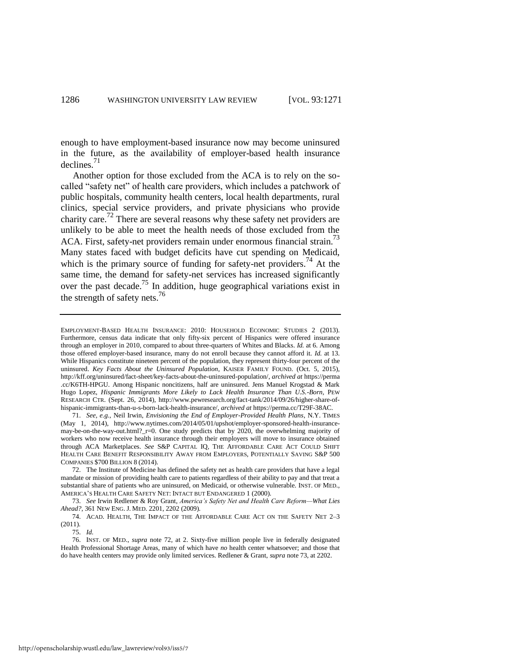enough to have employment-based insurance now may become uninsured in the future, as the availability of employer-based health insurance declines.<sup>71</sup>

<span id="page-16-1"></span><span id="page-16-0"></span>Another option for those excluded from the ACA is to rely on the socalled "safety net" of health care providers, which includes a patchwork of public hospitals, community health centers, local health departments, rural clinics, special service providers, and private physicians who provide charity care.72 There are several reasons why these safety net providers are unlikely to be able to meet the health needs of those excluded from the ACA. First, safety-net providers remain under enormous financial strain.<sup>73</sup> Many states faced with budget deficits have cut spending on Medicaid, which is the primary source of funding for safety-net providers.<sup>74</sup> At the same time, the demand for safety-net services has increased significantly over the past decade.<sup>75</sup> In addition, huge geographical variations exist in the strength of safety nets.<sup>76</sup>

71. *See, e.g.*, Neil Irwin, *Envisioning the End of Employer-Provided Health Plans*, N.Y. TIMES (May 1, 2014), http://www.nytimes.com/2014/05/01/upshot/employer-sponsored-health-insurancemay-be-on-the-way-out.html? r=0. One study predicts that by 2020, the overwhelming majority of workers who now receive health insurance through their employers will move to insurance obtained through ACA Marketplaces. *See* S&P CAPITAL IQ, THE AFFORDABLE CARE ACT COULD SHIFT HEALTH CARE BENEFIT RESPONSIBILITY AWAY FROM EMPLOYERS, POTENTIALLY SAVING S&P 500 COMPANIES \$700 BILLION 8 (2014).

72. The Institute of Medicine has defined the safety net as health care providers that have a legal mandate or mission of providing health care to patients regardless of their ability to pay and that treat a substantial share of patients who are uninsured, on Medicaid, or otherwise vulnerable. INST. OF MED., AMERICA'S HEALTH CARE SAFETY NET: INTACT BUT ENDANGERED 1 (2000).

73. *See* Irwin Redlener & Roy Grant, *America's Safety Net and Health Care Reform—What Lies Ahead?*, 361 NEW ENG. J. MED. 2201, 2202 (2009).

74. ACAD. HEALTH, THE IMPACT OF THE AFFORDABLE CARE ACT ON THE SAFETY NET 2–3 (2011).

75. *Id.*

76. INST. OF MED., *supra* note [72,](#page-16-0) at 2. Sixty-five million people live in federally designated Health Professional Shortage Areas, many of which have *no* health center whatsoever; and those that do have health centers may provide only limited services. Redlener & Grant, *supra* not[e 73,](#page-16-1) at 2202.

<span id="page-16-2"></span>EMPLOYMENT-BASED HEALTH INSURANCE: 2010: HOUSEHOLD ECONOMIC STUDIES 2 (2013). Furthermore, census data indicate that only fifty-six percent of Hispanics were offered insurance through an employer in 2010, compared to about three-quarters of Whites and Blacks. *Id.* at 6. Among those offered employer-based insurance, many do not enroll because they cannot afford it. *Id.* at 13. While Hispanics constitute nineteen percent of the population, they represent thirty-four percent of the uninsured. *Key Facts About the Uninsured Population*, KAISER FAMILY FOUND. (Oct. 5, 2015), http://kff.org/uninsured/fact-sheet/key-facts-about-the-uninsured-population/, *archived at* https://perma .cc/K6TH-HPGU. Among Hispanic noncitizens, half are uninsured. Jens Manuel Krogstad & Mark Hugo Lopez, *Hispanic Immigrants More Likely to Lack Health Insurance Than U.S.-Born*, PEW RESEARCH CTR. (Sept. 26, 2014), http://www.pewresearch.org/fact-tank/2014/09/26/higher-share-ofhispanic-immigrants-than-u-s-born-lack-health-insurance/, *archived at* https://perma.cc/T29F-38AC.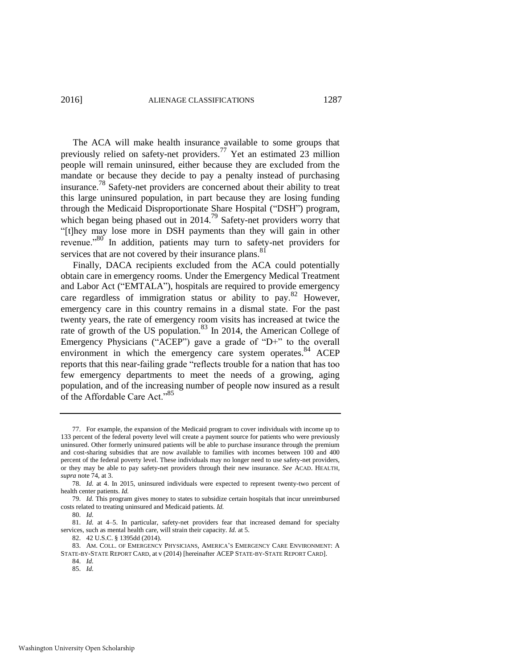The ACA will make health insurance available to some groups that previously relied on safety-net providers.77 Yet an estimated 23 million people will remain uninsured, either because they are excluded from the mandate or because they decide to pay a penalty instead of purchasing insurance.78 Safety-net providers are concerned about their ability to treat this large uninsured population, in part because they are losing funding through the Medicaid Disproportionate Share Hospital ("DSH") program, which began being phased out in 2014.<sup>79</sup> Safety-net providers worry that "[t]hey may lose more in DSH payments than they will gain in other revenue."<sup>80</sup> In addition, patients may turn to safety-net providers for services that are not covered by their insurance plans.<sup>81</sup>

<span id="page-17-0"></span>Finally, DACA recipients excluded from the ACA could potentially obtain care in emergency rooms. Under the Emergency Medical Treatment and Labor Act ("EMTALA"), hospitals are required to provide emergency care regardless of immigration status or ability to pay.<sup>82</sup> However, emergency care in this country remains in a dismal state. For the past twenty years, the rate of emergency room visits has increased at twice the rate of growth of the US population.<sup>83</sup> In 2014, the American College of Emergency Physicians ("ACEP") gave a grade of "D+" to the overall environment in which the emergency care system operates.<sup>84</sup> ACEP reports that this near-failing grade "reflects trouble for a nation that has too few emergency departments to meet the needs of a growing, aging population, and of the increasing number of people now insured as a result of the Affordable Care Act."<sup>85</sup>

<sup>77.</sup> For example, the expansion of the Medicaid program to cover individuals with income up to 133 percent of the federal poverty level will create a payment source for patients who were previously uninsured. Other formerly uninsured patients will be able to purchase insurance through the premium and cost-sharing subsidies that are now available to families with incomes between 100 and 400 percent of the federal poverty level. These individuals may no longer need to use safety-net providers, or they may be able to pay safety-net providers through their new insurance. *See* ACAD. HEALTH, *supra* not[e 74,](#page-16-2) at 3.

<sup>78.</sup> *Id.* at 4. In 2015, uninsured individuals were expected to represent twenty-two percent of health center patients. *Id.* 

<sup>79.</sup> *Id.* This program gives money to states to subsidize certain hospitals that incur unreimbursed costs related to treating uninsured and Medicaid patients. *Id.*

<sup>80.</sup> *Id.*

<sup>81.</sup> *Id.* at 4–5. In particular, safety-net providers fear that increased demand for specialty services, such as mental health care, will strain their capacity. *Id.* at 5.

<sup>82. 42</sup> U.S.C. § 1395dd (2014).

<sup>83.</sup> AM. COLL. OF EMERGENCY PHYSICIANS, AMERICA'S EMERGENCY CARE ENVIRONMENT: A STATE-BY-STATE REPORT CARD, at v (2014) [hereinafter ACEP STATE-BY-STATE REPORT CARD].

<sup>84.</sup> *Id.* 

<sup>85.</sup> *Id.*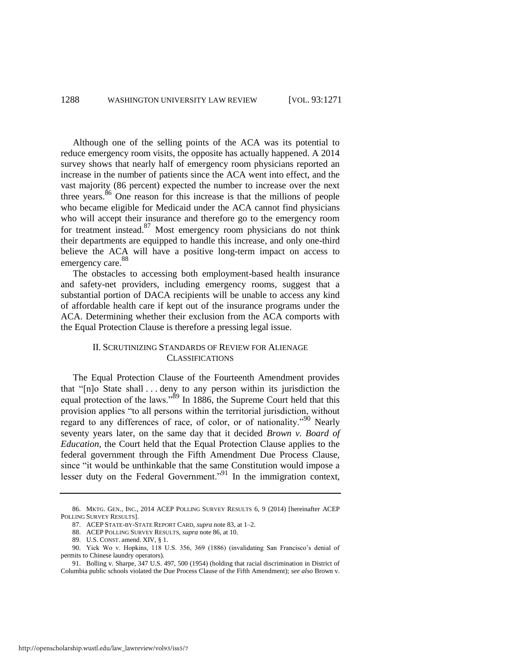<span id="page-18-0"></span>Although one of the selling points of the ACA was its potential to reduce emergency room visits, the opposite has actually happened. A 2014 survey shows that nearly half of emergency room physicians reported an increase in the number of patients since the ACA went into effect, and the vast majority (86 percent) expected the number to increase over the next three years. $86$  One reason for this increase is that the millions of people who became eligible for Medicaid under the ACA cannot find physicians who will accept their insurance and therefore go to the emergency room for treatment instead.<sup>87</sup> Most emergency room physicians do not think their departments are equipped to handle this increase, and only one-third believe the ACA will have a positive long-term impact on access to emergency care.<sup>88</sup>

The obstacles to accessing both employment-based health insurance and safety-net providers, including emergency rooms, suggest that a substantial portion of DACA recipients will be unable to access any kind of affordable health care if kept out of the insurance programs under the ACA. Determining whether their exclusion from the ACA comports with the Equal Protection Clause is therefore a pressing legal issue.

# II. SCRUTINIZING STANDARDS OF REVIEW FOR ALIENAGE CLASSIFICATIONS

The Equal Protection Clause of the Fourteenth Amendment provides that "[n]o State shall . . . deny to any person within its jurisdiction the equal protection of the laws." $\frac{89}{9}$  In 1886, the Supreme Court held that this provision applies "to all persons within the territorial jurisdiction, without regard to any differences of race, of color, or of nationality."<sup>90</sup> Nearly seventy years later, on the same day that it decided *Brown v. Board of Education*, the Court held that the Equal Protection Clause applies to the federal government through the Fifth Amendment Due Process Clause, since "it would be unthinkable that the same Constitution would impose a lesser duty on the Federal Government."<sup>91</sup> In the immigration context,

<sup>86.</sup> MKTG. GEN., INC., 2014 ACEP POLLING SURVEY RESULTS 6, 9 (2014) [hereinafter ACEP POLLING SURVEY RESULTS].

<sup>87.</sup> ACEP STATE-BY-STATE REPORT CARD, *supra* not[e 83,](#page-17-0) at 1–2.

<sup>88.</sup> ACEP POLLING SURVEY RESULTS, *supra* not[e 86,](#page-18-0) at 10.

<sup>89.</sup> U.S. CONST. amend. XIV, § 1.

<sup>90.</sup> Yick Wo v. Hopkins, 118 U.S. 356, 369 (1886) (invalidating San Francisco's denial of permits to Chinese laundry operators).

<sup>91.</sup> Bolling v. Sharpe, 347 U.S. 497, 500 (1954) (holding that racial discrimination in District of Columbia public schools violated the Due Process Clause of the Fifth Amendment); *see also* Brown v.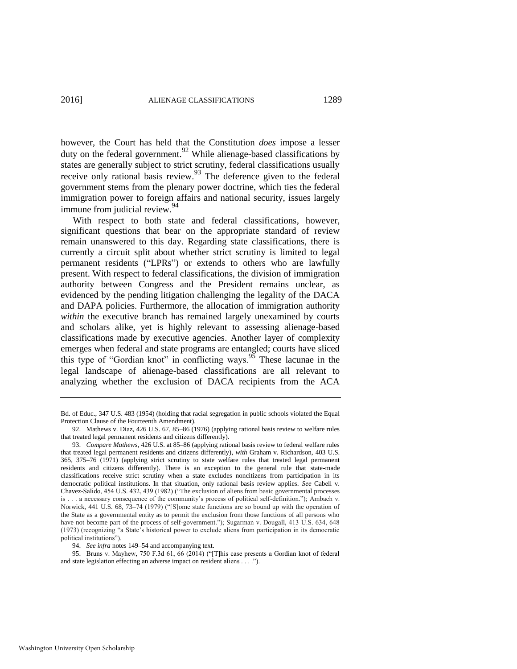however, the Court has held that the Constitution *does* impose a lesser duty on the federal government.<sup>92</sup> While alienage-based classifications by states are generally subject to strict scrutiny, federal classifications usually receive only rational basis review.<sup>93</sup> The deference given to the federal government stems from the plenary power doctrine, which ties the federal immigration power to foreign affairs and national security, issues largely immune from judicial review.<sup>94</sup>

With respect to both state and federal classifications, however, significant questions that bear on the appropriate standard of review remain unanswered to this day. Regarding state classifications, there is currently a circuit split about whether strict scrutiny is limited to legal permanent residents ("LPRs") or extends to others who are lawfully present. With respect to federal classifications, the division of immigration authority between Congress and the President remains unclear, as evidenced by the pending litigation challenging the legality of the DACA and DAPA policies. Furthermore, the allocation of immigration authority *within* the executive branch has remained largely unexamined by courts and scholars alike, yet is highly relevant to assessing alienage-based classifications made by executive agencies. Another layer of complexity emerges when federal and state programs are entangled; courts have sliced this type of "Gordian knot" in conflicting ways.<sup>95</sup> These lacunae in the legal landscape of alienage-based classifications are all relevant to analyzing whether the exclusion of DACA recipients from the ACA

94. *See infra* notes [149–](#page-27-0)54 and accompanying text.

95. Bruns v. Mayhew, 750 F.3d 61, 66 (2014) ("[T]his case presents a Gordian knot of federal and state legislation effecting an adverse impact on resident aliens . . . .").

Bd. of Educ., 347 U.S. 483 (1954) (holding that racial segregation in public schools violated the Equal Protection Clause of the Fourteenth Amendment).

<sup>92.</sup> Mathews v. Diaz, 426 U.S. 67, 85–86 (1976) (applying rational basis review to welfare rules that treated legal permanent residents and citizens differently).

<sup>93.</sup> *Compare Mathews*, 426 U.S. at 85–86 (applying rational basis review to federal welfare rules that treated legal permanent residents and citizens differently), *with* Graham v. Richardson, 403 U.S. 365, 375–76 (1971) (applying strict scrutiny to state welfare rules that treated legal permanent residents and citizens differently). There is an exception to the general rule that state-made classifications receive strict scrutiny when a state excludes noncitizens from participation in its democratic political institutions. In that situation, only rational basis review applies. *See* Cabell v. Chavez-Salido, 454 U.S. 432, 439 (1982) ("The exclusion of aliens from basic governmental processes is . . . a necessary consequence of the community's process of political self-definition."); Ambach v. Norwick, 441 U.S. 68, 73–74 (1979) ("[S]ome state functions are so bound up with the operation of the State as a governmental entity as to permit the exclusion from those functions of all persons who have not become part of the process of self-government."); Sugarman v. Dougall, 413 U.S. 634, 648 (1973) (recognizing "a State's historical power to exclude aliens from participation in its democratic political institutions").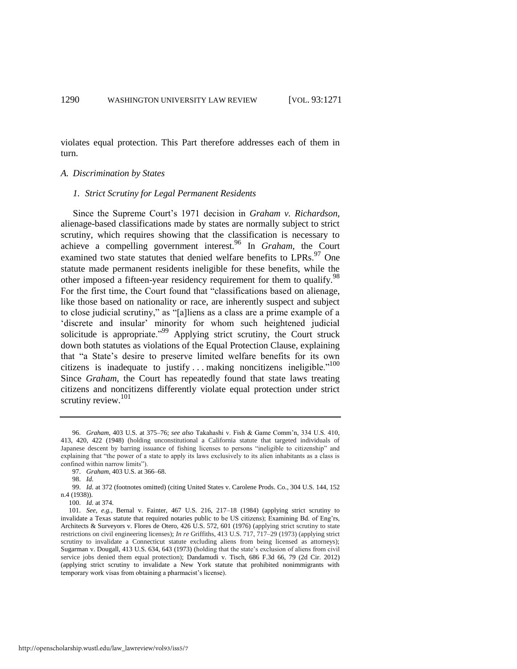violates equal protection. This Part therefore addresses each of them in turn.

#### *A. Discrimination by States*

#### *1. Strict Scrutiny for Legal Permanent Residents*

Since the Supreme Court's 1971 decision in *Graham v. Richardson*, alienage-based classifications made by states are normally subject to strict scrutiny, which requires showing that the classification is necessary to achieve a compelling government interest.96 In *Graham*, the Court examined two state statutes that denied welfare benefits to LPRs.<sup>97</sup> One statute made permanent residents ineligible for these benefits, while the other imposed a fifteen-year residency requirement for them to qualify.<sup>98</sup> For the first time, the Court found that "classifications based on alienage, like those based on nationality or race, are inherently suspect and subject to close judicial scrutiny," as "[a]liens as a class are a prime example of a 'discrete and insular' minority for whom such heightened judicial solicitude is appropriate."<sup>99</sup> Applying strict scrutiny, the Court struck down both statutes as violations of the Equal Protection Clause, explaining that "a State's desire to preserve limited welfare benefits for its own citizens is inadequate to justify ... making noncitizens ineligible."<sup>100</sup> Since *Graham*, the Court has repeatedly found that state laws treating citizens and noncitizens differently violate equal protection under strict scrutiny review.<sup>101</sup>

100. *Id.* at 374.

<sup>96.</sup> *Graham*, 403 U.S. at 375–76; *see also* Takahashi v. Fish & Game Comm'n, 334 U.S. 410, 413, 420, 422 (1948) (holding unconstitutional a California statute that targeted individuals of Japanese descent by barring issuance of fishing licenses to persons "ineligible to citizenship" and explaining that "the power of a state to apply its laws exclusively to its alien inhabitants as a class is confined within narrow limits").

<sup>97.</sup> *Graham*, 403 U.S. at 366–68.

<sup>98.</sup> *Id.*

<sup>99.</sup> *Id.* at 372 (footnotes omitted) (citing United States v. Carolene Prods. Co*.*, 304 U.S. 144, 152 n.4 (1938)).

<sup>101.</sup> *See, e.g.*, Bernal v. Fainter, 467 U.S. 216, 217–18 (1984) (applying strict scrutiny to invalidate a Texas statute that required notaries public to be US citizens); Examining Bd. of Eng'rs, Architects & Surveyors v. Flores de Otero, 426 U.S. 572, 601 (1976) (applying strict scrutiny to state restrictions on civil engineering licenses); *In re* Griffiths, 413 U.S. 717, 717–29 (1973) (applying strict scrutiny to invalidate a Connecticut statute excluding aliens from being licensed as attorneys); Sugarman v. Dougall, 413 U.S. 634, 643 (1973) (holding that the state's exclusion of aliens from civil service jobs denied them equal protection); Dandamudi v. Tisch, 686 F.3d 66, 79 (2d Cir. 2012) (applying strict scrutiny to invalidate a New York statute that prohibited nonimmigrants with temporary work visas from obtaining a pharmacist's license).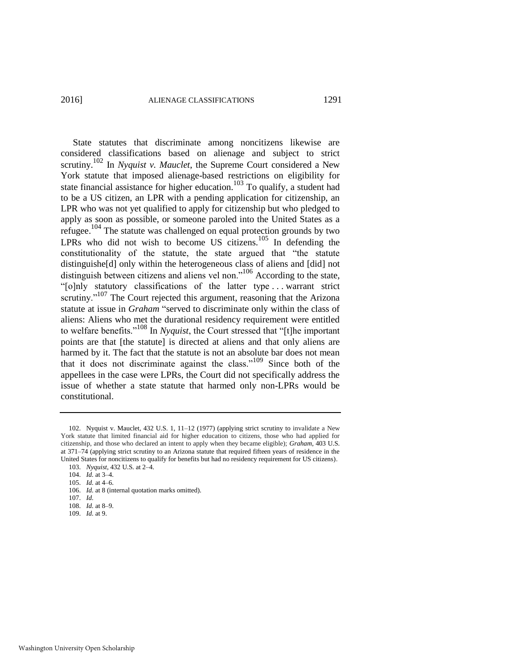State statutes that discriminate among noncitizens likewise are considered classifications based on alienage and subject to strict scrutiny.<sup>102</sup> In *Nyquist v. Mauclet*, the Supreme Court considered a New York statute that imposed alienage-based restrictions on eligibility for state financial assistance for higher education.<sup>103</sup> To qualify, a student had to be a US citizen, an LPR with a pending application for citizenship, an LPR who was not yet qualified to apply for citizenship but who pledged to apply as soon as possible, or someone paroled into the United States as a refugee.104 The statute was challenged on equal protection grounds by two LPRs who did not wish to become US citizens.<sup>105</sup> In defending the constitutionality of the statute, the state argued that "the statute distinguishe[d] only within the heterogeneous class of aliens and [did] not distinguish between citizens and aliens vel non."<sup>106</sup> According to the state, "[o]nly statutory classifications of the latter type . . . warrant strict scrutiny."<sup>107</sup> The Court rejected this argument, reasoning that the Arizona statute at issue in *Graham* "served to discriminate only within the class of aliens: Aliens who met the durational residency requirement were entitled to welfare benefits."108 In *Nyquist*, the Court stressed that "[t]he important points are that [the statute] is directed at aliens and that only aliens are harmed by it. The fact that the statute is not an absolute bar does not mean that it does not discriminate against the class."<sup>109</sup> Since both of the appellees in the case were LPRs, the Court did not specifically address the issue of whether a state statute that harmed only non-LPRs would be constitutional.

109. *Id.* at 9.

<sup>102.</sup> Nyquist v. Mauclet, 432 U.S. 1, 11–12 (1977) (applying strict scrutiny to invalidate a New York statute that limited financial aid for higher education to citizens, those who had applied for citizenship, and those who declared an intent to apply when they became eligible); *Graham*, 403 U.S. at 371–74 (applying strict scrutiny to an Arizona statute that required fifteen years of residence in the United States for noncitizens to qualify for benefits but had no residency requirement for US citizens). 103. *Nyquist*, 432 U.S. at 2–4.

<sup>104.</sup> *Id.* at 3–4.

<sup>105.</sup> *Id.* at 4–6.

<sup>106.</sup> *Id.* at 8 (internal quotation marks omitted).

<sup>107.</sup> *Id.*

<sup>108.</sup> *Id.* at 8–9.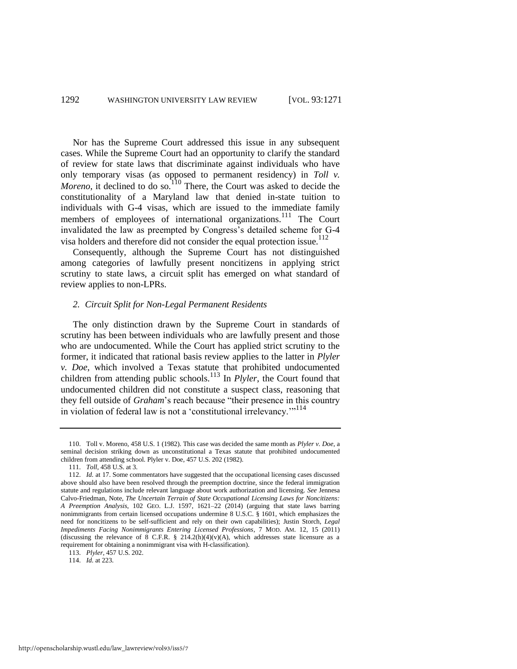Nor has the Supreme Court addressed this issue in any subsequent cases. While the Supreme Court had an opportunity to clarify the standard of review for state laws that discriminate against individuals who have only temporary visas (as opposed to permanent residency) in *Toll v. Moreno*, it declined to do so.<sup>110</sup> There, the Court was asked to decide the constitutionality of a Maryland law that denied in-state tuition to individuals with G-4 visas, which are issued to the immediate family members of employees of international organizations.<sup>111</sup> The Court invalidated the law as preempted by Congress's detailed scheme for G-4 visa holders and therefore did not consider the equal protection issue.<sup>112</sup>

Consequently, although the Supreme Court has not distinguished among categories of lawfully present noncitizens in applying strict scrutiny to state laws, a circuit split has emerged on what standard of review applies to non-LPRs.

#### *2. Circuit Split for Non-Legal Permanent Residents*

The only distinction drawn by the Supreme Court in standards of scrutiny has been between individuals who are lawfully present and those who are undocumented. While the Court has applied strict scrutiny to the former, it indicated that rational basis review applies to the latter in *Plyler v. Doe*, which involved a Texas statute that prohibited undocumented children from attending public schools.<sup>113</sup> In *Plyler*, the Court found that undocumented children did not constitute a suspect class, reasoning that they fell outside of *Graham*'s reach because "their presence in this country in violation of federal law is not a 'constitutional irrelevancy."<sup>114</sup>

<sup>110.</sup> Toll v. Moreno, 458 U.S. 1 (1982). This case was decided the same month as *Plyler v. Doe*, a seminal decision striking down as unconstitutional a Texas statute that prohibited undocumented children from attending school. Plyler v. Doe, 457 U.S. 202 (1982).

<sup>111.</sup> *Toll*, 458 U.S. at 3.

<sup>112.</sup> *Id.* at 17. Some commentators have suggested that the occupational licensing cases discussed above should also have been resolved through the preemption doctrine, since the federal immigration statute and regulations include relevant language about work authorization and licensing. *See* Jennesa Calvo-Friedman, Note, *The Uncertain Terrain of State Occupational Licensing Laws for Noncitizens: A Preemption Analysis*, 102 GEO. L.J. 1597, 1621–22 (2014) (arguing that state laws barring nonimmigrants from certain licensed occupations undermine 8 U.S.C. § 1601, which emphasizes the need for noncitizens to be self-sufficient and rely on their own capabilities); Justin Storch, *Legal Impediments Facing Nonimmigrants Entering Licensed Professions*, 7 MOD. AM. 12, 15 (2011) (discussing the relevance of 8 C.F.R. § 214.2(h)(4)(v)(A), which addresses state licensure as a requirement for obtaining a nonimmigrant visa with H-classification).

<sup>113.</sup> *Plyler*, 457 U.S. 202.

<sup>114.</sup> *Id.* at 223.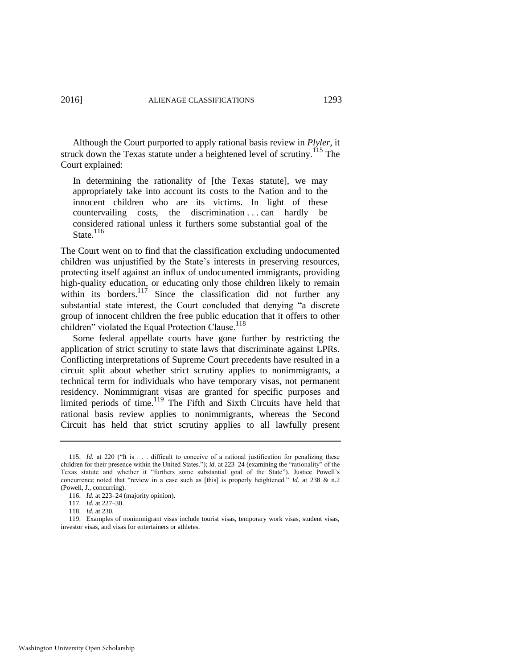<span id="page-23-0"></span>

Although the Court purported to apply rational basis review in *Plyler*, it struck down the Texas statute under a heightened level of scrutiny.<sup>115</sup> The Court explained:

In determining the rationality of [the Texas statute], we may appropriately take into account its costs to the Nation and to the innocent children who are its victims. In light of these countervailing costs, the discrimination . . . can hardly be considered rational unless it furthers some substantial goal of the State  $^{116}$ 

<span id="page-23-1"></span>The Court went on to find that the classification excluding undocumented children was unjustified by the State's interests in preserving resources, protecting itself against an influx of undocumented immigrants, providing high-quality education, or educating only those children likely to remain within its borders.<sup>117</sup> Since the classification did not further any substantial state interest, the Court concluded that denying "a discrete group of innocent children the free public education that it offers to other children" violated the Equal Protection Clause.<sup>118</sup>

Some federal appellate courts have gone further by restricting the application of strict scrutiny to state laws that discriminate against LPRs. Conflicting interpretations of Supreme Court precedents have resulted in a circuit split about whether strict scrutiny applies to nonimmigrants, a technical term for individuals who have temporary visas, not permanent residency. Nonimmigrant visas are granted for specific purposes and limited periods of time.<sup>119</sup> The Fifth and Sixth Circuits have held that rational basis review applies to nonimmigrants, whereas the Second Circuit has held that strict scrutiny applies to all lawfully present

<sup>115.</sup> *Id.* at 220 ("It is . . . difficult to conceive of a rational justification for penalizing these children for their presence within the United States."); *id.* at 223–24 (examining the "rationality" of the Texas statute and whether it "furthers some substantial goal of the State"). Justice Powell's concurrence noted that "review in a case such as [this] is properly heightened." *Id.* at 238 & n.2 (Powell, J., concurring).

<sup>116.</sup> *Id.* at 223–24 (majority opinion).

<sup>117.</sup> *Id.* at 227–30.

<sup>118.</sup> *Id.* at 230.

<sup>119.</sup> Examples of nonimmigrant visas include tourist visas, temporary work visas, student visas, investor visas, and visas for entertainers or athletes.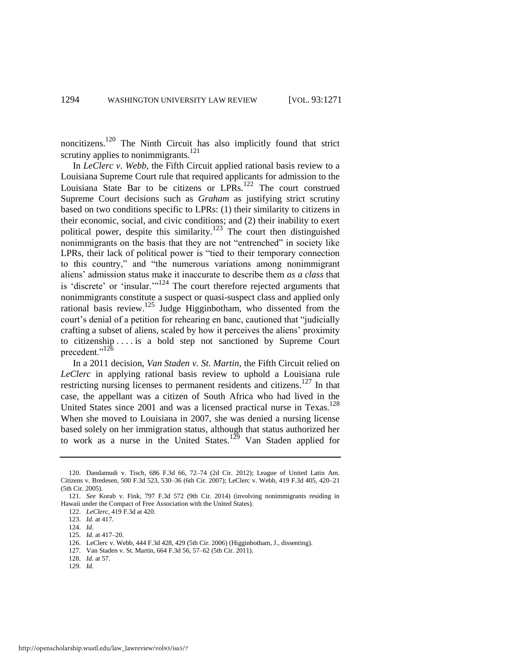noncitizens.120 The Ninth Circuit has also implicitly found that strict scrutiny applies to nonimmigrants. $121$ 

In *LeClerc v. Webb*, the Fifth Circuit applied rational basis review to a Louisiana Supreme Court rule that required applicants for admission to the Louisiana State Bar to be citizens or  $LPRs$ <sup>122</sup> The court construed Supreme Court decisions such as *Graham* as justifying strict scrutiny based on two conditions specific to LPRs: (1) their similarity to citizens in their economic, social, and civic conditions; and (2) their inability to exert political power, despite this similarity.<sup>123</sup> The court then distinguished nonimmigrants on the basis that they are not "entrenched" in society like LPRs, their lack of political power is "tied to their temporary connection to this country," and "the numerous variations among nonimmigrant aliens' admission status make it inaccurate to describe them *as a class* that is 'discrete' or 'insular.'"<sup>124</sup> The court therefore rejected arguments that nonimmigrants constitute a suspect or quasi-suspect class and applied only rational basis review.125 Judge Higginbotham, who dissented from the court's denial of a petition for rehearing en banc, cautioned that "judicially crafting a subset of aliens, scaled by how it perceives the aliens' proximity to citizenship . . . . is a bold step not sanctioned by Supreme Court precedent."<sup>126</sup>

In a 2011 decision, *Van Staden v. St. Martin*, the Fifth Circuit relied on *LeClerc* in applying rational basis review to uphold a Louisiana rule restricting nursing licenses to permanent residents and citizens.<sup>127</sup> In that case, the appellant was a citizen of South Africa who had lived in the United States since 2001 and was a licensed practical nurse in Texas.<sup>128</sup> When she moved to Louisiana in 2007, she was denied a nursing license based solely on her immigration status, although that status authorized her to work as a nurse in the United States.<sup>129</sup> Van Staden applied for

- 127. Van Staden v. St. Martin, 664 F.3d 56, 57–62 (5th Cir. 2011).
- 128. *Id.* at 57.

<sup>120.</sup> Dandamudi v. Tisch, 686 F.3d 66, 72–74 (2d Cir. 2012); League of United Latin Am. Citizens v. Bredesen, 500 F.3d 523, 530–36 (6th Cir. 2007); LeClerc v. Webb, 419 F.3d 405, 420–21 (5th Cir. 2005).

<sup>121.</sup> *See* Korab v. Fink, 797 F.3d 572 (9th Cir. 2014) (involving nonimmigrants residing in Hawaii under the Compact of Free Association with the United States).

<sup>122.</sup> *LeClerc*, 419 F.3d at 420.

<sup>123.</sup> *Id.* at 417.

<sup>124.</sup> *Id.*

<sup>125.</sup> *Id.* at 417–20.

<sup>126.</sup> LeClerc v. Webb, 444 F.3d 428, 429 (5th Cir. 2006) (Higginbotham, J., dissenting).

<sup>129.</sup> *Id.*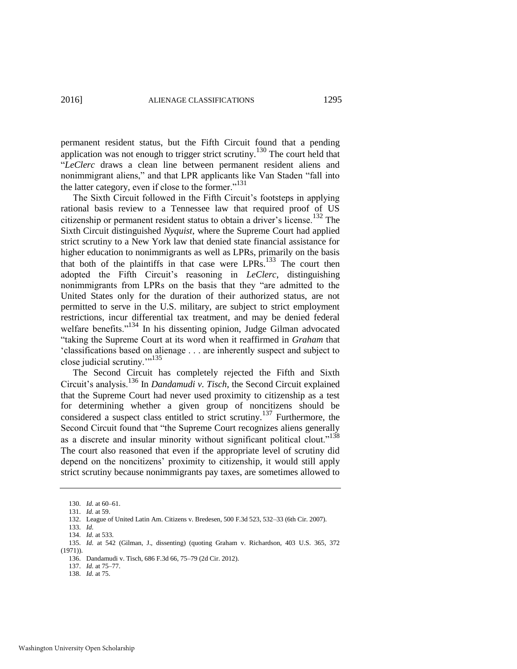permanent resident status, but the Fifth Circuit found that a pending application was not enough to trigger strict scrutiny.<sup>130</sup> The court held that "*LeClerc* draws a clean line between permanent resident aliens and nonimmigrant aliens," and that LPR applicants like Van Staden "fall into the latter category, even if close to the former." $131$ 

<span id="page-25-0"></span>The Sixth Circuit followed in the Fifth Circuit's footsteps in applying rational basis review to a Tennessee law that required proof of US citizenship or permanent resident status to obtain a driver's license.132 The Sixth Circuit distinguished *Nyquist*, where the Supreme Court had applied strict scrutiny to a New York law that denied state financial assistance for higher education to nonimmigrants as well as LPRs, primarily on the basis that both of the plaintiffs in that case were  $LPRs.$ <sup>133</sup> The court then adopted the Fifth Circuit's reasoning in *LeClerc*, distinguishing nonimmigrants from LPRs on the basis that they "are admitted to the United States only for the duration of their authorized status, are not permitted to serve in the U.S. military, are subject to strict employment restrictions, incur differential tax treatment, and may be denied federal welfare benefits."<sup>134</sup> In his dissenting opinion, Judge Gilman advocated "taking the Supreme Court at its word when it reaffirmed in *Graham* that 'classifications based on alienage . . . are inherently suspect and subject to close judicial scrutiny."<sup>135</sup>

The Second Circuit has completely rejected the Fifth and Sixth Circuit's analysis.136 In *Dandamudi v. Tisch*, the Second Circuit explained that the Supreme Court had never used proximity to citizenship as a test for determining whether a given group of noncitizens should be considered a suspect class entitled to strict scrutiny.137 Furthermore, the Second Circuit found that "the Supreme Court recognizes aliens generally as a discrete and insular minority without significant political clout."<sup>138</sup> The court also reasoned that even if the appropriate level of scrutiny did depend on the noncitizens' proximity to citizenship, it would still apply strict scrutiny because nonimmigrants pay taxes, are sometimes allowed to

137. *Id.* at 75–77.

<sup>130.</sup> *Id.* at 60–61.

<sup>131.</sup> *Id.* at 59.

<sup>132.</sup> League of United Latin Am. Citizens v. Bredesen, 500 F.3d 523, 532–33 (6th Cir. 2007).

<sup>133.</sup> *Id.*

<sup>134.</sup> *Id.* at 533.

<sup>135.</sup> *Id.* at 542 (Gilman, J., dissenting) (quoting Graham v. Richardson, 403 U.S. 365, 372 (1971)).

<sup>136.</sup> Dandamudi v. Tisch, 686 F.3d 66, 75–79 (2d Cir. 2012).

<sup>138.</sup> *Id.* at 75.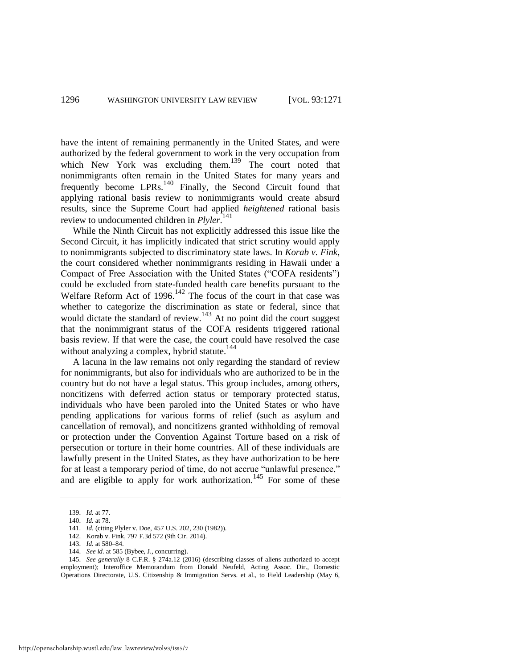have the intent of remaining permanently in the United States, and were authorized by the federal government to work in the very occupation from which New York was excluding them.<sup>139</sup> The court noted that nonimmigrants often remain in the United States for many years and frequently become LPRs.<sup>140</sup> Finally, the Second Circuit found that applying rational basis review to nonimmigrants would create absurd results, since the Supreme Court had applied *heightened* rational basis review to undocumented children in *Plyler*. 141

While the Ninth Circuit has not explicitly addressed this issue like the Second Circuit, it has implicitly indicated that strict scrutiny would apply to nonimmigrants subjected to discriminatory state laws. In *Korab v. Fink*, the court considered whether nonimmigrants residing in Hawaii under a Compact of Free Association with the United States ("COFA residents") could be excluded from state-funded health care benefits pursuant to the Welfare Reform Act of  $1996$ <sup>142</sup> The focus of the court in that case was whether to categorize the discrimination as state or federal, since that would dictate the standard of review.<sup>143</sup> At no point did the court suggest that the nonimmigrant status of the COFA residents triggered rational basis review. If that were the case, the court could have resolved the case without analyzing a complex, hybrid statute.<sup>144</sup>

A lacuna in the law remains not only regarding the standard of review for nonimmigrants, but also for individuals who are authorized to be in the country but do not have a legal status. This group includes, among others, noncitizens with deferred action status or temporary protected status, individuals who have been paroled into the United States or who have pending applications for various forms of relief (such as asylum and cancellation of removal), and noncitizens granted withholding of removal or protection under the Convention Against Torture based on a risk of persecution or torture in their home countries. All of these individuals are lawfully present in the United States, as they have authorization to be here for at least a temporary period of time, do not accrue "unlawful presence," and are eligible to apply for work authorization.<sup>145</sup> For some of these

145. *See generally* 8 C.F.R. § 274a.12 (2016) (describing classes of aliens authorized to accept employment); Interoffice Memorandum from Donald Neufeld, Acting Assoc. Dir., Domestic Operations Directorate, U.S. Citizenship & Immigration Servs. et al., to Field Leadership (May 6,

<sup>139.</sup> *Id.* at 77.

<sup>140.</sup> *Id.* at 78.

<sup>141.</sup> *Id.* (citing Plyler v. Doe, 457 U.S. 202, 230 (1982)).

<sup>142.</sup> Korab v. Fink, 797 F.3d 572 (9th Cir. 2014).

<sup>143.</sup> *Id.* at 580–84.

<sup>144.</sup> *See id.* at 585 (Bybee, J., concurring).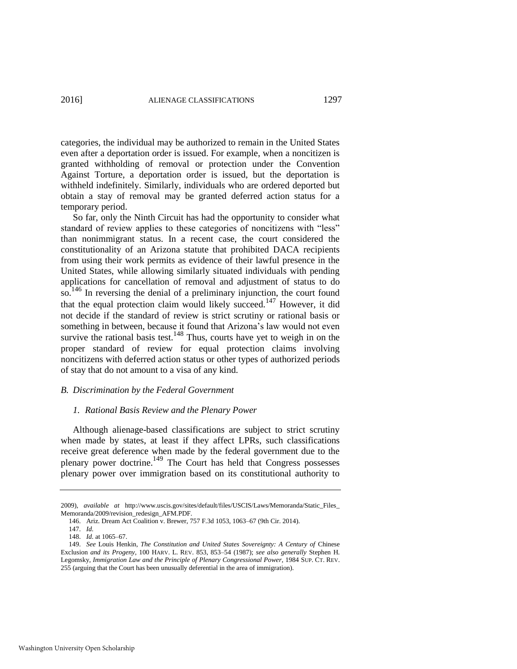categories, the individual may be authorized to remain in the United States even after a deportation order is issued. For example, when a noncitizen is granted withholding of removal or protection under the Convention Against Torture, a deportation order is issued, but the deportation is withheld indefinitely. Similarly, individuals who are ordered deported but obtain a stay of removal may be granted deferred action status for a temporary period.

So far, only the Ninth Circuit has had the opportunity to consider what standard of review applies to these categories of noncitizens with "less" than nonimmigrant status. In a recent case, the court considered the constitutionality of an Arizona statute that prohibited DACA recipients from using their work permits as evidence of their lawful presence in the United States, while allowing similarly situated individuals with pending applications for cancellation of removal and adjustment of status to do so.<sup>146</sup> In reversing the denial of a preliminary injunction, the court found that the equal protection claim would likely succeed.<sup>147</sup> However, it did not decide if the standard of review is strict scrutiny or rational basis or something in between, because it found that Arizona's law would not even survive the rational basis test.<sup>148</sup> Thus, courts have yet to weigh in on the proper standard of review for equal protection claims involving noncitizens with deferred action status or other types of authorized periods of stay that do not amount to a visa of any kind.

# *B. Discrimination by the Federal Government*

#### <span id="page-27-0"></span>*1. Rational Basis Review and the Plenary Power*

Although alienage-based classifications are subject to strict scrutiny when made by states, at least if they affect LPRs, such classifications receive great deference when made by the federal government due to the plenary power doctrine.149 The Court has held that Congress possesses plenary power over immigration based on its constitutional authority to

<sup>2009),</sup> *available at* http://www.uscis.gov/sites/default/files/USCIS/Laws/Memoranda/Static\_Files\_ Memoranda/2009/revision\_redesign\_AFM.PDF.

<sup>146.</sup> Ariz. Dream Act Coalition v. Brewer, 757 F.3d 1053, 1063–67 (9th Cir. 2014).

<sup>147.</sup> *Id.*

<sup>148.</sup> *Id.* at 1065–67.

<sup>149.</sup> *See* Louis Henkin, *The Constitution and United States Sovereignty: A Century of* Chinese Exclusion *and its Progeny*, 100 HARV. L. REV. 853, 853–54 (1987); *see also generally* Stephen H. Legomsky, *Immigration Law and the Principle of Plenary Congressional Power*, 1984 SUP. CT. REV. 255 (arguing that the Court has been unusually deferential in the area of immigration).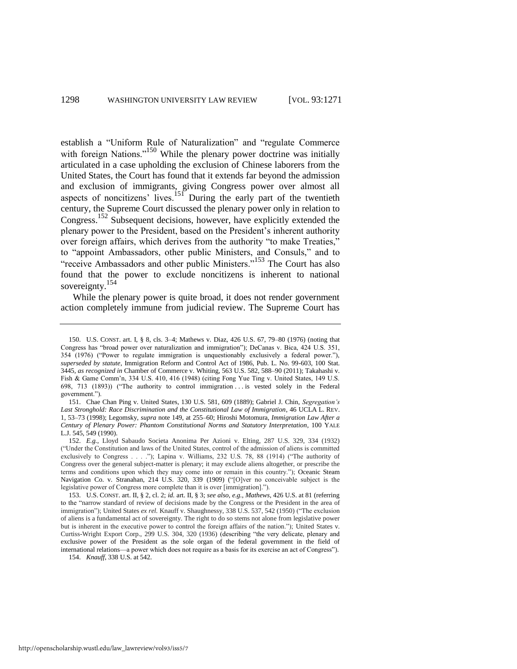<span id="page-28-0"></span>establish a "Uniform Rule of Naturalization" and "regulate Commerce with foreign Nations."<sup>150</sup> While the plenary power doctrine was initially articulated in a case upholding the exclusion of Chinese laborers from the United States, the Court has found that it extends far beyond the admission and exclusion of immigrants, giving Congress power over almost all aspects of noncitizens' lives.<sup>151</sup> During the early part of the twentieth century, the Supreme Court discussed the plenary power only in relation to Congress.152 Subsequent decisions, however, have explicitly extended the plenary power to the President, based on the President's inherent authority over foreign affairs, which derives from the authority "to make Treaties," to "appoint Ambassadors, other public Ministers, and Consuls," and to "receive Ambassadors and other public Ministers."153 The Court has also found that the power to exclude noncitizens is inherent to national sovereignty.<sup>154</sup>

While the plenary power is quite broad, it does not render government action completely immune from judicial review. The Supreme Court has

<sup>150.</sup> U.S. CONST. art. I, § 8, cls. 3–4; Mathews v. Diaz, 426 U.S. 67, 79–80 (1976) (noting that Congress has "broad power over naturalization and immigration"); DeCanas v. Bica, 424 U.S. 351, 354 (1976) ("Power to regulate immigration is unquestionably exclusively a federal power."), *superseded by statute*, Immigration Reform and Control Act of 1986, Pub. L. No. 99-603, 100 Stat. 3445, *as recognized in* Chamber of Commerce v. Whiting, 563 U.S. 582, 588–90 (2011); Takahashi v. Fish & Game Comm'n, 334 U.S. 410, 416 (1948) (citing Fong Yue Ting v. United States, 149 U.S. 698, 713 (1893)) ("The authority to control immigration . . . is vested solely in the Federal government.").

<sup>151.</sup> Chae Chan Ping v. United States, 130 U.S. 581, 609 (1889); Gabriel J. Chin, *Segregation's*  Last Stronghold: Race Discrimination and the Constitutional Law of Immigration, 46 UCLA L. REV. 1, 53–73 (1998); Legomsky, *supra* not[e 149,](#page-27-0) at 255–60; Hiroshi Motomura, *Immigration Law After a Century of Plenary Power: Phantom Constitutional Norms and Statutory Interpretation*, 100 YALE L.J. 545, 549 (1990).

<sup>152.</sup> *E.g.*, Lloyd Sabaudo Societa Anonima Per Azioni v. Elting, 287 U.S. 329, 334 (1932) ("Under the Constitution and laws of the United States, control of the admission of aliens is committed exclusively to Congress . . . ."); Lapina v. Williams, 232 U.S. 78, 88 (1914) ("The authority of Congress over the general subject-matter is plenary; it may exclude aliens altogether, or prescribe the terms and conditions upon which they may come into or remain in this country."); Oceanic Steam Navigation Co. v. Stranahan, 214 U.S. 320, 339 (1909) ("[O]ver no conceivable subject is the legislative power of Congress more complete than it is over [immigration].").

<sup>153.</sup> U.S. CONST. art. II, § 2, cl. 2; *id.* art. II, § 3; *see also, e.g.*, *Mathews*, 426 U.S. at 81 (referring to the "narrow standard of review of decisions made by the Congress or the President in the area of immigration"); United States *ex rel.* Knauff v. Shaughnessy, 338 U.S. 537, 542 (1950) ("The exclusion of aliens is a fundamental act of sovereignty. The right to do so stems not alone from legislative power but is inherent in the executive power to control the foreign affairs of the nation."); United States v. Curtiss-Wright Export Corp., 299 U.S. 304, 320 (1936) (describing "the very delicate, plenary and exclusive power of the President as the sole organ of the federal government in the field of international relations—a power which does not require as a basis for its exercise an act of Congress").

<sup>154.</sup> *Knauff*, 338 U.S. at 542.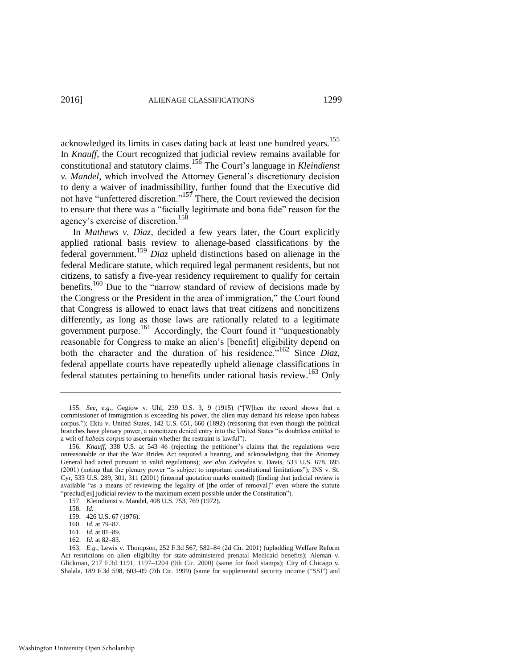acknowledged its limits in cases dating back at least one hundred years.<sup>155</sup> In *Knauff*, the Court recognized that judicial review remains available for constitutional and statutory claims.<sup>156</sup> The Court's language in *Kleindienst v. Mandel*, which involved the Attorney General's discretionary decision to deny a waiver of inadmissibility, further found that the Executive did not have "unfettered discretion."157 There, the Court reviewed the decision to ensure that there was a "facially legitimate and bona fide" reason for the agency's exercise of discretion.<sup>158</sup>

In *Mathews v. Diaz*, decided a few years later, the Court explicitly applied rational basis review to alienage-based classifications by the federal government.<sup>159</sup> *Diaz* upheld distinctions based on alienage in the federal Medicare statute, which required legal permanent residents, but not citizens, to satisfy a five-year residency requirement to qualify for certain benefits.<sup>160</sup> Due to the "narrow standard of review of decisions made by the Congress or the President in the area of immigration," the Court found that Congress is allowed to enact laws that treat citizens and noncitizens differently, as long as those laws are rationally related to a legitimate government purpose.<sup>161</sup> Accordingly, the Court found it "unquestionably reasonable for Congress to make an alien's [benefit] eligibility depend on both the character and the duration of his residence."162 Since *Diaz*, federal appellate courts have repeatedly upheld alienage classifications in federal statutes pertaining to benefits under rational basis review.<sup>163</sup> Only

<sup>155.</sup> *See, e.g.*, Gegiow v. Uhl, 239 U.S. 3, 9 (1915) ("[W]hen the record shows that a commissioner of immigration is exceeding his power, the alien may demand his release upon habeas corpus."); Ekiu v. United States, 142 U.S. 651, 660 (1892) (reasoning that even though the political branches have plenary power, a noncitizen denied entry into the United States "is doubtless entitled to a writ of *habeas corpus* to ascertain whether the restraint is lawful").

<sup>156.</sup> *Knauff*, 338 U.S. at 543–46 (rejecting the petitioner's claims that the regulations were unreasonable or that the War Brides Act required a hearing, and acknowledging that the Attorney General had acted pursuant to valid regulations); *see also* Zadvydas v. Davis, 533 U.S. 678, 695 (2001) (noting that the plenary power "is subject to important constitutional limitations"); INS v. St. Cyr, 533 U.S. 289, 301, 311 (2001) (internal quotation marks omitted) (finding that judicial review is available "as a means of reviewing the legality of [the order of removal]" even where the statute "preclud[es] judicial review to the maximum extent possible under the Constitution").

<sup>157.</sup> Kleindienst v. Mandel, 408 U.S. 753, 769 (1972).

<sup>158.</sup> *Id.* 

<sup>159. 426</sup> U.S. 67 (1976).

<sup>160.</sup> *Id.* at 79–87.

<sup>161.</sup> *Id.* at 81–89.

<sup>162.</sup> *Id.* at 82–83.

<sup>163.</sup> *E.g.*, Lewis v. Thompson, 252 F.3d 567, 582–84 (2d Cir. 2001) (upholding Welfare Reform Act restrictions on alien eligibility for state-administered prenatal Medicaid benefits); Aleman v. Glickman, 217 F.3d 1191, 1197–1204 (9th Cir. 2000) (same for food stamps); City of Chicago v. Shalala, 189 F.3d 598, 603–09 (7th Cir. 1999) (same for supplemental security income ("SSI") and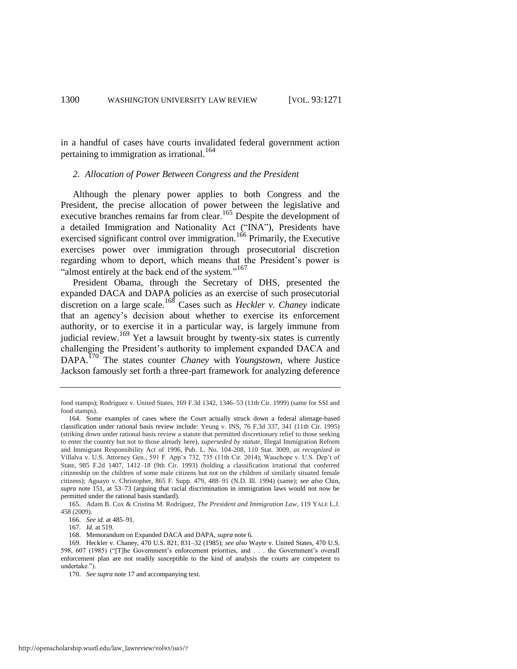in a handful of cases have courts invalidated federal government action pertaining to immigration as irrational.<sup>164</sup>

#### *2. Allocation of Power Between Congress and the President*

Although the plenary power applies to both Congress and the President, the precise allocation of power between the legislative and executive branches remains far from clear.<sup>165</sup> Despite the development of a detailed Immigration and Nationality Act ("INA"), Presidents have exercised significant control over immigration.<sup>166</sup> Primarily, the Executive exercises power over immigration through prosecutorial discretion regarding whom to deport, which means that the President's power is "almost entirely at the back end of the system."<sup>167</sup>

President Obama, through the Secretary of DHS, presented the expanded DACA and DAPA policies as an exercise of such prosecutorial discretion on a large scale.168 Cases such as *Heckler v. Chaney* indicate that an agency's decision about whether to exercise its enforcement authority, or to exercise it in a particular way, is largely immune from judicial review.<sup>169</sup> Yet a lawsuit brought by twenty-six states is currently challenging the President's authority to implement expanded DACA and DAPA.170 The states counter *Chaney* with *Youngstown*, where Justice Jackson famously set forth a three-part framework for analyzing deference

food stamps); Rodriguez v. United States, 169 F.3d 1342, 1346–53 (11th Cir. 1999) (same for SSI and food stamps).

<sup>164.</sup> Some examples of cases where the Court actually struck down a federal alienage-based classification under rational basis review include: Yeung v. INS, 76 F.3d 337, 341 (11th Cir. 1995) (striking down under rational basis review a statute that permitted discretionary relief to those seeking to enter the country but not to those already here), *superseded by statute*, Illegal Immigration Reform and Immigrant Responsibility Act of 1996, Pub. L. No. 104-208, 110 Stat. 3009, *as recognized in* Villalva v. U.S. Attorney Gen., 591 F. App'x 732, 735 (11th Cir. 2014); Wauchope v. U.S. Dep't of State, 985 F.2d 1407, 1412–18 (9th Cir. 1993) (holding a classification irrational that conferred citizenship on the children of some male citizens but not on the children of similarly situated female citizens); Aguayo v. Christopher, 865 F. Supp. 479, 488–91 (N.D. Ill. 1994) (same); *see also* Chin, *supra* note [151,](#page-28-0) at 53–73 (arguing that racial discrimination in immigration laws would not now be permitted under the rational basis standard).

<sup>165.</sup> Adam B. Cox & Cristina M. Rodríguez, *The President and Immigration Law*, 119 YALE L.J. 458 (2009).

<sup>166.</sup> *See id.* at 485–91.

<sup>167.</sup> *Id.* at 519.

<sup>168.</sup> Memorandum on Expanded DACA and DAPA, *supra* not[e 6.](#page-4-0) 

<sup>169.</sup> Heckler v. Chaney, 470 U.S. 821, 831–32 (1985); *see also* Wayte v. United States, 470 U.S. 598, 607 (1985) ("[T]he Government's enforcement priorities, and . . . the Government's overall enforcement plan are not readily susceptible to the kind of analysis the courts are competent to undertake.").

<sup>170.</sup> *See supra* not[e 17 a](#page-7-3)nd accompanying text.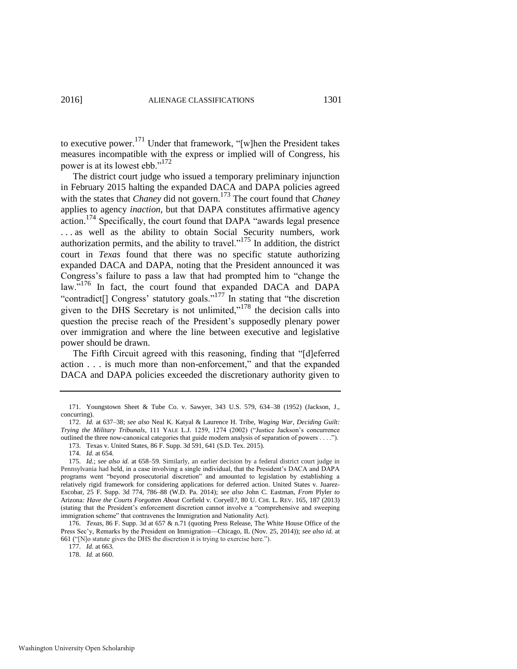to executive power.<sup>171</sup> Under that framework, "[w]hen the President takes measures incompatible with the express or implied will of Congress, his power is at its lowest ebb."<sup>172</sup>

The district court judge who issued a temporary preliminary injunction in February 2015 halting the expanded DACA and DAPA policies agreed with the states that *Chaney* did not govern.<sup>173</sup> The court found that *Chaney* applies to agency *inaction*, but that DAPA constitutes affirmative agency action.<sup>174</sup> Specifically, the court found that DAPA "awards legal presence ... as well as the ability to obtain Social Security numbers, work authorization permits, and the ability to travel. $n^{175}$  In addition, the district court in *Texas* found that there was no specific statute authorizing expanded DACA and DAPA, noting that the President announced it was Congress's failure to pass a law that had prompted him to "change the law."<sup>176</sup> In fact, the court found that expanded DACA and DAPA "contradict<sup>[]</sup> Congress' statutory goals."<sup>177</sup> In stating that "the discretion" given to the DHS Secretary is not unlimited," $178$  the decision calls into question the precise reach of the President's supposedly plenary power over immigration and where the line between executive and legislative power should be drawn.

The Fifth Circuit agreed with this reasoning, finding that "[d]eferred action . . . is much more than non-enforcement," and that the expanded DACA and DAPA policies exceeded the discretionary authority given to

177. *Id.* at 663.

178. *Id.* at 660.

<sup>171.</sup> Youngstown Sheet & Tube Co. v. Sawyer, 343 U.S. 579, 634–38 (1952) (Jackson, J., concurring).

<sup>172.</sup> *Id.* at 637–38; *see also* Neal K. Katyal & Laurence H. Tribe, *Waging War, Deciding Guilt: Trying the Military Tribunals*, 111 YALE L.J. 1259, 1274 (2002) ("Justice Jackson's concurrence outlined the three now-canonical categories that guide modern analysis of separation of powers . . . .").

<sup>173.</sup> Texas v. United States, 86 F. Supp. 3d 591, 641 (S.D. Tex. 2015).

<sup>174.</sup> *Id.* at 654.

<sup>175.</sup> *Id.*; *see also id.* at 658–59. Similarly, an earlier decision by a federal district court judge in Pennsylvania had held, in a case involving a single individual, that the President's DACA and DAPA programs went "beyond prosecutorial discretion" and amounted to legislation by establishing a relatively rigid framework for considering applications for deferred action. United States v. Juarez-Escobar, 25 F. Supp. 3d 774, 786–88 (W.D. Pa. 2014); *see also* John C. Eastman, *From* Plyler *to*  Arizona*: Have the Courts Forgotten About* Corfield v. Coryell*?*, 80 U. CHI. L. REV. 165, 187 (2013) (stating that the President's enforcement discretion cannot involve a "comprehensive and sweeping immigration scheme" that contravenes the Immigration and Nationality Act).

<sup>176.</sup> *Texas*, 86 F. Supp. 3d at 657 & n.71 (quoting Press Release, The White House Office of the Press Sec'y, Remarks by the President on Immigration—Chicago, IL (Nov. 25, 2014)); *see also id.* at 661 ("[N]o statute gives the DHS the discretion it is trying to exercise here.").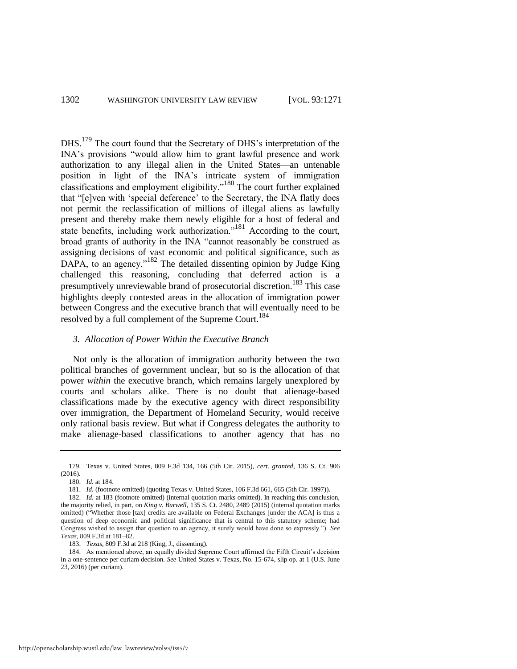DHS.<sup>179</sup> The court found that the Secretary of DHS's interpretation of the INA's provisions "would allow him to grant lawful presence and work authorization to any illegal alien in the United States—an untenable position in light of the INA's intricate system of immigration classifications and employment eligibility."180 The court further explained that "[e]ven with 'special deference' to the Secretary, the INA flatly does not permit the reclassification of millions of illegal aliens as lawfully present and thereby make them newly eligible for a host of federal and state benefits, including work authorization."<sup>181</sup> According to the court, broad grants of authority in the INA "cannot reasonably be construed as assigning decisions of vast economic and political significance, such as DAPA, to an agency."<sup>182</sup> The detailed dissenting opinion by Judge King challenged this reasoning, concluding that deferred action is a presumptively unreviewable brand of prosecutorial discretion.<sup>183</sup> This case highlights deeply contested areas in the allocation of immigration power between Congress and the executive branch that will eventually need to be resolved by a full complement of the Supreme Court.<sup>184</sup>

# *3. Allocation of Power Within the Executive Branch*

Not only is the allocation of immigration authority between the two political branches of government unclear, but so is the allocation of that power *within* the executive branch, which remains largely unexplored by courts and scholars alike. There is no doubt that alienage-based classifications made by the executive agency with direct responsibility over immigration, the Department of Homeland Security, would receive only rational basis review. But what if Congress delegates the authority to make alienage-based classifications to another agency that has no

183. *Texas*, 809 F.3d at 218 (King, J., dissenting).

184. As mentioned above, an equally divided Supreme Court affirmed the Fifth Circuit's decision in a one-sentence per curiam decision. *See* United States v. Texas, No. 15-674, slip op. at 1 (U.S. June 23, 2016) (per curiam).

<sup>179.</sup> Texas v. United States, 809 F.3d 134, 166 (5th Cir. 2015), *cert. granted*, 136 S. Ct. 906 (2016).

<sup>180.</sup> *Id.* at 184.

<sup>181.</sup> *Id.* (footnote omitted) (quoting Texas v. United States, 106 F.3d 661, 665 (5th Cir. 1997)).

<sup>182.</sup> *Id.* at 183 (footnote omitted) (internal quotation marks omitted). In reaching this conclusion, the majority relied, in part, on *King v. Burwell*, 135 S. Ct. 2480, 2489 (2015) (internal quotation marks omitted) ("Whether those [tax] credits are available on Federal Exchanges [under the ACA] is thus a question of deep economic and political significance that is central to this statutory scheme; had Congress wished to assign that question to an agency, it surely would have done so expressly."). *See Texas*, 809 F.3d at 181–82.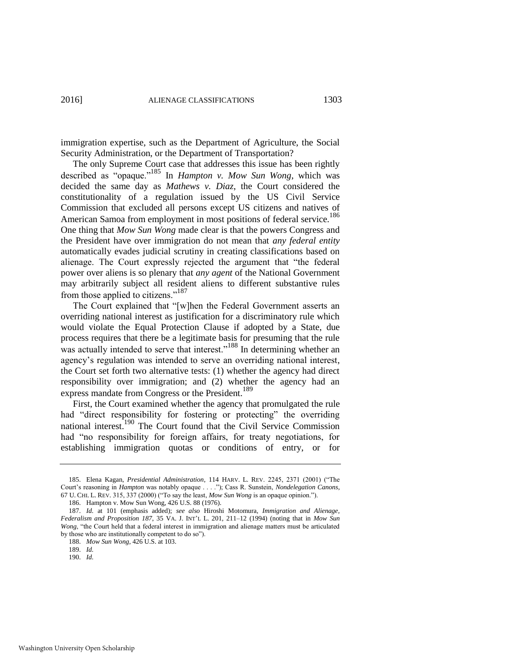immigration expertise, such as the Department of Agriculture, the Social Security Administration, or the Department of Transportation?

<span id="page-33-1"></span>The only Supreme Court case that addresses this issue has been rightly described as "opaque."185 In *Hampton v. Mow Sun Wong*, which was decided the same day as *Mathews v. Diaz*, the Court considered the constitutionality of a regulation issued by the US Civil Service Commission that excluded all persons except US citizens and natives of American Samoa from employment in most positions of federal service.<sup>186</sup> One thing that *Mow Sun Wong* made clear is that the powers Congress and the President have over immigration do not mean that *any federal entity* automatically evades judicial scrutiny in creating classifications based on alienage. The Court expressly rejected the argument that "the federal power over aliens is so plenary that *any agent* of the National Government may arbitrarily subject all resident aliens to different substantive rules from those applied to citizens."<sup>187</sup>

<span id="page-33-2"></span>The Court explained that "[w]hen the Federal Government asserts an overriding national interest as justification for a discriminatory rule which would violate the Equal Protection Clause if adopted by a State, due process requires that there be a legitimate basis for presuming that the rule was actually intended to serve that interest."<sup>188</sup> In determining whether an agency's regulation was intended to serve an overriding national interest, the Court set forth two alternative tests: (1) whether the agency had direct responsibility over immigration; and (2) whether the agency had an express mandate from Congress or the President.<sup>189</sup>

<span id="page-33-3"></span><span id="page-33-0"></span>First, the Court examined whether the agency that promulgated the rule had "direct responsibility for fostering or protecting" the overriding national interest.<sup>190</sup> The Court found that the Civil Service Commission had "no responsibility for foreign affairs, for treaty negotiations, for establishing immigration quotas or conditions of entry, or for

190. *Id.* 

<sup>185.</sup> Elena Kagan, *Presidential Administration*, 114 HARV. L. REV. 2245, 2371 (2001) ("The Court's reasoning in *Hampton* was notably opaque . . . ."); Cass R. Sunstein, *Nondelegation Canons*, 67 U. CHI. L. REV. 315, 337 (2000) ("To say the least, *Mow Sun Wong* is an opaque opinion.").

<sup>186.</sup> Hampton v. Mow Sun Wong, 426 U.S. 88 (1976).

<sup>187.</sup> *Id.* at 101 (emphasis added); *see also* Hiroshi Motomura, *Immigration and Alienage, Federalism and Proposition 187*, 35 VA. J. INT'L L. 201, 211–12 (1994) (noting that in *Mow Sun Wong*, "the Court held that a federal interest in immigration and alienage matters must be articulated by those who are institutionally competent to do so").

<sup>188.</sup> *Mow Sun Wong*, 426 U.S. at 103.

<sup>189.</sup> *Id.*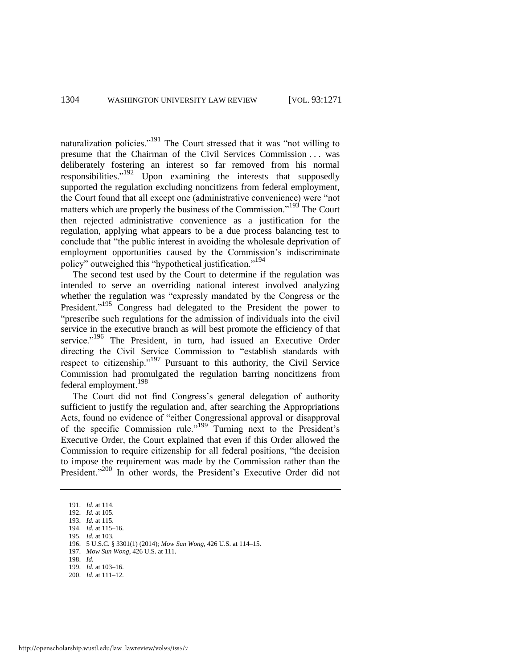naturalization policies."<sup>191</sup> The Court stressed that it was "not willing to presume that the Chairman of the Civil Services Commission . . . was deliberately fostering an interest so far removed from his normal responsibilities."<sup>192</sup> Upon examining the interests that supposedly supported the regulation excluding noncitizens from federal employment, the Court found that all except one (administrative convenience) were "not matters which are properly the business of the Commission.<sup>193</sup> The Court then rejected administrative convenience as a justification for the regulation, applying what appears to be a due process balancing test to conclude that "the public interest in avoiding the wholesale deprivation of employment opportunities caused by the Commission's indiscriminate policy" outweighed this "hypothetical justification."<sup>194</sup>

<span id="page-34-0"></span>The second test used by the Court to determine if the regulation was intended to serve an overriding national interest involved analyzing whether the regulation was "expressly mandated by the Congress or the President."<sup>195</sup> Congress had delegated to the President the power to "prescribe such regulations for the admission of individuals into the civil service in the executive branch as will best promote the efficiency of that service."<sup>196</sup> The President, in turn, had issued an Executive Order directing the Civil Service Commission to "establish standards with respect to citizenship."<sup>197</sup> Pursuant to this authority, the Civil Service Commission had promulgated the regulation barring noncitizens from federal employment.<sup>198</sup>

The Court did not find Congress's general delegation of authority sufficient to justify the regulation and, after searching the Appropriations Acts, found no evidence of "either Congressional approval or disapproval of the specific Commission rule."<sup>199</sup> Turning next to the President's Executive Order, the Court explained that even if this Order allowed the Commission to require citizenship for all federal positions, "the decision to impose the requirement was made by the Commission rather than the President."<sup>200</sup> In other words, the President's Executive Order did not

197. *Mow Sun Wong*, 426 U.S. at 111.

- 199. *Id.* at 103–16.
- 200. *Id.* at 111–12.

<sup>191.</sup> *Id.* at 114.

<sup>192.</sup> *Id.* at 105. 193. *Id.* at 115.

<sup>194.</sup> *Id.* at 115–16.

<sup>195.</sup> *Id.* at 103.

<sup>196. 5</sup> U.S.C. § 3301(1) (2014); *Mow Sun Wong*, 426 U.S. at 114–15.

<sup>198.</sup> *Id.*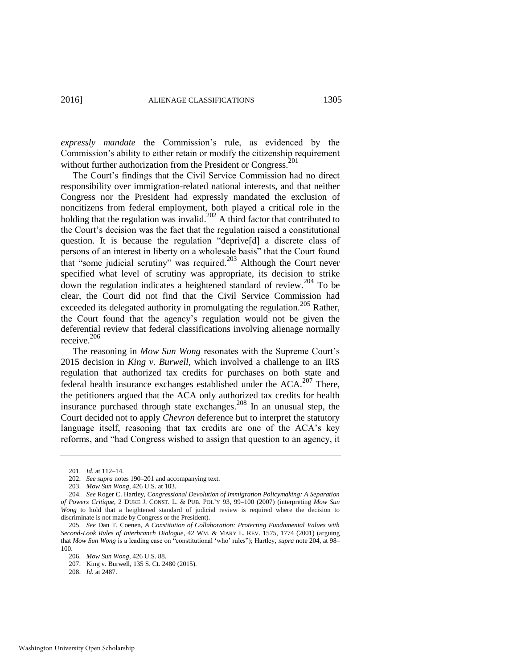<span id="page-35-0"></span>*expressly mandate* the Commission's rule, as evidenced by the Commission's ability to either retain or modify the citizenship requirement without further authorization from the President or Congress.<sup>201</sup>

The Court's findings that the Civil Service Commission had no direct responsibility over immigration-related national interests, and that neither Congress nor the President had expressly mandated the exclusion of noncitizens from federal employment, both played a critical role in the holding that the regulation was invalid.<sup>202</sup> A third factor that contributed to the Court's decision was the fact that the regulation raised a constitutional question. It is because the regulation "deprive[d] a discrete class of persons of an interest in liberty on a wholesale basis" that the Court found that "some judicial scrutiny" was required.203 Although the Court never specified what level of scrutiny was appropriate, its decision to strike down the regulation indicates a heightened standard of review.<sup>204</sup> To be clear, the Court did not find that the Civil Service Commission had exceeded its delegated authority in promulgating the regulation.<sup>205</sup> Rather, the Court found that the agency's regulation would not be given the deferential review that federal classifications involving alienage normally receive.<sup>206</sup>

<span id="page-35-1"></span>The reasoning in *Mow Sun Wong* resonates with the Supreme Court's 2015 decision in *King v. Burwell*, which involved a challenge to an IRS regulation that authorized tax credits for purchases on both state and federal health insurance exchanges established under the ACA.<sup>207</sup> There, the petitioners argued that the ACA only authorized tax credits for health insurance purchased through state exchanges. <sup>208</sup> In an unusual step, the Court decided not to apply *Chevron* deference but to interpret the statutory language itself, reasoning that tax credits are one of the ACA's key reforms, and "had Congress wished to assign that question to an agency, it

<sup>201.</sup> *Id.* at 112–14.

<sup>202.</sup> *See supra* note[s 190](#page-33-0)[–201 a](#page-35-0)nd accompanying text.

<sup>203.</sup> *Mow Sun Wong*, 426 U.S. at 103.

<sup>204.</sup> *See* Roger C. Hartley, *Congressional Devolution of Immigration Policymaking: A Separation of Powers Critique*, 2 DUKE J. CONST. L. & PUB. POL'Y 93, 99–100 (2007) (interpreting *Mow Sun Wong* to hold that a heightened standard of judicial review is required where the decision to discriminate is not made by Congress or the President).

<sup>205.</sup> *See* Dan T. Coenen, *A Constitution of Collaboration: Protecting Fundamental Values with Second-Look Rules of Interbranch Dialogue*, 42 WM. & MARY L. REV. 1575, 1774 (2001) (arguing that *Mow Sun Wong* is a leading case on "constitutional 'who' rules"); Hartley, *supra* not[e 204,](#page-35-1) at 98– 100.

<sup>206.</sup> *Mow Sun Wong*, 426 U.S. 88.

<sup>207.</sup> King v. Burwell, 135 S. Ct. 2480 (2015).

<sup>208.</sup> *Id.* at 2487.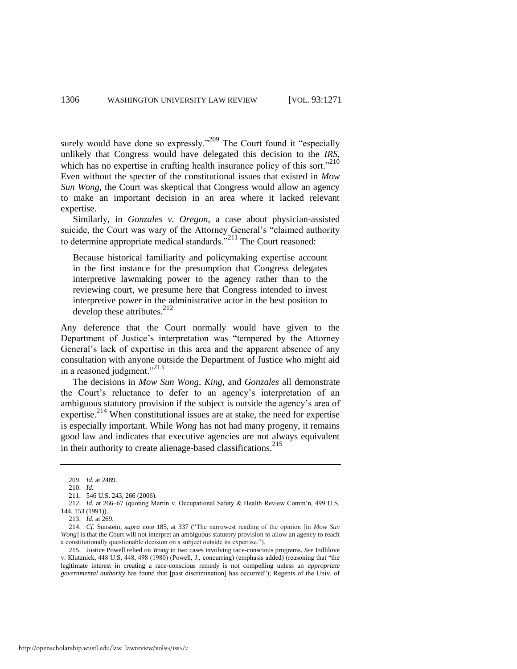<span id="page-36-0"></span>surely would have done so expressly."<sup>209</sup> The Court found it "especially unlikely that Congress would have delegated this decision to the *IRS*, which has no expertise in crafting health insurance policy of this sort. $210$ Even without the specter of the constitutional issues that existed in *Mow Sun Wong*, the Court was skeptical that Congress would allow an agency to make an important decision in an area where it lacked relevant expertise.

Similarly, in *Gonzales v. Oregon*, a case about physician-assisted suicide, the Court was wary of the Attorney General's "claimed authority to determine appropriate medical standards.<sup>"211</sup> The Court reasoned:

Because historical familiarity and policymaking expertise account in the first instance for the presumption that Congress delegates interpretive lawmaking power to the agency rather than to the reviewing court, we presume here that Congress intended to invest interpretive power in the administrative actor in the best position to develop these attributes. $^{212}$ 

Any deference that the Court normally would have given to the Department of Justice's interpretation was "tempered by the Attorney General's lack of expertise in this area and the apparent absence of any consultation with anyone outside the Department of Justice who might aid in a reasoned judgment."<sup>213</sup>

The decisions in *Mow Sun Wong*, *King*, and *Gonzales* all demonstrate the Court's reluctance to defer to an agency's interpretation of an ambiguous statutory provision if the subject is outside the agency's area of expertise.<sup>214</sup> When constitutional issues are at stake, the need for expertise is especially important. While *Wong* has not had many progeny, it remains good law and indicates that executive agencies are not always equivalent in their authority to create alienage-based classifications. $^{215}$ 

<sup>209.</sup> *Id.* at 2489.

<sup>210.</sup> *Id.* 

<sup>211. 546</sup> U.S. 243, 266 (2006).

<sup>212.</sup> *Id.* at 266–67 (quoting Martin v. Occupational Safety & Health Review Comm'n, 499 U.S. 144, 153 (1991)).

<sup>213.</sup> *Id.* at 269.

<sup>214.</sup> *Cf.* Sunstein, *supra* note [185,](#page-33-1) at 337 ("The narrowest reading of the opinion [in *Mow Sun Wong*] is that the Court will not interpret an ambiguous statutory provision to allow an agency to reach a constitutionally questionable decision on a subject outside its expertise.").

<sup>215.</sup> Justice Powell relied on *Wong* in two cases involving race-conscious programs. *See* Fullilove v. Klutznick, 448 U.S. 448, 498 (1980) (Powell, J., concurring) (emphasis added) (reasoning that "the legitimate interest in creating a race-conscious remedy is not compelling unless an *appropriate governmental authority* has found that [past discrimination] has occurred"); Regents of the Univ. of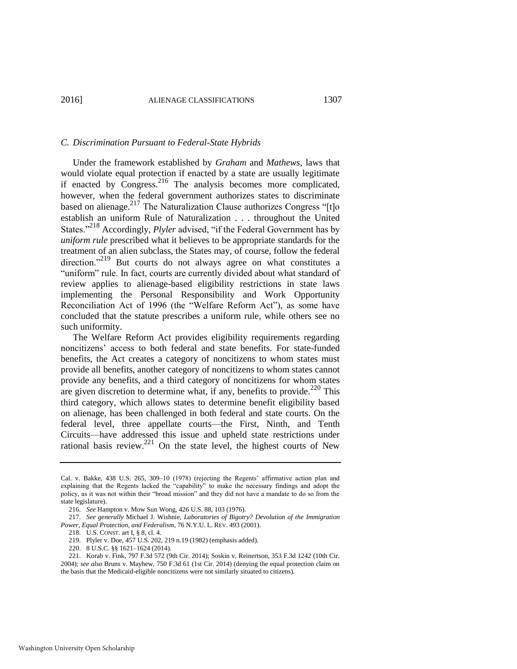# *C. Discrimination Pursuant to Federal-State Hybrids*

<span id="page-37-0"></span>Under the framework established by *Graham* and *Mathews*, laws that would violate equal protection if enacted by a state are usually legitimate if enacted by Congress.<sup>216</sup> The analysis becomes more complicated, however, when the federal government authorizes states to discriminate based on alienage.<sup>217</sup> The Naturalization Clause authorizes Congress "[t]o establish an uniform Rule of Naturalization . . . throughout the United States."<sup>218</sup> Accordingly, *Plyler* advised, "if the Federal Government has by *uniform rule* prescribed what it believes to be appropriate standards for the treatment of an alien subclass, the States may, of course, follow the federal direction."<sup>219</sup> But courts do not always agree on what constitutes a "uniform" rule. In fact, courts are currently divided about what standard of review applies to alienage-based eligibility restrictions in state laws implementing the Personal Responsibility and Work Opportunity Reconciliation Act of 1996 (the "Welfare Reform Act"), as some have concluded that the statute prescribes a uniform rule, while others see no such uniformity.

The Welfare Reform Act provides eligibility requirements regarding noncitizens' access to both federal and state benefits. For state-funded benefits, the Act creates a category of noncitizens to whom states must provide all benefits, another category of noncitizens to whom states cannot provide any benefits, and a third category of noncitizens for whom states are given discretion to determine what, if any, benefits to provide.<sup>220</sup> This third category, which allows states to determine benefit eligibility based on alienage, has been challenged in both federal and state courts. On the federal level, three appellate courts—the First, Ninth, and Tenth Circuits—have addressed this issue and upheld state restrictions under rational basis review. $^{221}$  On the state level, the highest courts of New

Cal. v. Bakke, 438 U.S. 265, 309–10 (1978) (rejecting the Regents' affirmative action plan and explaining that the Regents lacked the "capability" to make the necessary findings and adopt the policy, as it was not within their "broad mission" and they did not have a mandate to do so from the state legislature).

<sup>216.</sup> *See* Hampton v. Mow Sun Wong, 426 U.S. 88, 103 (1976).

<sup>217.</sup> *See generally* Michael J. Wishnie, *Laboratories of Bigotry? Devolution of the Immigration Power, Equal Protection, and Federalism*, 76 N.Y.U. L. REV. 493 (2001).

<sup>218.</sup> U.S. CONST. art I, § 8, cl. 4.

<sup>219.</sup> Plyler v. Doe, 457 U.S. 202, 219 n.19 (1982) (emphasis added).

<sup>220. 8</sup> U.S.C. §§ 1621–1624 (2014).

<sup>221.</sup> Korab v. Fink, 797 F.3d 572 (9th Cir. 2014); Soskin v. Reinertson, 353 F.3d 1242 (10th Cir. 2004); *see also* Bruns v. Mayhew, 750 F.3d 61 (1st Cir. 2014) (denying the equal protection claim on the basis that the Medicaid-eligible noncitizens were not similarly situated to citizens).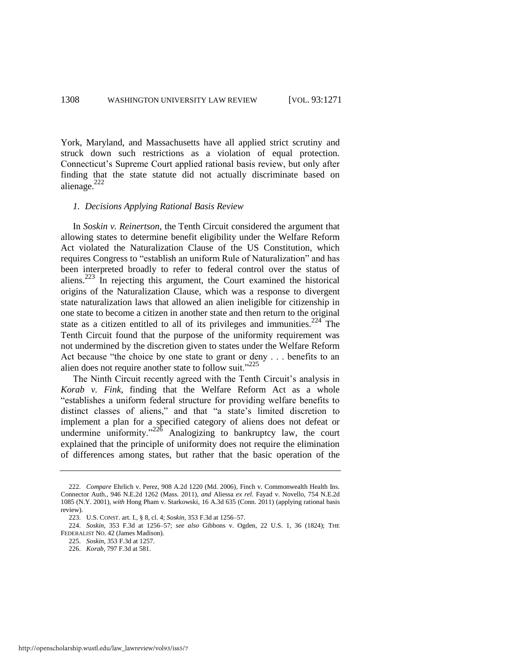York, Maryland, and Massachusetts have all applied strict scrutiny and struck down such restrictions as a violation of equal protection. Connecticut's Supreme Court applied rational basis review, but only after finding that the state statute did not actually discriminate based on alienage. $222$ 

#### *1. Decisions Applying Rational Basis Review*

In *Soskin v. Reinertson*, the Tenth Circuit considered the argument that allowing states to determine benefit eligibility under the Welfare Reform Act violated the Naturalization Clause of the US Constitution, which requires Congress to "establish an uniform Rule of Naturalization" and has been interpreted broadly to refer to federal control over the status of aliens.<sup>223</sup> In rejecting this argument, the Court examined the historical origins of the Naturalization Clause, which was a response to divergent state naturalization laws that allowed an alien ineligible for citizenship in one state to become a citizen in another state and then return to the original state as a citizen entitled to all of its privileges and immunities.<sup>224</sup> The Tenth Circuit found that the purpose of the uniformity requirement was not undermined by the discretion given to states under the Welfare Reform Act because "the choice by one state to grant or deny . . . benefits to an alien does not require another state to follow suit."<sup>225</sup>

The Ninth Circuit recently agreed with the Tenth Circuit's analysis in *Korab v. Fink*, finding that the Welfare Reform Act as a whole "establishes a uniform federal structure for providing welfare benefits to distinct classes of aliens," and that "a state's limited discretion to implement a plan for a specified category of aliens does not defeat or undermine uniformity." $22\delta$  Analogizing to bankruptcy law, the court explained that the principle of uniformity does not require the elimination of differences among states, but rather that the basic operation of the

<sup>222.</sup> *Compare* Ehrlich v. Perez, 908 A.2d 1220 (Md. 2006), Finch v. Commonwealth Health Ins. Connector Auth., 946 N.E.2d 1262 (Mass. 2011), *and* Aliessa *ex rel.* Fayad v. Novello, 754 N.E.2d 1085 (N.Y. 2001), *with* Hong Pham v. Starkowski, 16 A.3d 635 (Conn. 2011) (applying rational basis review).

<sup>223.</sup> U.S. CONST. art. I., § 8, cl. 4; *Soskin*, 353 F.3d at 1256–57.

<sup>224.</sup> *Soskin*, 353 F.3d at 1256–57; *see also* Gibbons v. Ogden, 22 U.S. 1, 36 (1824); THE FEDERALIST NO. 42 (James Madison).

<sup>225.</sup> *Soskin*, 353 F.3d at 1257.

<sup>226.</sup> *Korab*, 797 F.3d at 581.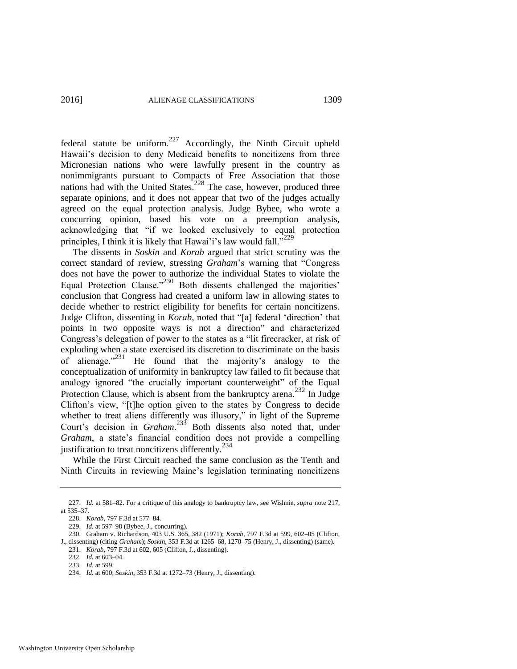federal statute be uniform.<sup>227</sup> Accordingly, the Ninth Circuit upheld Hawaii's decision to deny Medicaid benefits to noncitizens from three Micronesian nations who were lawfully present in the country as nonimmigrants pursuant to Compacts of Free Association that those nations had with the United States.<sup>228</sup> The case, however, produced three separate opinions, and it does not appear that two of the judges actually agreed on the equal protection analysis. Judge Bybee, who wrote a concurring opinion, based his vote on a preemption analysis, acknowledging that "if we looked exclusively to equal protection principles, I think it is likely that Hawai'i's law would fall."<sup>229</sup>

The dissents in *Soskin* and *Korab* argued that strict scrutiny was the correct standard of review, stressing *Graham*'s warning that "Congress does not have the power to authorize the individual States to violate the Equal Protection Clause."<sup>230</sup> Both dissents challenged the majorities' conclusion that Congress had created a uniform law in allowing states to decide whether to restrict eligibility for benefits for certain noncitizens. Judge Clifton, dissenting in *Korab*, noted that "[a] federal 'direction' that points in two opposite ways is not a direction" and characterized Congress's delegation of power to the states as a "lit firecracker, at risk of exploding when a state exercised its discretion to discriminate on the basis of alienage. $^{3231}$  He found that the majority's analogy to the conceptualization of uniformity in bankruptcy law failed to fit because that analogy ignored "the crucially important counterweight" of the Equal Protection Clause, which is absent from the bankruptcy arena.<sup>232</sup> In Judge Clifton's view, "[t]he option given to the states by Congress to decide whether to treat aliens differently was illusory," in light of the Supreme Court's decision in *Graham*. <sup>233</sup> Both dissents also noted that, under *Graham*, a state's financial condition does not provide a compelling justification to treat noncitizens differently.<sup>234</sup>

While the First Circuit reached the same conclusion as the Tenth and Ninth Circuits in reviewing Maine's legislation terminating noncitizens

<sup>227.</sup> *Id.* at 581–82. For a critique of this analogy to bankruptcy law, see Wishnie, *supra* not[e 217,](#page-37-0)  at 535–37.

<sup>228.</sup> *Korab*, 797 F.3d at 577–84.

<sup>229.</sup> *Id.* at 597–98 (Bybee, J., concurring).

<sup>230.</sup> Graham v. Richardson, 403 U.S. 365, 382 (1971); *Korab*, 797 F.3d at 599, 602–05 (Clifton, J., dissenting) (citing *Graham*); *Soskin*, 353 F.3d at 1265–68, 1270–75 (Henry, J., dissenting) (same).

<sup>231.</sup> *Korab*, 797 F.3d at 602, 605 (Clifton, J., dissenting).

<sup>232.</sup> *Id.* at 603–04.

<sup>233.</sup> *Id.* at 599.

<sup>234.</sup> *Id.* at 600; *Soskin*, 353 F.3d at 1272–73 (Henry, J., dissenting).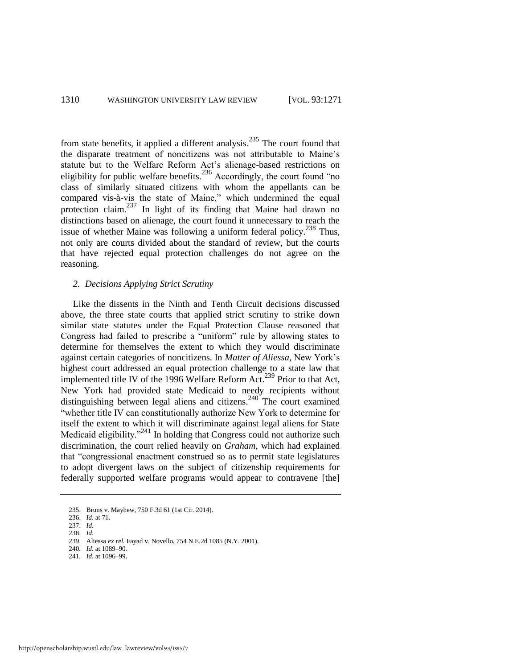from state benefits, it applied a different analysis.235 The court found that the disparate treatment of noncitizens was not attributable to Maine's statute but to the Welfare Reform Act's alienage-based restrictions on eligibility for public welfare benefits.<sup>236</sup> Accordingly, the court found "no class of similarly situated citizens with whom the appellants can be compared vis-à-vis the state of Maine," which undermined the equal protection claim.<sup>237</sup> In light of its finding that Maine had drawn no distinctions based on alienage, the court found it unnecessary to reach the issue of whether Maine was following a uniform federal policy. $^{238}$  Thus, not only are courts divided about the standard of review, but the courts that have rejected equal protection challenges do not agree on the reasoning.

# *2. Decisions Applying Strict Scrutiny*

Like the dissents in the Ninth and Tenth Circuit decisions discussed above, the three state courts that applied strict scrutiny to strike down similar state statutes under the Equal Protection Clause reasoned that Congress had failed to prescribe a "uniform" rule by allowing states to determine for themselves the extent to which they would discriminate against certain categories of noncitizens. In *Matter of Aliessa*, New York's highest court addressed an equal protection challenge to a state law that implemented title IV of the 1996 Welfare Reform Act.<sup>239</sup> Prior to that Act, New York had provided state Medicaid to needy recipients without distinguishing between legal aliens and citizens.<sup>240</sup> The court examined "whether title IV can constitutionally authorize New York to determine for itself the extent to which it will discriminate against legal aliens for State Medicaid eligibility.<sup>241</sup> In holding that Congress could not authorize such discrimination, the court relied heavily on *Graham*, which had explained that "congressional enactment construed so as to permit state legislatures to adopt divergent laws on the subject of citizenship requirements for federally supported welfare programs would appear to contravene [the]

- 240*. Id.* at 1089–90.
- 241*. Id.* at 1096–99.

<sup>235.</sup> Bruns v. Mayhew, 750 F.3d 61 (1st Cir. 2014).

<sup>236.</sup> *Id.* at 71.

<sup>237.</sup> *Id.*

<sup>238.</sup> *Id.* 

<sup>239.</sup> Aliessa *ex rel.* Fayad v. Novello, 754 N.E.2d 1085 (N.Y. 2001).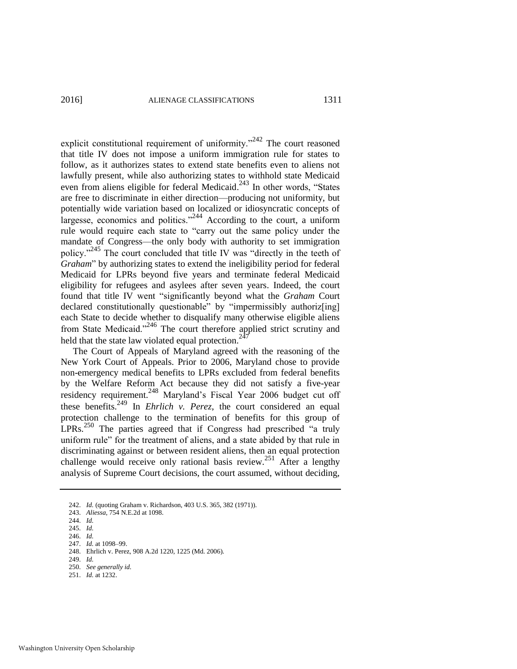explicit constitutional requirement of uniformity. $2^{242}$  The court reasoned that title IV does not impose a uniform immigration rule for states to follow, as it authorizes states to extend state benefits even to aliens not lawfully present, while also authorizing states to withhold state Medicaid even from aliens eligible for federal Medicaid.<sup>243</sup> In other words, "States" are free to discriminate in either direction—producing not uniformity, but potentially wide variation based on localized or idiosyncratic concepts of largesse, economics and politics."<sup>244</sup> According to the court, a uniform rule would require each state to "carry out the same policy under the mandate of Congress—the only body with authority to set immigration policy."<sup>245</sup> The court concluded that title IV was "directly in the teeth of *Graham*" by authorizing states to extend the ineligibility period for federal Medicaid for LPRs beyond five years and terminate federal Medicaid eligibility for refugees and asylees after seven years. Indeed, the court found that title IV went "significantly beyond what the *Graham* Court declared constitutionally questionable" by "impermissibly authoriz[ing] each State to decide whether to disqualify many otherwise eligible aliens from State Medicaid."246 The court therefore applied strict scrutiny and held that the state law violated equal protection.<sup>24</sup>

The Court of Appeals of Maryland agreed with the reasoning of the New York Court of Appeals. Prior to 2006, Maryland chose to provide non-emergency medical benefits to LPRs excluded from federal benefits by the Welfare Reform Act because they did not satisfy a five-year residency requirement.<sup>248</sup> Maryland's Fiscal Year 2006 budget cut off these benefits.249 In *Ehrlich v. Perez*, the court considered an equal protection challenge to the termination of benefits for this group of LPRs.250 The parties agreed that if Congress had prescribed "a truly uniform rule" for the treatment of aliens, and a state abided by that rule in discriminating against or between resident aliens, then an equal protection challenge would receive only rational basis review.<sup>251</sup> After a lengthy analysis of Supreme Court decisions, the court assumed, without deciding,

<sup>242.</sup> *Id.* (quoting Graham v. Richardson, 403 U.S. 365, 382 (1971)).

<sup>243.</sup> *Aliessa*, 754 N.E.2d at 1098.

<sup>244.</sup> *Id.*

<sup>245.</sup> *Id.*

<sup>246.</sup> *Id.*

<sup>247.</sup> *Id.* at 1098–99.

<sup>248.</sup> Ehrlich v. Perez, 908 A.2d 1220, 1225 (Md. 2006).

<sup>249.</sup> *Id.* 

<sup>250.</sup> *See generally id.*

<sup>251.</sup> *Id.* at 1232.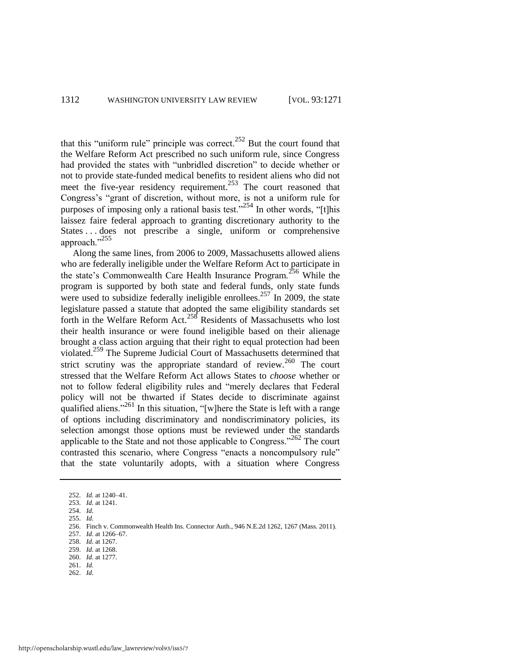that this "uniform rule" principle was correct. $252$  But the court found that the Welfare Reform Act prescribed no such uniform rule, since Congress had provided the states with "unbridled discretion" to decide whether or not to provide state-funded medical benefits to resident aliens who did not meet the five-year residency requirement.<sup>253</sup> The court reasoned that Congress's "grant of discretion, without more, is not a uniform rule for purposes of imposing only a rational basis test."<sup>254</sup> In other words, "[t]his laissez faire federal approach to granting discretionary authority to the States ... does not prescribe a single, uniform or comprehensive approach."<sup>255</sup>

Along the same lines, from 2006 to 2009, Massachusetts allowed aliens who are federally ineligible under the Welfare Reform Act to participate in the state's Commonwealth Care Health Insurance Program.<sup>256</sup> While the program is supported by both state and federal funds, only state funds were used to subsidize federally ineligible enrollees.<sup>257</sup> In 2009, the state legislature passed a statute that adopted the same eligibility standards set forth in the Welfare Reform Act.258 Residents of Massachusetts who lost their health insurance or were found ineligible based on their alienage brought a class action arguing that their right to equal protection had been violated.259 The Supreme Judicial Court of Massachusetts determined that strict scrutiny was the appropriate standard of review.<sup>260</sup> The court stressed that the Welfare Reform Act allows States to *choose* whether or not to follow federal eligibility rules and "merely declares that Federal policy will not be thwarted if States decide to discriminate against qualified aliens."<sup>261</sup> In this situation, "[w]here the State is left with a range of options including discriminatory and nondiscriminatory policies, its selection amongst those options must be reviewed under the standards applicable to the State and not those applicable to Congress."<sup>262</sup> The court contrasted this scenario, where Congress "enacts a noncompulsory rule" that the state voluntarily adopts, with a situation where Congress

<sup>252.</sup> *Id.* at 1240–41.

<sup>253.</sup> *Id.* at 1241.

<sup>254.</sup> *Id.*

<sup>255.</sup> *Id.*

<sup>256.</sup> Finch v. Commonwealth Health Ins. Connector Auth., 946 N.E.2d 1262, 1267 (Mass. 2011).

<sup>257.</sup> *Id.* at 1266–67.

<sup>258.</sup> *Id.* at 1267. 259. *Id.* at 1268.

<sup>260.</sup> *Id.* at 1277.

<sup>261.</sup> *Id.*

<sup>262.</sup> *Id.*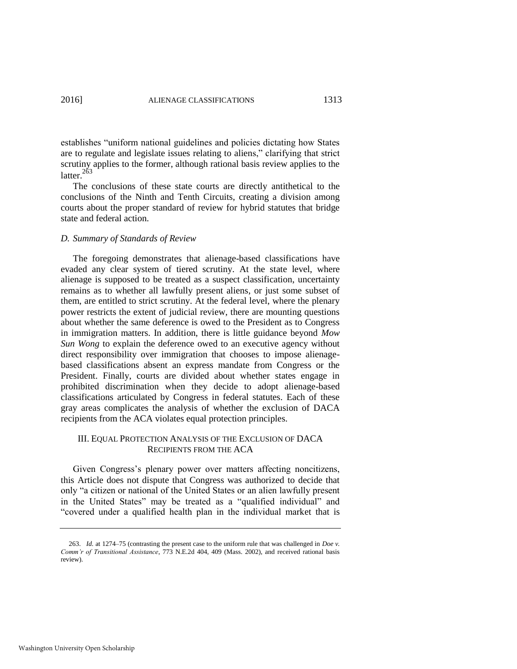establishes "uniform national guidelines and policies dictating how States are to regulate and legislate issues relating to aliens," clarifying that strict scrutiny applies to the former, although rational basis review applies to the latter. $263$ 

The conclusions of these state courts are directly antithetical to the conclusions of the Ninth and Tenth Circuits, creating a division among courts about the proper standard of review for hybrid statutes that bridge state and federal action.

#### *D. Summary of Standards of Review*

The foregoing demonstrates that alienage-based classifications have evaded any clear system of tiered scrutiny. At the state level, where alienage is supposed to be treated as a suspect classification, uncertainty remains as to whether all lawfully present aliens, or just some subset of them, are entitled to strict scrutiny. At the federal level, where the plenary power restricts the extent of judicial review, there are mounting questions about whether the same deference is owed to the President as to Congress in immigration matters. In addition, there is little guidance beyond *Mow Sun Wong* to explain the deference owed to an executive agency without direct responsibility over immigration that chooses to impose alienagebased classifications absent an express mandate from Congress or the President. Finally, courts are divided about whether states engage in prohibited discrimination when they decide to adopt alienage-based classifications articulated by Congress in federal statutes. Each of these gray areas complicates the analysis of whether the exclusion of DACA recipients from the ACA violates equal protection principles.

# III. EQUAL PROTECTION ANALYSIS OF THE EXCLUSION OF DACA RECIPIENTS FROM THE ACA

Given Congress's plenary power over matters affecting noncitizens, this Article does not dispute that Congress was authorized to decide that only "a citizen or national of the United States or an alien lawfully present in the United States" may be treated as a "qualified individual" and "covered under a qualified health plan in the individual market that is

<sup>263.</sup> *Id.* at 1274–75 (contrasting the present case to the uniform rule that was challenged in *Doe v. Comm'r of Transitional Assistance*, 773 N.E.2d 404, 409 (Mass. 2002), and received rational basis review).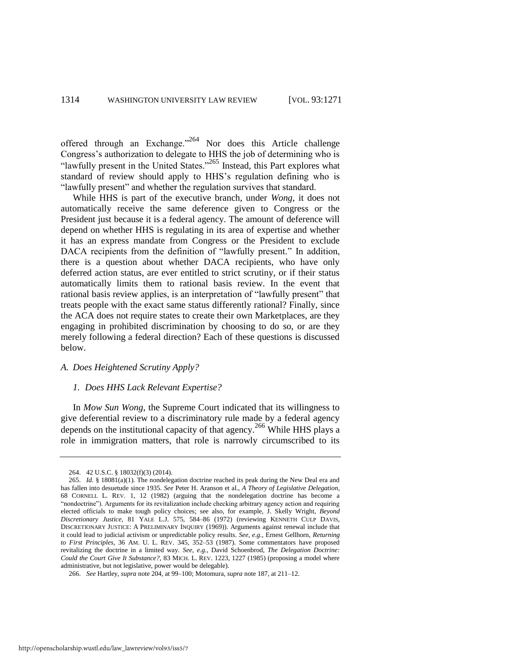offered through an Exchange."<sup>264</sup> Nor does this Article challenge Congress's authorization to delegate to HHS the job of determining who is "lawfully present in the United States."265 Instead, this Part explores what standard of review should apply to HHS's regulation defining who is "lawfully present" and whether the regulation survives that standard.

While HHS is part of the executive branch, under *Wong*, it does not automatically receive the same deference given to Congress or the President just because it is a federal agency. The amount of deference will depend on whether HHS is regulating in its area of expertise and whether it has an express mandate from Congress or the President to exclude DACA recipients from the definition of "lawfully present." In addition, there is a question about whether DACA recipients, who have only deferred action status, are ever entitled to strict scrutiny, or if their status automatically limits them to rational basis review. In the event that rational basis review applies, is an interpretation of "lawfully present" that treats people with the exact same status differently rational? Finally, since the ACA does not require states to create their own Marketplaces, are they engaging in prohibited discrimination by choosing to do so, or are they merely following a federal direction? Each of these questions is discussed below.

# *A. Does Heightened Scrutiny Apply?*

#### *1. Does HHS Lack Relevant Expertise?*

In *Mow Sun Wong*, the Supreme Court indicated that its willingness to give deferential review to a discriminatory rule made by a federal agency depends on the institutional capacity of that agency.<sup>266</sup> While HHS plays a role in immigration matters, that role is narrowly circumscribed to its

<sup>264. 42</sup> U.S.C. § 18032(f)(3) (2014).

<sup>265.</sup> *Id.* § 18081(a)(1). The nondelegation doctrine reached its peak during the New Deal era and has fallen into desuetude since 1935. *See* Peter H. Aranson et al., *A Theory of Legislative Delegation*, 68 CORNELL L. REV. 1, 12 (1982) (arguing that the nondelegation doctrine has become a "nondoctrine"). Arguments for its revitalization include checking arbitrary agency action and requiring elected officials to make tough policy choices; see also, for example, J. Skelly Wright, *Beyond Discretionary Justice*, 81 YALE L.J. 575, 584–86 (1972) (reviewing KENNETH CULP DAVIS, DISCRETIONARY JUSTICE: A PRELIMINARY INQUIRY (1969)). Arguments against renewal include that it could lead to judicial activism or unpredictable policy results. *See, e.g.*, Ernest Gellhorn, *Returning to First Principles*, 36 AM. U. L. REV. 345, 352–53 (1987). Some commentators have proposed revitalizing the doctrine in a limited way. *See, e.g.*, David Schoenbrod, *The Delegation Doctrine: Could the Court Give It Substance?*, 83 MICH. L. REV. 1223, 1227 (1985) (proposing a model where administrative, but not legislative, power would be delegable).

<sup>266.</sup> *See* Hartley, *supra* not[e 204,](#page-35-1) at 99–100; Motomura, *supra* not[e 187,](#page-33-2) at 211–12.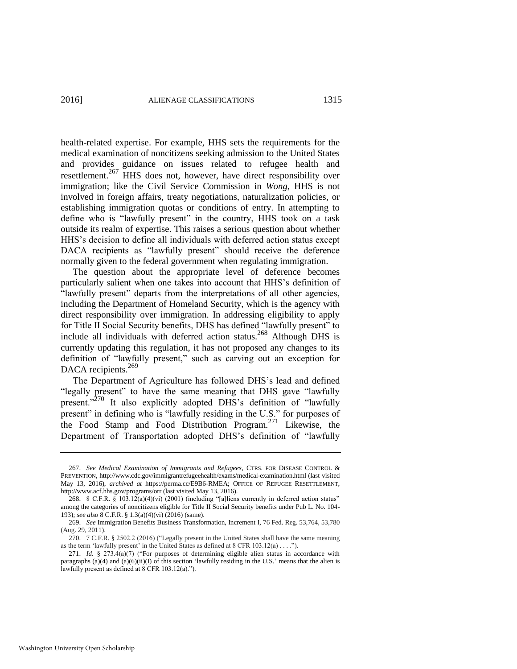health-related expertise. For example, HHS sets the requirements for the medical examination of noncitizens seeking admission to the United States and provides guidance on issues related to refugee health and resettlement.<sup>267</sup> HHS does not, however, have direct responsibility over immigration; like the Civil Service Commission in *Wong*, HHS is not involved in foreign affairs, treaty negotiations, naturalization policies, or establishing immigration quotas or conditions of entry. In attempting to define who is "lawfully present" in the country, HHS took on a task outside its realm of expertise. This raises a serious question about whether HHS's decision to define all individuals with deferred action status except DACA recipients as "lawfully present" should receive the deference normally given to the federal government when regulating immigration.

The question about the appropriate level of deference becomes particularly salient when one takes into account that HHS's definition of "lawfully present" departs from the interpretations of all other agencies, including the Department of Homeland Security, which is the agency with direct responsibility over immigration. In addressing eligibility to apply for Title II Social Security benefits, DHS has defined "lawfully present" to include all individuals with deferred action status.268 Although DHS is currently updating this regulation, it has not proposed any changes to its definition of "lawfully present," such as carving out an exception for DACA recipients.<sup>269</sup>

The Department of Agriculture has followed DHS's lead and defined "legally present" to have the same meaning that DHS gave "lawfully present."<sup>270</sup> It also explicitly adopted DHS's definition of "lawfully present" in defining who is "lawfully residing in the U.S." for purposes of the Food Stamp and Food Distribution Program.<sup>271</sup> Likewise, the Department of Transportation adopted DHS's definition of "lawfully

<sup>267.</sup> *See Medical Examination of Immigrants and Refugees*, CTRS. FOR DISEASE CONTROL & PREVENTION, http://www.cdc.gov/immigrantrefugeehealth/exams/medical-examination.html (last visited May 13, 2016), *archived at* https://perma.cc/E9B6-RMEA; OFFICE OF REFUGEE RESETTLEMENT, http://www.acf.hhs.gov/programs/orr (last visited May 13, 2016).

<sup>268. 8</sup> C.F.R. § 103.12(a)(4)(vi) (2001) (including "[a]liens currently in deferred action status" among the categories of noncitizens eligible for Title II Social Security benefits under Pub L. No. 104- 193); *see also* 8 C.F.R. § 1.3(a)(4)(vi) (2016) (same).

<sup>269.</sup> *See* Immigration Benefits Business Transformation, Increment I, 76 Fed. Reg. 53,764, 53,780 (Aug. 29, 2011).

<sup>270. 7</sup> C.F.R. § 2502.2 (2016) ("Legally present in the United States shall have the same meaning as the term 'lawfully present' in the United States as defined at 8 CFR  $103.12(a) \ldots$ ").

<sup>271.</sup> *Id.* § 273.4(a)(7) ("For purposes of determining eligible alien status in accordance with paragraphs (a)(4) and (a)(6)(ii)(I) of this section 'lawfully residing in the U.S.' means that the alien is lawfully present as defined at 8 CFR 103.12(a).").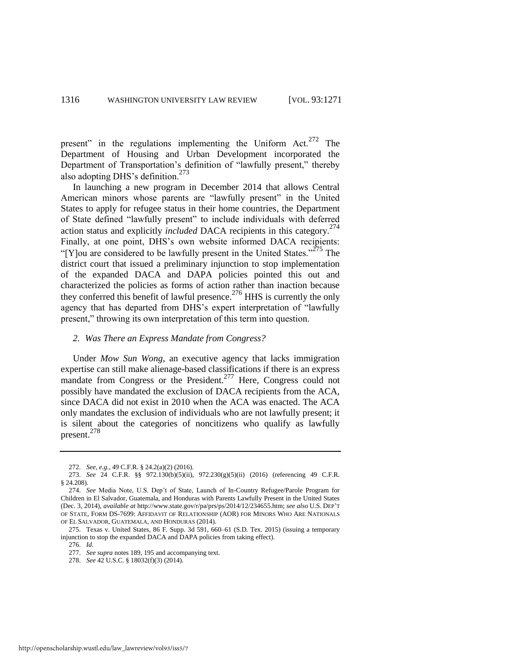present" in the regulations implementing the Uniform Act.<sup>272</sup> The Department of Housing and Urban Development incorporated the Department of Transportation's definition of "lawfully present," thereby also adopting DHS's definition.<sup>273</sup>

In launching a new program in December 2014 that allows Central American minors whose parents are "lawfully present" in the United States to apply for refugee status in their home countries, the Department of State defined "lawfully present" to include individuals with deferred action status and explicitly *included* DACA recipients in this category.<sup>274</sup> Finally, at one point, DHS's own website informed DACA recipients: "[Y]ou are considered to be lawfully present in the United States."<sup>275</sup> The district court that issued a preliminary injunction to stop implementation of the expanded DACA and DAPA policies pointed this out and characterized the policies as forms of action rather than inaction because they conferred this benefit of lawful presence.<sup>276</sup> HHS is currently the only agency that has departed from DHS's expert interpretation of "lawfully present," throwing its own interpretation of this term into question.

#### *2. Was There an Express Mandate from Congress?*

Under *Mow Sun Wong*, an executive agency that lacks immigration expertise can still make alienage-based classifications if there is an express mandate from Congress or the President.<sup>277</sup> Here, Congress could not possibly have mandated the exclusion of DACA recipients from the ACA, since DACA did not exist in 2010 when the ACA was enacted. The ACA only mandates the exclusion of individuals who are not lawfully present; it is silent about the categories of noncitizens who qualify as lawfully present.<sup>278</sup>

<sup>272.</sup> *See, e.g.*, 49 C.F.R. § 24.2(a)(2) (2016).

<sup>273.</sup> *See* 24 C.F.R. §§ 972.130(b)(5)(ii), 972.230(g)(5)(ii) (2016) (referencing 49 C.F.R. § 24.208).

<sup>274.</sup> *See* Media Note, U.S. Dep't of State, Launch of In-Country Refugee/Parole Program for Children in El Salvador, Guatemala, and Honduras with Parents Lawfully Present in the United States (Dec. 3, 2014), *available at* http://www.state.gov/r/pa/prs/ps/2014/12/234655.htm; *see also* U.S. DEP'T OF STATE, FORM DS-7699: AFFIDAVIT OF RELATIONSHIP (AOR) FOR MINORS WHO ARE NATIONALS OF EL SALVADOR, GUATEMALA, AND HONDURAS (2014).

<sup>275.</sup> Texas v. United States, 86 F. Supp. 3d 591, 660–61 (S.D. Tex. 2015) (issuing a temporary injunction to stop the expanded DACA and DAPA policies from taking effect).

<sup>276.</sup> *Id.* 

<sup>277.</sup> *See supra* note[s 189,](#page-33-3) [195 a](#page-34-0)nd accompanying text.

<sup>278.</sup> *See* 42 U.S.C. § 18032(f)(3) (2014).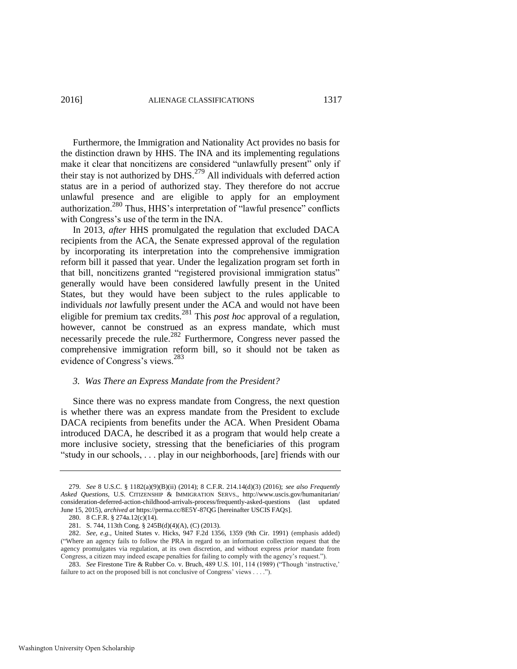<span id="page-47-0"></span>Furthermore, the Immigration and Nationality Act provides no basis for the distinction drawn by HHS. The INA and its implementing regulations make it clear that noncitizens are considered "unlawfully present" only if their stay is not authorized by DHS. $^{279}$  All individuals with deferred action status are in a period of authorized stay. They therefore do not accrue unlawful presence and are eligible to apply for an employment authorization.<sup>280</sup> Thus, HHS's interpretation of "lawful presence" conflicts with Congress's use of the term in the INA.

In 2013, *after* HHS promulgated the regulation that excluded DACA recipients from the ACA, the Senate expressed approval of the regulation by incorporating its interpretation into the comprehensive immigration reform bill it passed that year. Under the legalization program set forth in that bill, noncitizens granted "registered provisional immigration status" generally would have been considered lawfully present in the United States, but they would have been subject to the rules applicable to individuals *not* lawfully present under the ACA and would not have been eligible for premium tax credits.281 This *post hoc* approval of a regulation, however, cannot be construed as an express mandate, which must necessarily precede the rule.<sup>282</sup> Furthermore, Congress never passed the comprehensive immigration reform bill, so it should not be taken as evidence of Congress's views.<sup>283</sup>

#### *3. Was There an Express Mandate from the President?*

Since there was no express mandate from Congress, the next question is whether there was an express mandate from the President to exclude DACA recipients from benefits under the ACA. When President Obama introduced DACA, he described it as a program that would help create a more inclusive society, stressing that the beneficiaries of this program "study in our schools, . . . play in our neighborhoods, [are] friends with our

<sup>279.</sup> *See* 8 U.S.C. § 1182(a)(9)(B)(ii) (2014); 8 C.F.R. 214.14(d)(3) (2016); *see also Frequently Asked Questions*, U.S. CITIZENSHIP & IMMIGRATION SERVS., http://www.uscis.gov/humanitarian/ consideration-deferred-action-childhood-arrivals-process/frequently-asked-questions (last updated June 15, 2015), *archived at* https://perma.cc/8E5Y-87QG [hereinafter USCIS FAQS].

<sup>280. 8</sup> C.F.R. § 274a.12(c)(14).

<sup>281.</sup> S. 744, 113th Cong. § 245B(d)(4)(A), (C) (2013).

<sup>282.</sup> *See, e.g.*, United States v. Hicks, 947 F.2d 1356, 1359 (9th Cir. 1991) (emphasis added) ("Where an agency fails to follow the PRA in regard to an information collection request that the agency promulgates via regulation, at its own discretion, and without express *prior* mandate from Congress, a citizen may indeed escape penalties for failing to comply with the agency's request.").

<sup>283.</sup> *See* Firestone Tire & Rubber Co. v. Bruch, 489 U.S. 101, 114 (1989) ("Though 'instructive,' failure to act on the proposed bill is not conclusive of Congress' views . . . .").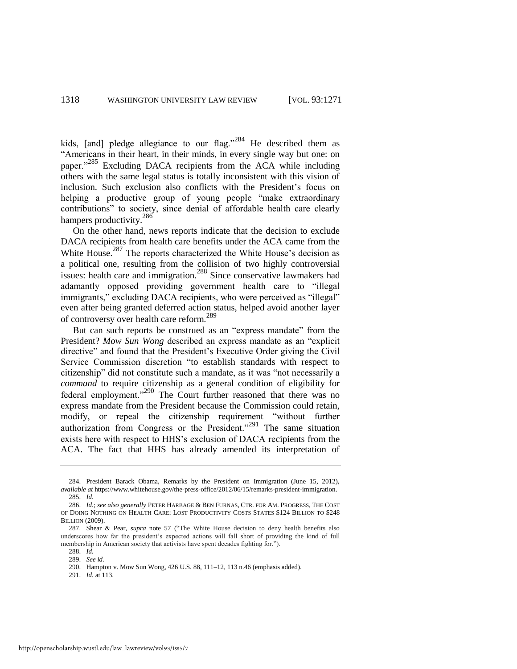kids, [and] pledge allegiance to our flag."  $284$  He described them as "Americans in their heart, in their minds, in every single way but one: on paper."<sup>285</sup> Excluding DACA recipients from the ACA while including others with the same legal status is totally inconsistent with this vision of inclusion. Such exclusion also conflicts with the President's focus on helping a productive group of young people "make extraordinary" contributions" to society, since denial of affordable health care clearly hampers productivity.<sup>286</sup>

On the other hand, news reports indicate that the decision to exclude DACA recipients from health care benefits under the ACA came from the White House.<sup>287</sup> The reports characterized the White House's decision as a political one, resulting from the collision of two highly controversial issues: health care and immigration.288 Since conservative lawmakers had adamantly opposed providing government health care to "illegal immigrants," excluding DACA recipients, who were perceived as "illegal" even after being granted deferred action status, helped avoid another layer of controversy over health care reform.<sup>289</sup>

But can such reports be construed as an "express mandate" from the President? *Mow Sun Wong* described an express mandate as an "explicit directive" and found that the President's Executive Order giving the Civil Service Commission discretion "to establish standards with respect to citizenship" did not constitute such a mandate, as it was "not necessarily a *command* to require citizenship as a general condition of eligibility for federal employment."<sup>290</sup> The Court further reasoned that there was no express mandate from the President because the Commission could retain, modify, or repeal the citizenship requirement "without further authorization from Congress or the President.<sup> $291$ </sup> The same situation exists here with respect to HHS's exclusion of DACA recipients from the ACA. The fact that HHS has already amended its interpretation of

<sup>284.</sup> President Barack Obama, Remarks by the President on Immigration (June 15, 2012), *available at* https://www.whitehouse.gov/the-press-office/2012/06/15/remarks-president-immigration. 285. *Id.* 

<sup>286.</sup> *Id.*; *see also generally* PETER HARBAGE & BEN FURNAS, CTR. FOR AM. PROGRESS, THE COST OF DOING NOTHING ON HEALTH CARE: LOST PRODUCTIVITY COSTS STATES \$124 BILLION TO \$248 BILLION (2009).

<sup>287.</sup> Shear & Pear, *supra* note [57](#page-13-0) ("The White House decision to deny health benefits also underscores how far the president's expected actions will fall short of providing the kind of full membership in American society that activists have spent decades fighting for.").

<sup>288.</sup> *Id.*

<sup>289.</sup> *See id.*

<sup>290.</sup> Hampton v. Mow Sun Wong, 426 U.S. 88, 111–12, 113 n.46 (emphasis added).

<sup>291.</sup> *Id.* at 113.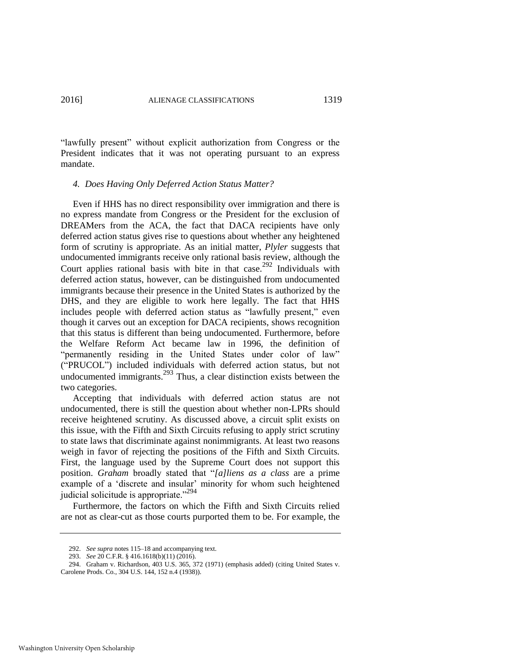"lawfully present" without explicit authorization from Congress or the President indicates that it was not operating pursuant to an express mandate.

#### *4. Does Having Only Deferred Action Status Matter?*

Even if HHS has no direct responsibility over immigration and there is no express mandate from Congress or the President for the exclusion of DREAMers from the ACA, the fact that DACA recipients have only deferred action status gives rise to questions about whether any heightened form of scrutiny is appropriate. As an initial matter, *Plyler* suggests that undocumented immigrants receive only rational basis review, although the Court applies rational basis with bite in that case.<sup>292</sup> Individuals with deferred action status, however, can be distinguished from undocumented immigrants because their presence in the United States is authorized by the DHS, and they are eligible to work here legally. The fact that HHS includes people with deferred action status as "lawfully present," even though it carves out an exception for DACA recipients, shows recognition that this status is different than being undocumented. Furthermore, before the Welfare Reform Act became law in 1996, the definition of "permanently residing in the United States under color of law" ("PRUCOL") included individuals with deferred action status, but not undocumented immigrants.<sup>293</sup> Thus, a clear distinction exists between the two categories.

Accepting that individuals with deferred action status are not undocumented, there is still the question about whether non-LPRs should receive heightened scrutiny. As discussed above, a circuit split exists on this issue, with the Fifth and Sixth Circuits refusing to apply strict scrutiny to state laws that discriminate against nonimmigrants. At least two reasons weigh in favor of rejecting the positions of the Fifth and Sixth Circuits. First, the language used by the Supreme Court does not support this position. *Graham* broadly stated that "*[a]liens as a class* are a prime example of a 'discrete and insular' minority for whom such heightened judicial solicitude is appropriate."<sup>294</sup>

Furthermore, the factors on which the Fifth and Sixth Circuits relied are not as clear-cut as those courts purported them to be. For example, the

<sup>292.</sup> *See supra* note[s 115–](#page-23-0)18 and accompanying text.

<sup>293.</sup> *See* 20 C.F.R. § 416.1618(b)(11) (2016).

<sup>294.</sup> Graham v. Richardson, 403 U.S. 365, 372 (1971) (emphasis added) (citing United States v. Carolene Prods. Co., 304 U.S. 144, 152 n.4 (1938)).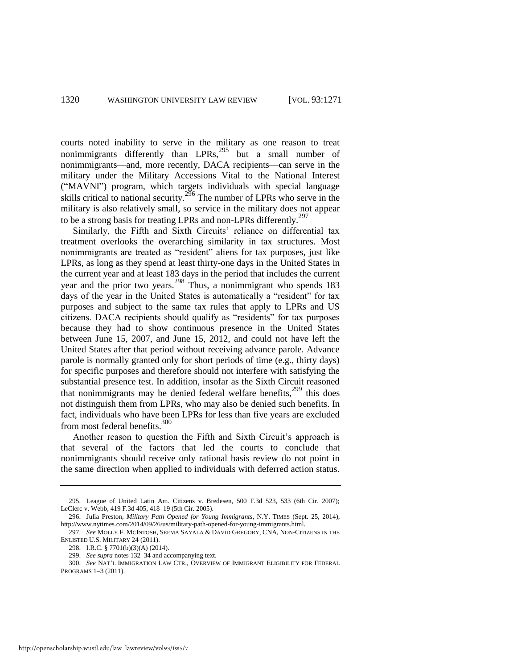courts noted inability to serve in the military as one reason to treat nonimmigrants differently than LPRs,  $^{295}$  but a small number of nonimmigrants—and, more recently, DACA recipients—can serve in the military under the Military Accessions Vital to the National Interest ("MAVNI") program, which targets individuals with special language skills critical to national security.<sup>296</sup> The number of LPRs who serve in the military is also relatively small, so service in the military does not appear to be a strong basis for treating LPRs and non-LPRs differently.<sup>297</sup>

Similarly, the Fifth and Sixth Circuits' reliance on differential tax treatment overlooks the overarching similarity in tax structures. Most nonimmigrants are treated as "resident" aliens for tax purposes, just like LPRs, as long as they spend at least thirty-one days in the United States in the current year and at least 183 days in the period that includes the current year and the prior two years.298 Thus, a nonimmigrant who spends 183 days of the year in the United States is automatically a "resident" for tax purposes and subject to the same tax rules that apply to LPRs and US citizens. DACA recipients should qualify as "residents" for tax purposes because they had to show continuous presence in the United States between June 15, 2007, and June 15, 2012, and could not have left the United States after that period without receiving advance parole. Advance parole is normally granted only for short periods of time (e.g., thirty days) for specific purposes and therefore should not interfere with satisfying the substantial presence test. In addition, insofar as the Sixth Circuit reasoned that nonimmigrants may be denied federal welfare benefits, $299$  this does not distinguish them from LPRs, who may also be denied such benefits. In fact, individuals who have been LPRs for less than five years are excluded from most federal benefits.<sup>300</sup>

Another reason to question the Fifth and Sixth Circuit's approach is that several of the factors that led the courts to conclude that nonimmigrants should receive only rational basis review do not point in the same direction when applied to individuals with deferred action status.

<sup>295.</sup> League of United Latin Am. Citizens v. Bredesen, 500 F.3d 523, 533 (6th Cir. 2007); LeClerc v. Webb, 419 F.3d 405, 418–19 (5th Cir. 2005).

<sup>296.</sup> Julia Preston, *Military Path Opened for Young Immigrants*, N.Y. TIMES (Sept. 25, 2014), http://www.nytimes.com/2014/09/26/us/military-path-opened-for-young-immigrants.html.

<sup>297.</sup> *See* MOLLY F. MCINTOSH, SEEMA SAYALA & DAVID GREGORY, CNA, NON-CITIZENS IN THE ENLISTED U.S. MILITARY 24 (2011).

<sup>298.</sup> I.R.C. § 7701(b)(3)(A) (2014).

<sup>299.</sup> *See supra* note[s 132–](#page-25-0)34 and accompanying text.

<sup>300.</sup> *See* NAT'L IMMIGRATION LAW CTR., OVERVIEW OF IMMIGRANT ELIGIBILITY FOR FEDERAL PROGRAMS 1–3 (2011).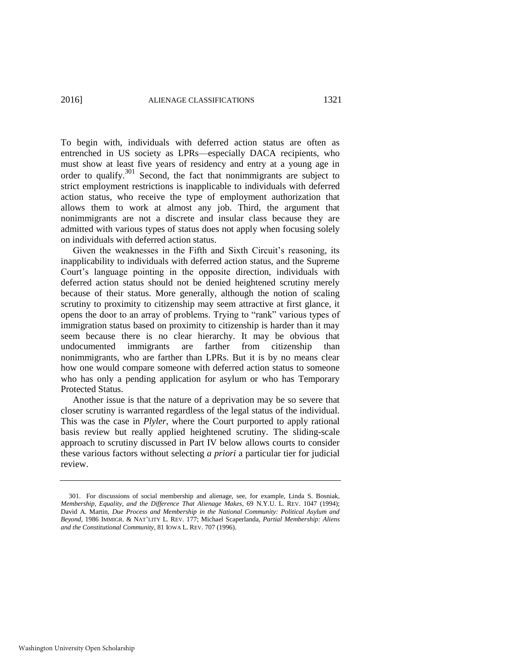To begin with, individuals with deferred action status are often as entrenched in US society as LPRs—especially DACA recipients, who must show at least five years of residency and entry at a young age in order to qualify. $301$  Second, the fact that nonimmigrants are subject to strict employment restrictions is inapplicable to individuals with deferred action status, who receive the type of employment authorization that allows them to work at almost any job. Third, the argument that nonimmigrants are not a discrete and insular class because they are admitted with various types of status does not apply when focusing solely on individuals with deferred action status.

Given the weaknesses in the Fifth and Sixth Circuit's reasoning, its inapplicability to individuals with deferred action status, and the Supreme Court's language pointing in the opposite direction, individuals with deferred action status should not be denied heightened scrutiny merely because of their status. More generally, although the notion of scaling scrutiny to proximity to citizenship may seem attractive at first glance, it opens the door to an array of problems. Trying to "rank" various types of immigration status based on proximity to citizenship is harder than it may seem because there is no clear hierarchy. It may be obvious that undocumented immigrants are farther from citizenship than nonimmigrants, who are farther than LPRs. But it is by no means clear how one would compare someone with deferred action status to someone who has only a pending application for asylum or who has Temporary Protected Status.

Another issue is that the nature of a deprivation may be so severe that closer scrutiny is warranted regardless of the legal status of the individual. This was the case in *Plyler*, where the Court purported to apply rational basis review but really applied heightened scrutiny. The sliding-scale approach to scrutiny discussed in Part IV below allows courts to consider these various factors without selecting *a priori* a particular tier for judicial review.

<sup>301.</sup> For discussions of social membership and alienage, see, for example, Linda S. Bosniak, *Membership, Equality, and the Difference That Alienage Makes*, 69 N.Y.U. L. REV. 1047 (1994); David A. Martin, *Due Process and Membership in the National Community: Political Asylum and Beyond*, 1986 IMMIGR. & NAT'LITY L. REV. 177; Michael Scaperlanda, *Partial Membership: Aliens and the Constitutional Community*, 81 IOWA L. REV. 707 (1996).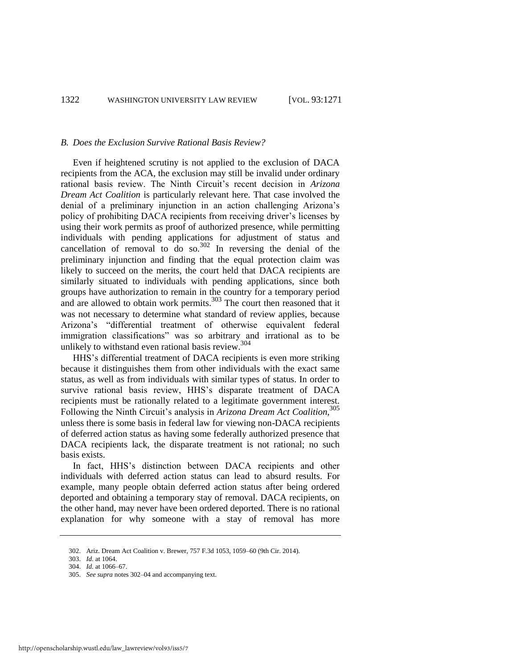#### *B. Does the Exclusion Survive Rational Basis Review?*

<span id="page-52-0"></span>Even if heightened scrutiny is not applied to the exclusion of DACA recipients from the ACA, the exclusion may still be invalid under ordinary rational basis review. The Ninth Circuit's recent decision in *Arizona Dream Act Coalition* is particularly relevant here. That case involved the denial of a preliminary injunction in an action challenging Arizona's policy of prohibiting DACA recipients from receiving driver's licenses by using their work permits as proof of authorized presence, while permitting individuals with pending applications for adjustment of status and cancellation of removal to do so. $302$  In reversing the denial of the preliminary injunction and finding that the equal protection claim was likely to succeed on the merits, the court held that DACA recipients are similarly situated to individuals with pending applications, since both groups have authorization to remain in the country for a temporary period and are allowed to obtain work permits.<sup>303</sup> The court then reasoned that it was not necessary to determine what standard of review applies, because Arizona's "differential treatment of otherwise equivalent federal immigration classifications" was so arbitrary and irrational as to be unlikely to withstand even rational basis review.  $304$ 

HHS's differential treatment of DACA recipients is even more striking because it distinguishes them from other individuals with the exact same status, as well as from individuals with similar types of status. In order to survive rational basis review, HHS's disparate treatment of DACA recipients must be rationally related to a legitimate government interest. Following the Ninth Circuit's analysis in *Arizona Dream Act Coalition*, 305 unless there is some basis in federal law for viewing non-DACA recipients of deferred action status as having some federally authorized presence that DACA recipients lack, the disparate treatment is not rational; no such basis exists.

In fact, HHS's distinction between DACA recipients and other individuals with deferred action status can lead to absurd results. For example, many people obtain deferred action status after being ordered deported and obtaining a temporary stay of removal. DACA recipients, on the other hand, may never have been ordered deported. There is no rational explanation for why someone with a stay of removal has more

<sup>302.</sup> Ariz. Dream Act Coalition v. Brewer, 757 F.3d 1053, 1059–60 (9th Cir. 2014).

<sup>303.</sup> *Id.* at 1064.

<sup>304.</sup> *Id.* at 1066–67.

<sup>305.</sup> *See supra* note[s 302–](#page-52-0)04 and accompanying text.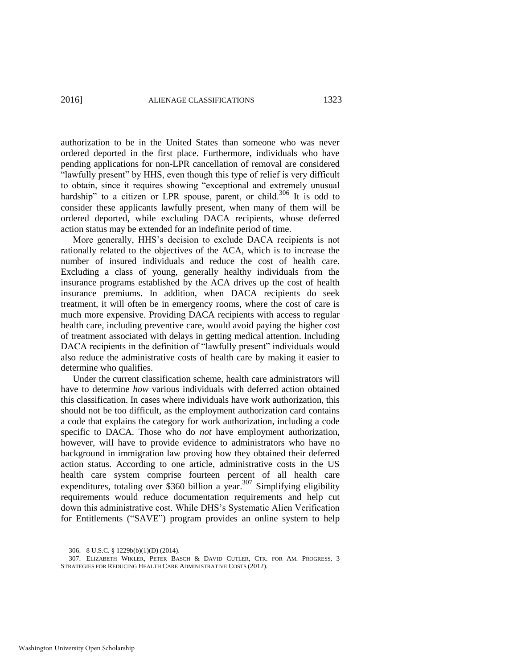authorization to be in the United States than someone who was never ordered deported in the first place. Furthermore, individuals who have pending applications for non-LPR cancellation of removal are considered "lawfully present" by HHS, even though this type of relief is very difficult to obtain, since it requires showing "exceptional and extremely unusual hardship" to a citizen or LPR spouse, parent, or child.<sup>306</sup> It is odd to consider these applicants lawfully present, when many of them will be ordered deported, while excluding DACA recipients, whose deferred action status may be extended for an indefinite period of time.

More generally, HHS's decision to exclude DACA recipients is not rationally related to the objectives of the ACA, which is to increase the number of insured individuals and reduce the cost of health care. Excluding a class of young, generally healthy individuals from the insurance programs established by the ACA drives up the cost of health insurance premiums. In addition, when DACA recipients do seek treatment, it will often be in emergency rooms, where the cost of care is much more expensive. Providing DACA recipients with access to regular health care, including preventive care, would avoid paying the higher cost of treatment associated with delays in getting medical attention. Including DACA recipients in the definition of "lawfully present" individuals would also reduce the administrative costs of health care by making it easier to determine who qualifies.

Under the current classification scheme, health care administrators will have to determine *how* various individuals with deferred action obtained this classification. In cases where individuals have work authorization, this should not be too difficult, as the employment authorization card contains a code that explains the category for work authorization, including a code specific to DACA. Those who do *not* have employment authorization, however, will have to provide evidence to administrators who have no background in immigration law proving how they obtained their deferred action status. According to one article, administrative costs in the US health care system comprise fourteen percent of all health care expenditures, totaling over \$360 billion a year.<sup>307</sup> Simplifying eligibility requirements would reduce documentation requirements and help cut down this administrative cost. While DHS's Systematic Alien Verification for Entitlements ("SAVE") program provides an online system to help

<sup>306. 8</sup> U.S.C. § 1229b(b)(1)(D) (2014).

<sup>307.</sup> ELIZABETH WIKLER, PETER BASCH & DAVID CUTLER, CTR. FOR AM. PROGRESS, 3 STRATEGIES FOR REDUCING HEALTH CARE ADMINISTRATIVE COSTS (2012).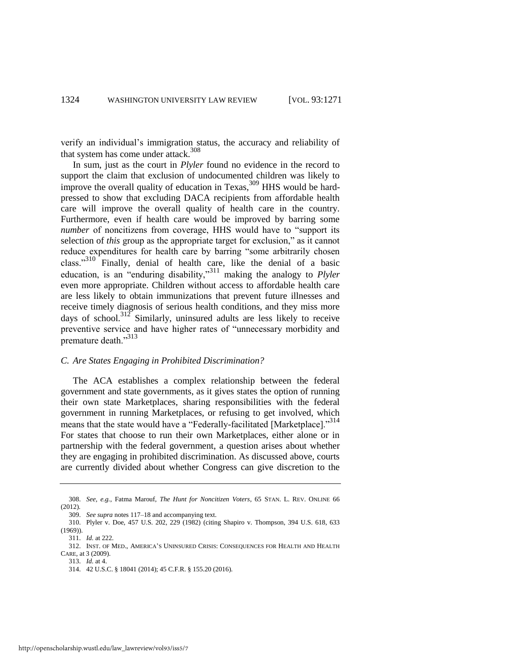verify an individual's immigration status, the accuracy and reliability of that system has come under attack. $308$ 

<span id="page-54-0"></span>In sum, just as the court in *Plyler* found no evidence in the record to support the claim that exclusion of undocumented children was likely to improve the overall quality of education in Texas,  $309$  HHS would be hardpressed to show that excluding DACA recipients from affordable health care will improve the overall quality of health care in the country. Furthermore, even if health care would be improved by barring some *number* of noncitizens from coverage, HHS would have to "support its selection of *this* group as the appropriate target for exclusion," as it cannot reduce expenditures for health care by barring "some arbitrarily chosen class."310 Finally, denial of health care, like the denial of a basic education, is an "enduring disability,"311 making the analogy to *Plyler* even more appropriate. Children without access to affordable health care are less likely to obtain immunizations that prevent future illnesses and receive timely diagnosis of serious health conditions, and they miss more days of school.<sup>312</sup> Similarly, uninsured adults are less likely to receive preventive service and have higher rates of "unnecessary morbidity and premature death."<sup>313</sup>

#### *C. Are States Engaging in Prohibited Discrimination?*

The ACA establishes a complex relationship between the federal government and state governments, as it gives states the option of running their own state Marketplaces, sharing responsibilities with the federal government in running Marketplaces, or refusing to get involved, which means that the state would have a "Federally-facilitated [Marketplace]."<sup>314</sup> For states that choose to run their own Marketplaces, either alone or in partnership with the federal government, a question arises about whether they are engaging in prohibited discrimination. As discussed above, courts are currently divided about whether Congress can give discretion to the

<sup>308.</sup> *See, e.g.*, Fatma Marouf, *The Hunt for Noncitizen Voters*, 65 STAN. L. REV. ONLINE 66  $(2012)$ .

<sup>309.</sup> *See supra* note[s 117–](#page-23-1)18 and accompanying text.

<sup>310.</sup> Plyler v. Doe, 457 U.S. 202, 229 (1982) (citing Shapiro v. Thompson, 394 U.S. 618, 633 (1969)).

<sup>311.</sup> *Id.* at 222.

<sup>312.</sup> INST. OF MED., AMERICA'S UNINSURED CRISIS: CONSEQUENCES FOR HEALTH AND HEALTH CARE, at 3 (2009).

<sup>313.</sup> *Id.* at 4.

<sup>314. 42</sup> U.S.C. § 18041 (2014); 45 C.F.R. § 155.20 (2016).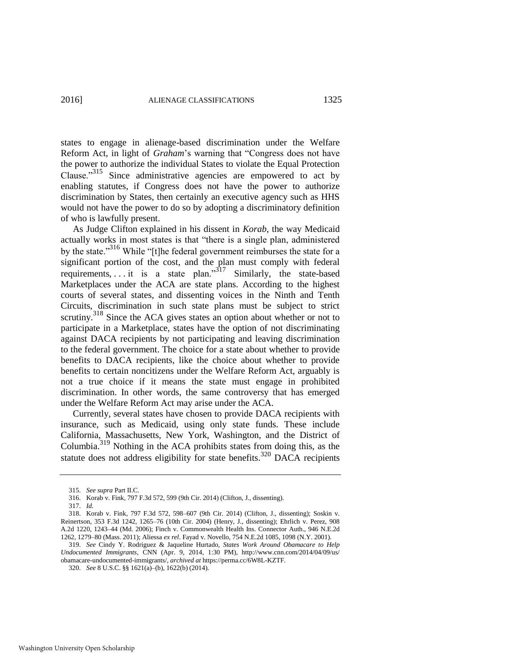states to engage in alienage-based discrimination under the Welfare Reform Act, in light of *Graham*'s warning that "Congress does not have the power to authorize the individual States to violate the Equal Protection Clause."315 Since administrative agencies are empowered to act by enabling statutes, if Congress does not have the power to authorize discrimination by States, then certainly an executive agency such as HHS would not have the power to do so by adopting a discriminatory definition of who is lawfully present.

As Judge Clifton explained in his dissent in *Korab*, the way Medicaid actually works in most states is that "there is a single plan, administered by the state.<sup>316</sup> While "[t]he federal government reimburses the state for a significant portion of the cost, and the plan must comply with federal requirements, ... it is a state plan."<sup>317</sup> Similarly, the state-based Marketplaces under the ACA are state plans. According to the highest courts of several states, and dissenting voices in the Ninth and Tenth Circuits, discrimination in such state plans must be subject to strict scrutiny.<sup>318</sup> Since the ACA gives states an option about whether or not to participate in a Marketplace, states have the option of not discriminating against DACA recipients by not participating and leaving discrimination to the federal government. The choice for a state about whether to provide benefits to DACA recipients, like the choice about whether to provide benefits to certain noncitizens under the Welfare Reform Act, arguably is not a true choice if it means the state must engage in prohibited discrimination. In other words, the same controversy that has emerged under the Welfare Reform Act may arise under the ACA.

Currently, several states have chosen to provide DACA recipients with insurance, such as Medicaid, using only state funds. These include California, Massachusetts, New York, Washington, and the District of Columbia.319 Nothing in the ACA prohibits states from doing this, as the statute does not address eligibility for state benefits.<sup>320</sup> DACA recipients

<sup>315.</sup> *See supra* Part II.C.

<sup>316.</sup> Korab v. Fink, 797 F.3d 572, 599 (9th Cir. 2014) (Clifton, J., dissenting).

<sup>317.</sup> *Id.*

<sup>318.</sup> Korab v. Fink, 797 F.3d 572, 598–607 (9th Cir. 2014) (Clifton, J., dissenting); Soskin v. Reinertson, 353 F.3d 1242, 1265–76 (10th Cir. 2004) (Henry, J., dissenting); Ehrlich v. Perez, 908 A.2d 1220, 1243–44 (Md. 2006); Finch v. Commonwealth Health Ins. Connector Auth., 946 N.E.2d 1262, 1279–80 (Mass. 2011); Aliessa *ex rel*. Fayad v. Novello, 754 N.E.2d 1085, 1098 (N.Y. 2001).

<sup>319.</sup> *See* Cindy Y. Rodriguez & Jaqueline Hurtado, *States Work Around Obamacare to Help Undocumented Immigrants*, CNN (Apr. 9, 2014, 1:30 PM), http://www.cnn.com/2014/04/09/us/ obamacare-undocumented-immigrants/, *archived at* https://perma.cc/6W8L-KZTF.

<sup>320.</sup> *See* 8 U.S.C. §§ 1621(a)–(b), 1622(b) (2014).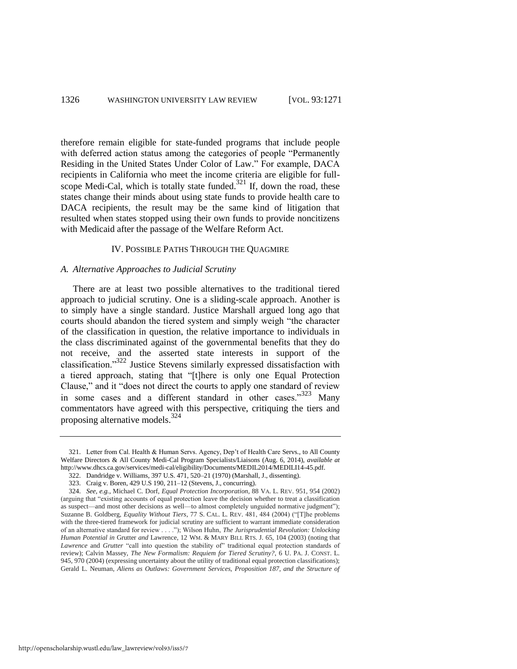therefore remain eligible for state-funded programs that include people with deferred action status among the categories of people "Permanently Residing in the United States Under Color of Law." For example, DACA recipients in California who meet the income criteria are eligible for fullscope Medi-Cal, which is totally state funded.<sup>321</sup> If, down the road, these states change their minds about using state funds to provide health care to DACA recipients, the result may be the same kind of litigation that resulted when states stopped using their own funds to provide noncitizens with Medicaid after the passage of the Welfare Reform Act.

#### IV. POSSIBLE PATHS THROUGH THE QUAGMIRE

#### *A. Alternative Approaches to Judicial Scrutiny*

There are at least two possible alternatives to the traditional tiered approach to judicial scrutiny. One is a sliding-scale approach. Another is to simply have a single standard. Justice Marshall argued long ago that courts should abandon the tiered system and simply weigh "the character of the classification in question, the relative importance to individuals in the class discriminated against of the governmental benefits that they do not receive, and the asserted state interests in support of the classification."<sup>322</sup> Justice Stevens similarly expressed dissatisfaction with a tiered approach, stating that "[t]here is only one Equal Protection Clause," and it "does not direct the courts to apply one standard of review in some cases and a different standard in other cases."<sup>323</sup> Many commentators have agreed with this perspective, critiquing the tiers and proposing alternative models.<sup>324</sup>

<span id="page-56-0"></span><sup>321.</sup> Letter from Cal. Health & Human Servs. Agency, Dep't of Health Care Servs., to All County Welfare Directors & All County Medi-Cal Program Specialists/Liaisons (Aug. 6, 2014), *available at* http://www.dhcs.ca.gov/services/medi-cal/eligibility/Documents/MEDIL2014/MEDILI14-45.pdf.

<sup>322.</sup> Dandridge v. Williams, 397 U.S. 471, 520–21 (1970) (Marshall, J., dissenting).

<sup>323.</sup> Craig v. Boren, 429 U.S 190, 211–12 (Stevens, J., concurring).

<sup>324.</sup> *See, e.g.*, Michael C. Dorf, *Equal Protection Incorporation*, 88 VA. L. REV. 951, 954 (2002) (arguing that "existing accounts of equal protection leave the decision whether to treat a classification as suspect—and most other decisions as well—to almost completely unguided normative judgment"); Suzanne B. Goldberg, *Equality Without Tiers*, 77 S. CAL. L. REV. 481, 484 (2004) ("[T]he problems with the three-tiered framework for judicial scrutiny are sufficient to warrant immediate consideration of an alternative standard for review . . . ."); Wilson Huhn, *The Jurisprudential Revolution: Unlocking Human Potential in* Grutter *and* Lawrence, 12 WM. & MARY BILL RTS. J. 65, 104 (2003) (noting that *Lawrence* and *Grutter* "call into question the stability of" traditional equal protection standards of review); Calvin Massey, *The New Formalism: Requiem for Tiered Scrutiny?*, 6 U. PA. J. CONST. L. 945, 970 (2004) (expressing uncertainty about the utility of traditional equal protection classifications); Gerald L. Neuman, *Aliens as Outlaws: Government Services, Proposition 187, and the Structure of*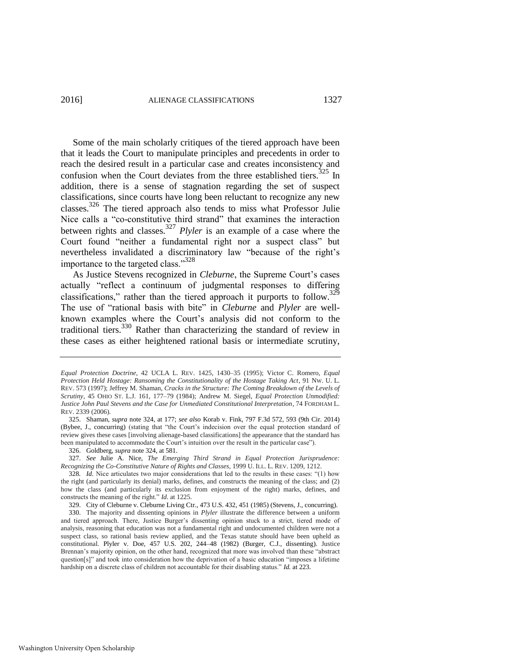Some of the main scholarly critiques of the tiered approach have been that it leads the Court to manipulate principles and precedents in order to reach the desired result in a particular case and creates inconsistency and confusion when the Court deviates from the three established tiers. $325$  In addition, there is a sense of stagnation regarding the set of suspect classifications, since courts have long been reluctant to recognize any new classes.326 The tiered approach also tends to miss what Professor Julie Nice calls a "co-constitutive third strand" that examines the interaction between rights and classes.<sup>327</sup> *Plyler* is an example of a case where the Court found "neither a fundamental right nor a suspect class" but nevertheless invalidated a discriminatory law "because of the right's importance to the targeted class."<sup>328</sup>

As Justice Stevens recognized in *Cleburne*, the Supreme Court's cases actually "reflect a continuum of judgmental responses to differing classifications," rather than the tiered approach it purports to follow.<sup>329</sup> The use of "rational basis with bite" in *Cleburne* and *Plyler* are wellknown examples where the Court's analysis did not conform to the traditional tiers.<sup>330</sup> Rather than characterizing the standard of review in these cases as either heightened rational basis or intermediate scrutiny,

*Equal Protection Doctrine*, 42 UCLA L. REV. 1425, 1430–35 (1995); Victor C. Romero, *Equal Protection Held Hostage: Ransoming the Constitutionality of the Hostage Taking Act*, 91 NW. U. L. REV. 573 (1997); Jeffrey M. Shaman, *Cracks in the Structure: The Coming Breakdown of the Levels of Scrutiny*, 45 OHIO ST. L.J. 161, 177–79 (1984); Andrew M. Siegel, *Equal Protection Unmodified: Justice John Paul Stevens and the Case for Unmediated Constitutional Interpretation*, 74 FORDHAM L. REV. 2339 (2006).

<sup>325.</sup> Shaman, *supra* note [324,](#page-56-0) at 177; *see also* Korab v. Fink, 797 F.3d 572, 593 (9th Cir. 2014) (Bybee, J., concurring) (stating that "the Court's indecision over the equal protection standard of review gives these cases [involving alienage-based classifications] the appearance that the standard has been manipulated to accommodate the Court's intuition over the result in the particular case").

<sup>326.</sup> Goldberg, *supra* not[e 324,](#page-56-0) at 581.

<sup>327.</sup> *See* Julie A. Nice, *The Emerging Third Strand in Equal Protection Jurisprudence: Recognizing the Co-Constitutive Nature of Rights and Classes*, 1999 U. ILL. L. REV. 1209, 1212.

<sup>328</sup>*. Id.* Nice articulates two major considerations that led to the results in these cases: "(1) how the right (and particularly its denial) marks, defines, and constructs the meaning of the class; and (2) how the class (and particularly its exclusion from enjoyment of the right) marks, defines, and constructs the meaning of the right." *Id.* at 1225.

<sup>329.</sup> City of Cleburne v. Cleburne Living Ctr., 473 U.S. 432, 451 (1985) (Stevens, J., concurring).

<sup>330.</sup> The majority and dissenting opinions in *Plyler* illustrate the difference between a uniform and tiered approach. There, Justice Burger's dissenting opinion stuck to a strict, tiered mode of analysis, reasoning that education was not a fundamental right and undocumented children were not a suspect class, so rational basis review applied, and the Texas statute should have been upheld as constitutional. Plyler v. Doe, 457 U.S. 202, 244–48 (1982) (Burger, C.J., dissenting). Justice Brennan's majority opinion, on the other hand, recognized that more was involved than these "abstract question[s]" and took into consideration how the deprivation of a basic education "imposes a lifetime hardship on a discrete class of children not accountable for their disabling status." *Id.* at 223.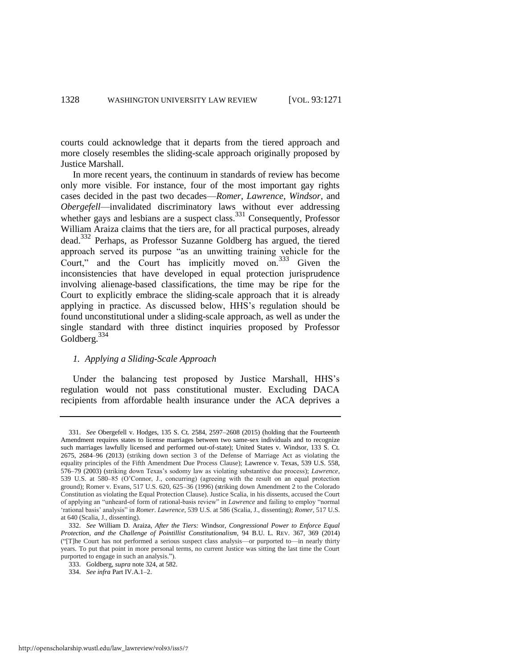courts could acknowledge that it departs from the tiered approach and more closely resembles the sliding-scale approach originally proposed by Justice Marshall.

In more recent years, the continuum in standards of review has become only more visible. For instance, four of the most important gay rights cases decided in the past two decades—*Romer*, *Lawrence*, *Windsor*, and *Obergefell*—invalidated discriminatory laws without ever addressing whether gays and lesbians are a suspect class.<sup>331</sup> Consequently, Professor William Araiza claims that the tiers are, for all practical purposes, already dead.332 Perhaps, as Professor Suzanne Goldberg has argued, the tiered approach served its purpose "as an unwitting training vehicle for the Court," and the Court has implicitly moved on.<sup>333</sup> Given the inconsistencies that have developed in equal protection jurisprudence involving alienage-based classifications, the time may be ripe for the Court to explicitly embrace the sliding-scale approach that it is already applying in practice. As discussed below, HHS's regulation should be found unconstitutional under a sliding-scale approach, as well as under the single standard with three distinct inquiries proposed by Professor Goldberg.<sup>334</sup>

# *1. Applying a Sliding-Scale Approach*

Under the balancing test proposed by Justice Marshall, HHS's regulation would not pass constitutional muster. Excluding DACA recipients from affordable health insurance under the ACA deprives a

<sup>331.</sup> *See* Obergefell v. Hodges, 135 S. Ct. 2584, 2597–2608 (2015) (holding that the Fourteenth Amendment requires states to license marriages between two same-sex individuals and to recognize such marriages lawfully licensed and performed out-of-state); United States v. Windsor, 133 S. Ct. 2675, 2684–96 (2013) (striking down section 3 of the Defense of Marriage Act as violating the equality principles of the Fifth Amendment Due Process Clause); Lawrence v. Texas, 539 U.S. 558, 576–79 (2003) (striking down Texas's sodomy law as violating substantive due process); *Lawrence*, 539 U.S. at 580–85 (O'Connor, J., concurring) (agreeing with the result on an equal protection ground); Romer v. Evans, 517 U.S. 620, 625–36 (1996) (striking down Amendment 2 to the Colorado Constitution as violating the Equal Protection Clause). Justice Scalia, in his dissents, accused the Court of applying an "unheard-of form of rational-basis review" in *Lawrence* and failing to employ "normal 'rational basis' analysis" in *Romer*. *Lawrence*, 539 U.S. at 586 (Scalia, J., dissenting); *Romer*, 517 U.S. at 640 (Scalia, J., dissenting).

<sup>332.</sup> *See* William D. Araiza, *After the Tiers:* Windsor*, Congressional Power to Enforce Equal Protection, and the Challenge of Pointillist Constitutionalism*, 94 B.U. L. REV. 367, 369 (2014) ("[T]he Court has not performed a serious suspect class analysis—or purported to—in nearly thirty years. To put that point in more personal terms, no current Justice was sitting the last time the Court purported to engage in such an analysis.").

<sup>333.</sup> Goldberg, *supra* not[e 324,](#page-56-0) at 582.

<sup>334.</sup> *See infra* Part IV.A.1–2.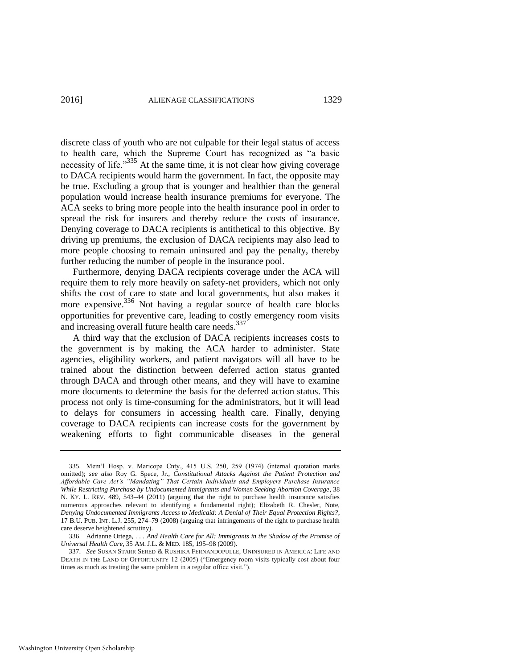discrete class of youth who are not culpable for their legal status of access to health care, which the Supreme Court has recognized as "a basic necessity of life."<sup>335</sup> At the same time, it is not clear how giving coverage to DACA recipients would harm the government. In fact, the opposite may be true. Excluding a group that is younger and healthier than the general population would increase health insurance premiums for everyone. The ACA seeks to bring more people into the health insurance pool in order to spread the risk for insurers and thereby reduce the costs of insurance. Denying coverage to DACA recipients is antithetical to this objective. By driving up premiums, the exclusion of DACA recipients may also lead to more people choosing to remain uninsured and pay the penalty, thereby further reducing the number of people in the insurance pool.

Furthermore, denying DACA recipients coverage under the ACA will require them to rely more heavily on safety-net providers, which not only shifts the cost of care to state and local governments, but also makes it more expensive.<sup>336</sup> Not having a regular source of health care blocks opportunities for preventive care, leading to costly emergency room visits and increasing overall future health care needs.<sup>337</sup>

A third way that the exclusion of DACA recipients increases costs to the government is by making the ACA harder to administer. State agencies, eligibility workers, and patient navigators will all have to be trained about the distinction between deferred action status granted through DACA and through other means, and they will have to examine more documents to determine the basis for the deferred action status. This process not only is time-consuming for the administrators, but it will lead to delays for consumers in accessing health care. Finally, denying coverage to DACA recipients can increase costs for the government by weakening efforts to fight communicable diseases in the general

<sup>335.</sup> Mem'l Hosp. v. Maricopa Cnty., 415 U.S. 250, 259 (1974) (internal quotation marks omitted); *see also* Roy G. Spece, Jr., *Constitutional Attacks Against the Patient Protection and Affordable Care Act's "Mandating" That Certain Individuals and Employers Purchase Insurance While Restricting Purchase by Undocumented Immigrants and Women Seeking Abortion Coverage*, 38 N. KY. L. REV. 489, 543–44 (2011) (arguing that the right to purchase health insurance satisfies numerous approaches relevant to identifying a fundamental right); Elizabeth R. Chesler, Note, *Denying Undocumented Immigrants Access to Medicaid: A Denial of Their Equal Protection Rights?*, 17 B.U. PUB. INT. L.J. 255, 274–79 (2008) (arguing that infringements of the right to purchase health care deserve heightened scrutiny).

<sup>336.</sup> Adrianne Ortega, *. . . And Health Care for All: Immigrants in the Shadow of the Promise of Universal Health Care*, 35 AM. J.L. & MED. 185, 195–98 (2009).

<sup>337.</sup> *See* SUSAN STARR SERED & RUSHIKA FERNANDOPULLE, UNINSURED IN AMERICA: LIFE AND DEATH IN THE LAND OF OPPORTUNITY 12 (2005) ("Emergency room visits typically cost about four times as much as treating the same problem in a regular office visit.").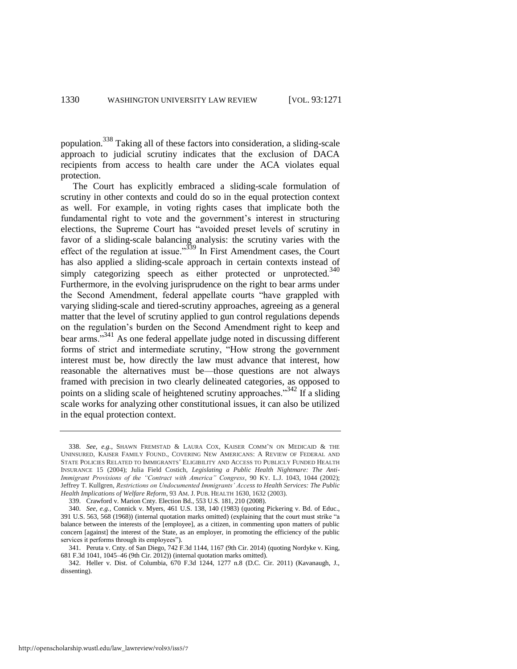population.<sup>338</sup> Taking all of these factors into consideration, a sliding-scale approach to judicial scrutiny indicates that the exclusion of DACA recipients from access to health care under the ACA violates equal protection.

The Court has explicitly embraced a sliding-scale formulation of scrutiny in other contexts and could do so in the equal protection context as well. For example, in voting rights cases that implicate both the fundamental right to vote and the government's interest in structuring elections, the Supreme Court has "avoided preset levels of scrutiny in favor of a sliding-scale balancing analysis: the scrutiny varies with the effect of the regulation at issue."<sup>339</sup> In First Amendment cases, the Court has also applied a sliding-scale approach in certain contexts instead of simply categorizing speech as either protected or unprotected.<sup>340</sup> Furthermore, in the evolving jurisprudence on the right to bear arms under the Second Amendment, federal appellate courts "have grappled with varying sliding-scale and tiered-scrutiny approaches, agreeing as a general matter that the level of scrutiny applied to gun control regulations depends on the regulation's burden on the Second Amendment right to keep and bear arms."<sup>341</sup> As one federal appellate judge noted in discussing different forms of strict and intermediate scrutiny, "How strong the government interest must be, how directly the law must advance that interest, how reasonable the alternatives must be—those questions are not always framed with precision in two clearly delineated categories, as opposed to points on a sliding scale of heightened scrutiny approaches.<sup>342</sup> If a sliding scale works for analyzing other constitutional issues, it can also be utilized in the equal protection context.

<sup>338.</sup> *See, e.g.*, SHAWN FREMSTAD & LAURA COX, KAISER COMM'N ON MEDICAID & THE UNINSURED, KAISER FAMILY FOUND., COVERING NEW AMERICANS: A REVIEW OF FEDERAL AND STATE POLICIES RELATED TO IMMIGRANTS' ELIGIBILITY AND ACCESS TO PUBLICLY FUNDED HEALTH INSURANCE 15 (2004); Julia Field Costich, *Legislating a Public Health Nightmare: The Anti-Immigrant Provisions of the "Contract with America" Congress*, 90 KY. L.J. 1043, 1044 (2002); Jeffrey T. Kullgren, *Restrictions on Undocumented Immigrants' Access to Health Services: The Public Health Implications of Welfare Reform*, 93 AM. J. PUB. HEALTH 1630, 1632 (2003).

<sup>339.</sup> Crawford v. Marion Cnty. Election Bd., 553 U.S. 181, 210 (2008).

<sup>340.</sup> *See, e.g.*, Connick v. Myers, 461 U.S. 138, 140 (1983) (quoting Pickering v. Bd. of Educ., 391 U.S. 563, 568 (1968)) (internal quotation marks omitted) (explaining that the court must strike "a balance between the interests of the [employee], as a citizen, in commenting upon matters of public concern [against] the interest of the State, as an employer, in promoting the efficiency of the public services it performs through its employees").

<sup>341.</sup> Peruta v. Cnty. of San Diego, 742 F.3d 1144, 1167 (9th Cir. 2014) (quoting Nordyke v. King, 681 F.3d 1041, 1045–46 (9th Cir. 2012)) (internal quotation marks omitted).

<sup>342.</sup> Heller v. Dist. of Columbia, 670 F.3d 1244, 1277 n.8 (D.C. Cir. 2011) (Kavanaugh, J., dissenting).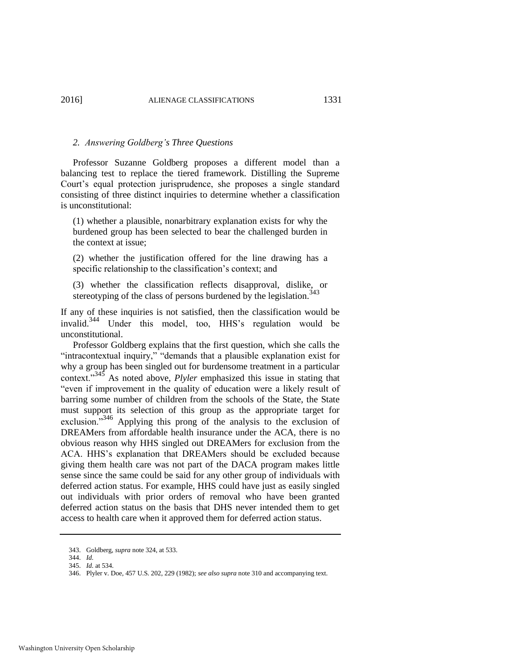#### *2. Answering Goldberg's Three Questions*

Professor Suzanne Goldberg proposes a different model than a balancing test to replace the tiered framework. Distilling the Supreme Court's equal protection jurisprudence, she proposes a single standard consisting of three distinct inquiries to determine whether a classification is unconstitutional:

(1) whether a plausible, nonarbitrary explanation exists for why the burdened group has been selected to bear the challenged burden in the context at issue;

(2) whether the justification offered for the line drawing has a specific relationship to the classification's context; and

(3) whether the classification reflects disapproval, dislike, or stereotyping of the class of persons burdened by the legislation. $343$ 

If any of these inquiries is not satisfied, then the classification would be invalid.<sup>344</sup> Under this model, too, HHS's regulation would be unconstitutional.

Professor Goldberg explains that the first question, which she calls the "intracontextual inquiry," "demands that a plausible explanation exist for why a group has been singled out for burdensome treatment in a particular context."345 As noted above, *Plyler* emphasized this issue in stating that "even if improvement in the quality of education were a likely result of barring some number of children from the schools of the State, the State must support its selection of this group as the appropriate target for exclusion.<sup>346</sup> Applying this prong of the analysis to the exclusion of DREAMers from affordable health insurance under the ACA, there is no obvious reason why HHS singled out DREAMers for exclusion from the ACA. HHS's explanation that DREAMers should be excluded because giving them health care was not part of the DACA program makes little sense since the same could be said for any other group of individuals with deferred action status. For example, HHS could have just as easily singled out individuals with prior orders of removal who have been granted deferred action status on the basis that DHS never intended them to get access to health care when it approved them for deferred action status.

<sup>343.</sup> Goldberg, *supra* not[e 324,](#page-56-0) at 533.

<sup>344.</sup> *Id.*

<sup>345.</sup> *Id.* at 534.

<sup>346.</sup> Plyler v. Doe, 457 U.S. 202, 229 (1982); *see also supra* not[e 310](#page-54-0) and accompanying text.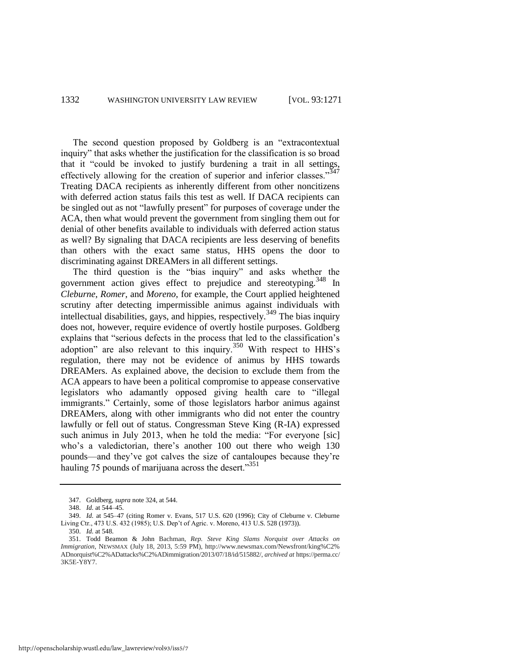The second question proposed by Goldberg is an "extracontextual inquiry" that asks whether the justification for the classification is so broad that it "could be invoked to justify burdening a trait in all settings, effectively allowing for the creation of superior and inferior classes."347 Treating DACA recipients as inherently different from other noncitizens with deferred action status fails this test as well. If DACA recipients can be singled out as not "lawfully present" for purposes of coverage under the ACA, then what would prevent the government from singling them out for denial of other benefits available to individuals with deferred action status as well? By signaling that DACA recipients are less deserving of benefits than others with the exact same status, HHS opens the door to discriminating against DREAMers in all different settings.

The third question is the "bias inquiry" and asks whether the government action gives effect to prejudice and stereotyping.<sup>348</sup> In *Cleburne*, *Romer*, and *Moreno*, for example, the Court applied heightened scrutiny after detecting impermissible animus against individuals with intellectual disabilities, gays, and hippies, respectively.<sup>349</sup> The bias inquiry does not, however, require evidence of overtly hostile purposes. Goldberg explains that "serious defects in the process that led to the classification's adoption" are also relevant to this inquiry.<sup>350</sup> With respect to HHS's regulation, there may not be evidence of animus by HHS towards DREAMers. As explained above, the decision to exclude them from the ACA appears to have been a political compromise to appease conservative legislators who adamantly opposed giving health care to "illegal immigrants." Certainly, some of those legislators harbor animus against DREAMers, along with other immigrants who did not enter the country lawfully or fell out of status. Congressman Steve King (R-IA) expressed such animus in July 2013, when he told the media: "For everyone [sic] who's a valedictorian, there's another 100 out there who weigh 130 pounds—and they've got calves the size of cantaloupes because they're hauling 75 pounds of marijuana across the desert." $351$ 

<sup>347.</sup> Goldberg, *supra* not[e 324,](#page-56-0) at 544.

<sup>348.</sup> *Id.* at 544–45.

<sup>349.</sup> *Id.* at 545–47 (citing Romer v. Evans, 517 U.S. 620 (1996); City of Cleburne v. Cleburne Living Ctr., 473 U.S. 432 (1985); U.S. Dep't of Agric. v. Moreno, 413 U.S. 528 (1973)).

<sup>350.</sup> *Id.* at 548.

<sup>351.</sup> Todd Beamon & John Bachman, *Rep. Steve King Slams Norquist over Attacks on Immigration*, NEWSMAX (July 18, 2013, 5:59 PM), http://www.newsmax.com/Newsfront/king%C2% ADnorquist%C2%ADattacks%C2%ADimmigration/2013/07/18/id/515882/, *archived at* https://perma.cc/ 3K5E-Y8Y7.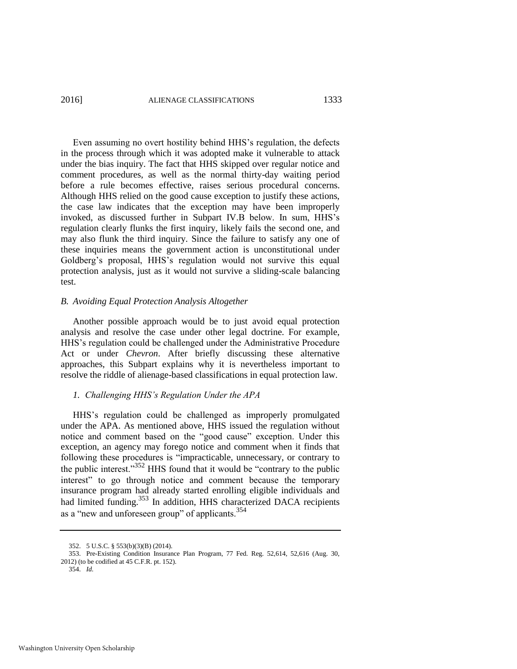#### 2016] ALIENAGE CLASSIFICATIONS 1333

Even assuming no overt hostility behind HHS's regulation, the defects in the process through which it was adopted make it vulnerable to attack under the bias inquiry. The fact that HHS skipped over regular notice and comment procedures, as well as the normal thirty-day waiting period before a rule becomes effective, raises serious procedural concerns. Although HHS relied on the good cause exception to justify these actions, the case law indicates that the exception may have been improperly invoked, as discussed further in Subpart IV.B below. In sum, HHS's regulation clearly flunks the first inquiry, likely fails the second one, and may also flunk the third inquiry. Since the failure to satisfy any one of these inquiries means the government action is unconstitutional under Goldberg's proposal, HHS's regulation would not survive this equal protection analysis, just as it would not survive a sliding-scale balancing test.

# *B. Avoiding Equal Protection Analysis Altogether*

Another possible approach would be to just avoid equal protection analysis and resolve the case under other legal doctrine. For example, HHS's regulation could be challenged under the Administrative Procedure Act or under *Chevron*. After briefly discussing these alternative approaches, this Subpart explains why it is nevertheless important to resolve the riddle of alienage-based classifications in equal protection law.

#### *1. Challenging HHS's Regulation Under the APA*

HHS's regulation could be challenged as improperly promulgated under the APA. As mentioned above, HHS issued the regulation without notice and comment based on the "good cause" exception. Under this exception, an agency may forego notice and comment when it finds that following these procedures is "impracticable, unnecessary, or contrary to the public interest."<sup>352</sup> HHS found that it would be "contrary to the public interest" to go through notice and comment because the temporary insurance program had already started enrolling eligible individuals and had limited funding.<sup>353</sup> In addition, HHS characterized DACA recipients as a "new and unforeseen group" of applicants.<sup>354</sup>

<sup>352. 5</sup> U.S.C. § 553(b)(3)(B) (2014).

<sup>353.</sup> Pre-Existing Condition Insurance Plan Program, 77 Fed. Reg. 52,614, 52,616 (Aug. 30, 2012) (to be codified at 45 C.F.R. pt. 152).

<sup>354.</sup> *Id.*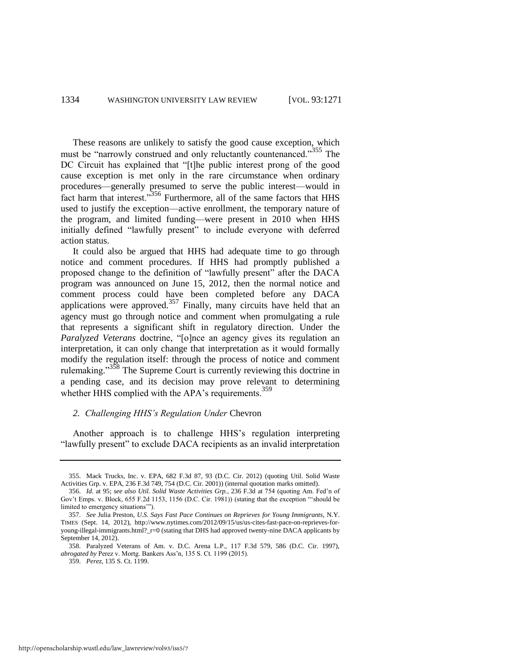These reasons are unlikely to satisfy the good cause exception, which must be "narrowly construed and only reluctantly countenanced."<sup>355</sup> The DC Circuit has explained that "[t]he public interest prong of the good cause exception is met only in the rare circumstance when ordinary procedures—generally presumed to serve the public interest—would in fact harm that interest."<sup>356</sup> Furthermore, all of the same factors that HHS used to justify the exception—active enrollment, the temporary nature of the program, and limited funding—were present in 2010 when HHS initially defined "lawfully present" to include everyone with deferred action status.

It could also be argued that HHS had adequate time to go through notice and comment procedures. If HHS had promptly published a proposed change to the definition of "lawfully present" after the DACA program was announced on June 15, 2012, then the normal notice and comment process could have been completed before any DACA applications were approved.<sup>357</sup> Finally, many circuits have held that an agency must go through notice and comment when promulgating a rule that represents a significant shift in regulatory direction. Under the *Paralyzed Veterans* doctrine, "[o]nce an agency gives its regulation an interpretation, it can only change that interpretation as it would formally modify the regulation itself: through the process of notice and comment rulemaking."<sup>358</sup> The Supreme Court is currently reviewing this doctrine in a pending case, and its decision may prove relevant to determining whether HHS complied with the APA's requirements.<sup>359</sup>

# *2. Challenging HHS's Regulation Under* Chevron

Another approach is to challenge HHS's regulation interpreting "lawfully present" to exclude DACA recipients as an invalid interpretation

<sup>355.</sup> Mack Trucks, Inc. v. EPA, 682 F.3d 87, 93 (D.C. Cir. 2012) (quoting Util. Solid Waste Activities Grp. v. EPA, 236 F.3d 749, 754 (D.C. Cir. 2001)) (internal quotation marks omitted).

<sup>356.</sup> *Id.* at 95; *see also Util. Solid Waste Activities Grp.*, 236 F.3d at 754 (quoting Am. Fed'n of Gov't Emps. v. Block, 655 F.2d 1153, 1156 (D.C. Cir. 1981)) (stating that the exception "'should be limited to emergency situations'").

<sup>357.</sup> *See* Julia Preston, *U.S. Says Fast Pace Continues on Reprieves for Young Immigrants*, N.Y. TIMES (Sept. 14, 2012), http://www.nytimes.com/2012/09/15/us/us-cites-fast-pace-on-reprieves-foryoung-illegal-immigrants.html?\_r=0 (stating that DHS had approved twenty-nine DACA applicants by September 14, 2012).

<sup>358.</sup> Paralyzed Veterans of Am. v. D.C. Arena L.P., 117 F.3d 579, 586 (D.C. Cir. 1997), *abrogated by* Perez v. Mortg. Bankers Ass'n, 135 S. Ct. 1199 (2015).

<sup>359.</sup> *Perez*, 135 S. Ct. 1199.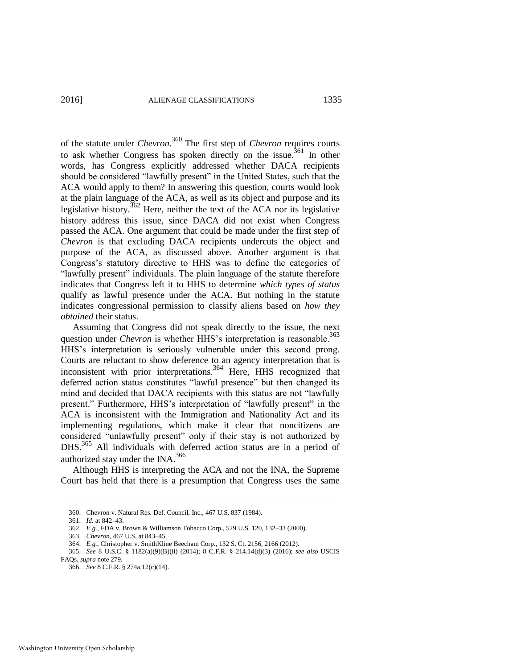of the statute under *Chevron*. <sup>360</sup> The first step of *Chevron* requires courts to ask whether Congress has spoken directly on the issue.<sup>361</sup> In other words, has Congress explicitly addressed whether DACA recipients should be considered "lawfully present" in the United States, such that the ACA would apply to them? In answering this question, courts would look at the plain language of the ACA, as well as its object and purpose and its legislative history.<sup>362</sup> Here, neither the text of the ACA nor its legislative history address this issue, since DACA did not exist when Congress passed the ACA. One argument that could be made under the first step of *Chevron* is that excluding DACA recipients undercuts the object and purpose of the ACA, as discussed above. Another argument is that Congress's statutory directive to HHS was to define the categories of "lawfully present" individuals. The plain language of the statute therefore indicates that Congress left it to HHS to determine *which types of status* qualify as lawful presence under the ACA. But nothing in the statute indicates congressional permission to classify aliens based on *how they obtained* their status.

Assuming that Congress did not speak directly to the issue, the next question under *Chevron* is whether HHS's interpretation is reasonable.<sup>363</sup> HHS's interpretation is seriously vulnerable under this second prong. Courts are reluctant to show deference to an agency interpretation that is inconsistent with prior interpretations.<sup>364</sup> Here, HHS recognized that deferred action status constitutes "lawful presence" but then changed its mind and decided that DACA recipients with this status are not "lawfully present." Furthermore, HHS's interpretation of "lawfully present" in the ACA is inconsistent with the Immigration and Nationality Act and its implementing regulations, which make it clear that noncitizens are considered "unlawfully present" only if their stay is not authorized by DHS.<sup>365</sup> All individuals with deferred action status are in a period of authorized stay under the INA.<sup>366</sup>

Although HHS is interpreting the ACA and not the INA, the Supreme Court has held that there is a presumption that Congress uses the same

<sup>360.</sup> Chevron v. Natural Res. Def. Council, Inc., 467 U.S. 837 (1984).

<sup>361.</sup> *Id.* at 842–43.

<sup>362.</sup> *E.g.*, FDA v. Brown & Williamson Tobacco Corp., 529 U.S. 120, 132–33 (2000).

<sup>363.</sup> *Chevron*, 467 U.S. at 843–45.

<sup>364.</sup> *E.g.*, Christopher v. SmithKline Beecham Corp., 132 S. Ct. 2156, 2166 (2012).

<sup>365.</sup> *See* 8 U.S.C. § 1182(a)(9)(B)(ii) (2014); 8 C.F.R. § 214.14(d)(3) (2016); *see also* USCIS FAQs, *supra* not[e 279.](#page-47-0)

<sup>366.</sup> *See* 8 C.F.R. § 274a.12(c)(14).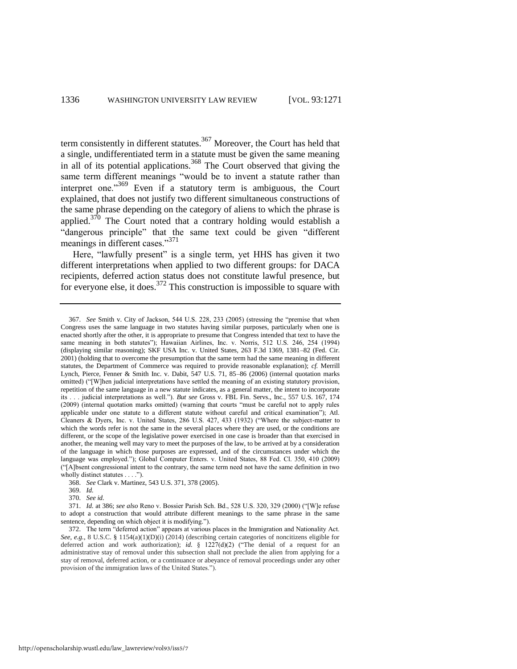term consistently in different statutes.<sup>367</sup> Moreover, the Court has held that a single, undifferentiated term in a statute must be given the same meaning in all of its potential applications.<sup>368</sup> The Court observed that giving the same term different meanings "would be to invent a statute rather than interpret one."<sup>369</sup> Even if a statutory term is ambiguous, the Court explained, that does not justify two different simultaneous constructions of the same phrase depending on the category of aliens to which the phrase is applied. $3^{70}$  The Court noted that a contrary holding would establish a "dangerous principle" that the same text could be given "different" meanings in different cases."<sup>371</sup>

Here, "lawfully present" is a single term, yet HHS has given it two different interpretations when applied to two different groups: for DACA recipients, deferred action status does not constitute lawful presence, but for everyone else, it does.  $372$  This construction is impossible to square with

<sup>367.</sup> *See* Smith v. City of Jackson, 544 U.S. 228, 233 (2005) (stressing the "premise that when Congress uses the same language in two statutes having similar purposes, particularly when one is enacted shortly after the other, it is appropriate to presume that Congress intended that text to have the same meaning in both statutes"); Hawaiian Airlines, Inc. v. Norris, 512 U.S. 246, 254 (1994) (displaying similar reasoning); SKF USA Inc. v. United States, 263 F.3d 1369, 1381–82 (Fed. Cir. 2001) (holding that to overcome the presumption that the same term had the same meaning in different statutes, the Department of Commerce was required to provide reasonable explanation); *cf.* Merrill Lynch, Pierce, Fenner & Smith Inc. v. Dabit, 547 U.S. 71, 85–86 (2006) (internal quotation marks omitted) ("[W]hen judicial interpretations have settled the meaning of an existing statutory provision, repetition of the same language in a new statute indicates, as a general matter, the intent to incorporate its . . . judicial interpretations as well."). *But see* Gross v. FBL Fin. Servs., Inc., 557 U.S. 167, 174 (2009) (internal quotation marks omitted) (warning that courts "must be careful not to apply rules applicable under one statute to a different statute without careful and critical examination"); Atl. Cleaners & Dyers, Inc. v. United States, 286 U.S. 427, 433 (1932) ("Where the subject-matter to which the words refer is not the same in the several places where they are used, or the conditions are different, or the scope of the legislative power exercised in one case is broader than that exercised in another, the meaning well may vary to meet the purposes of the law, to be arrived at by a consideration of the language in which those purposes are expressed, and of the circumstances under which the language was employed."); Global Computer Enters. v. United States, 88 Fed. Cl. 350, 410 (2009) ("[A]bsent congressional intent to the contrary, the same term need not have the same definition in two wholly distinct statutes . . . .").

<sup>368.</sup> *See* Clark v. Martinez, 543 U.S. 371, 378 (2005).

<sup>369.</sup> *Id.*

<sup>370.</sup> *See id.*

<sup>371.</sup> *Id.* at 386; *see also* Reno v. Bossier Parish Sch. Bd., 528 U.S. 320, 329 (2000) ("[W]e refuse to adopt a construction that would attribute different meanings to the same phrase in the same sentence, depending on which object it is modifying.").

<sup>372.</sup> The term "deferred action" appears at various places in the Immigration and Nationality Act. *See, e.g.*, 8 U.S.C. § 1154(a)(1)(D)(i) (2014) (describing certain categories of noncitizens eligible for deferred action and work authorization); *id.* § 1227(d)(2) ("The denial of a request for an administrative stay of removal under this subsection shall not preclude the alien from applying for a stay of removal, deferred action, or a continuance or abeyance of removal proceedings under any other provision of the immigration laws of the United States.").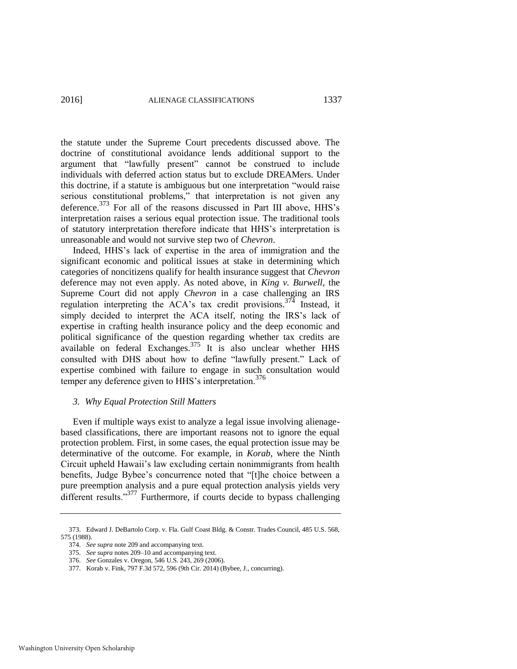the statute under the Supreme Court precedents discussed above. The doctrine of constitutional avoidance lends additional support to the argument that "lawfully present" cannot be construed to include individuals with deferred action status but to exclude DREAMers. Under this doctrine, if a statute is ambiguous but one interpretation "would raise serious constitutional problems," that interpretation is not given any deference.<sup>373</sup> For all of the reasons discussed in Part III above, HHS's interpretation raises a serious equal protection issue. The traditional tools of statutory interpretation therefore indicate that HHS's interpretation is unreasonable and would not survive step two of *Chevron*.

Indeed, HHS's lack of expertise in the area of immigration and the significant economic and political issues at stake in determining which categories of noncitizens qualify for health insurance suggest that *Chevron*  deference may not even apply. As noted above, in *King v. Burwell*, the Supreme Court did not apply *Chevron* in a case challenging an IRS regulation interpreting the ACA's tax credit provisions.374 Instead, it simply decided to interpret the ACA itself, noting the IRS's lack of expertise in crafting health insurance policy and the deep economic and political significance of the question regarding whether tax credits are available on federal Exchanges.  $375$  It is also unclear whether HHS consulted with DHS about how to define "lawfully present." Lack of expertise combined with failure to engage in such consultation would temper any deference given to HHS's interpretation.<sup>376</sup>

# *3. Why Equal Protection Still Matters*

Even if multiple ways exist to analyze a legal issue involving alienagebased classifications, there are important reasons not to ignore the equal protection problem. First, in some cases, the equal protection issue may be determinative of the outcome. For example, in *Korab*, where the Ninth Circuit upheld Hawaii's law excluding certain nonimmigrants from health benefits, Judge Bybee's concurrence noted that "[t]he choice between a pure preemption analysis and a pure equal protection analysis yields very different results."<sup>377</sup> Furthermore, if courts decide to bypass challenging

<sup>373.</sup> Edward J. DeBartolo Corp. v. Fla. Gulf Coast Bldg. & Constr. Trades Council, 485 U.S. 568, 575 (1988).

<sup>374.</sup> *See supra* not[e 209 a](#page-36-0)nd accompanying text.

<sup>375.</sup> *See supra* note[s 209–](#page-36-0)10 and accompanying text.

<sup>376.</sup> *See* Gonzales v. Oregon, 546 U.S. 243, 269 (2006).

<sup>377.</sup> Korab v. Fink, 797 F.3d 572, 596 (9th Cir. 2014) (Bybee, J., concurring).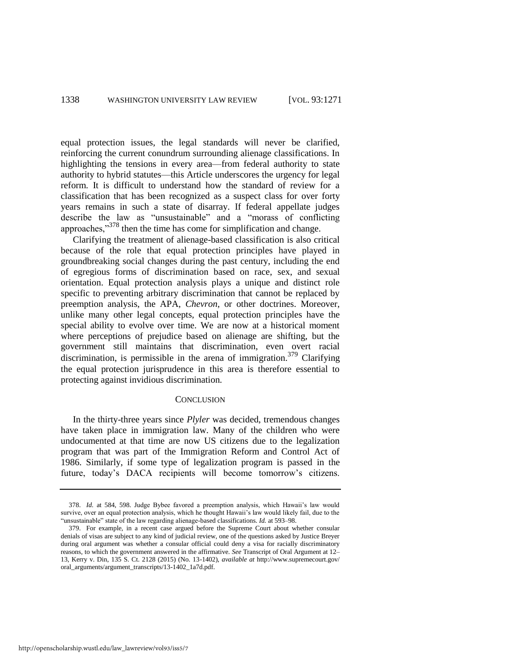equal protection issues, the legal standards will never be clarified, reinforcing the current conundrum surrounding alienage classifications. In highlighting the tensions in every area—from federal authority to state authority to hybrid statutes—this Article underscores the urgency for legal reform. It is difficult to understand how the standard of review for a classification that has been recognized as a suspect class for over forty years remains in such a state of disarray. If federal appellate judges describe the law as "unsustainable" and a "morass of conflicting approaches,"<sup>378</sup> then the time has come for simplification and change.

Clarifying the treatment of alienage-based classification is also critical because of the role that equal protection principles have played in groundbreaking social changes during the past century, including the end of egregious forms of discrimination based on race, sex, and sexual orientation. Equal protection analysis plays a unique and distinct role specific to preventing arbitrary discrimination that cannot be replaced by preemption analysis, the APA, *Chevron*, or other doctrines. Moreover, unlike many other legal concepts, equal protection principles have the special ability to evolve over time. We are now at a historical moment where perceptions of prejudice based on alienage are shifting, but the government still maintains that discrimination, even overt racial discrimination, is permissible in the arena of immigration.<sup>379</sup> Clarifying the equal protection jurisprudence in this area is therefore essential to protecting against invidious discrimination.

# **CONCLUSION**

In the thirty-three years since *Plyler* was decided, tremendous changes have taken place in immigration law. Many of the children who were undocumented at that time are now US citizens due to the legalization program that was part of the Immigration Reform and Control Act of 1986. Similarly, if some type of legalization program is passed in the future, today's DACA recipients will become tomorrow's citizens.

http://openscholarship.wustl.edu/law\_lawreview/vol93/iss5/7

<sup>378.</sup> *Id.* at 584, 598. Judge Bybee favored a preemption analysis, which Hawaii's law would survive, over an equal protection analysis, which he thought Hawaii's law would likely fail, due to the "unsustainable" state of the law regarding alienage-based classifications. *Id.* at 593–98.

<sup>379.</sup> For example, in a recent case argued before the Supreme Court about whether consular denials of visas are subject to any kind of judicial review, one of the questions asked by Justice Breyer during oral argument was whether a consular official could deny a visa for racially discriminatory reasons, to which the government answered in the affirmative. *See* Transcript of Oral Argument at 12– 13, Kerry v. Din, 135 S. Ct. 2128 (2015) (No. 13-1402), *available at* http://www.supremecourt.gov/ oral\_arguments/argument\_transcripts/13-1402\_1a7d.pdf.